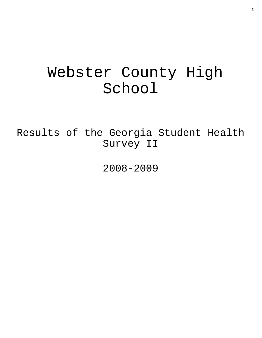# Webster County High School

Results of the Georgia Student Health Survey II

2008-2009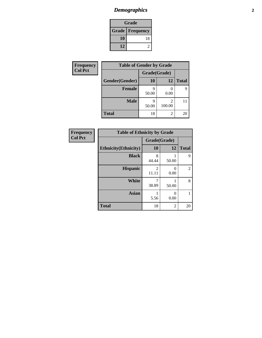# *Demographics* **2**

| Grade                    |    |  |  |  |
|--------------------------|----|--|--|--|
| <b>Grade   Frequency</b> |    |  |  |  |
| 10                       | 18 |  |  |  |
| 12                       |    |  |  |  |

| <b>Frequency</b> | <b>Table of Gender by Grade</b> |              |                          |              |  |
|------------------|---------------------------------|--------------|--------------------------|--------------|--|
| <b>Col Pct</b>   |                                 | Grade(Grade) |                          |              |  |
|                  | Gender(Gender)                  | <b>10</b>    | 12                       | <b>Total</b> |  |
|                  | <b>Female</b>                   | 50.00        | 0.00                     | 9            |  |
|                  | <b>Male</b>                     | 50.00        | $\mathfrak{D}$<br>100.00 |              |  |
|                  | <b>Total</b>                    | 18           | 2                        | 20           |  |

| <b>Frequency</b><br>Col Pct |
|-----------------------------|
|-----------------------------|

| <b>Table of Ethnicity by Grade</b> |              |           |              |  |  |  |  |
|------------------------------------|--------------|-----------|--------------|--|--|--|--|
|                                    | Grade(Grade) |           |              |  |  |  |  |
| <b>Ethnicity</b> (Ethnicity)       | 10           | 12        | <b>Total</b> |  |  |  |  |
| <b>Black</b>                       | 8<br>44.44   | 50.00     | 9            |  |  |  |  |
| <b>Hispanic</b>                    | 2<br>11.11   | 0<br>0.00 | 2            |  |  |  |  |
| White                              | 38.89        | 50.00     | 8            |  |  |  |  |
| <b>Asian</b>                       | 5.56         | 0<br>0.00 | 1            |  |  |  |  |
| <b>Total</b>                       | 18           | 2         | 20           |  |  |  |  |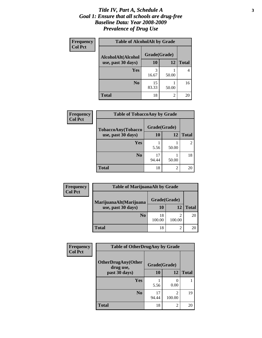### *Title IV, Part A, Schedule A* **3** *Goal 1: Ensure that all schools are drug-free Baseline Data: Year 2008-2009 Prevalence of Drug Use*

| Frequency<br><b>Col Pct</b> | <b>Table of AlcoholAlt by Grade</b> |              |       |              |  |  |
|-----------------------------|-------------------------------------|--------------|-------|--------------|--|--|
|                             | AlcoholAlt(Alcohol                  | Grade(Grade) |       |              |  |  |
|                             | use, past 30 days)                  | 10           | 12    | <b>Total</b> |  |  |
|                             | Yes                                 | 3<br>16.67   | 50.00 |              |  |  |
|                             | N <sub>0</sub>                      | 15<br>83.33  | 50.00 | 16           |  |  |
|                             | <b>Total</b>                        | 18           | 2     | 20           |  |  |

| Frequency<br><b>Col Pct</b> | <b>Table of TobaccoAny by Grade</b> |              |       |              |  |  |
|-----------------------------|-------------------------------------|--------------|-------|--------------|--|--|
|                             | TobaccoAny(Tobacco                  | Grade(Grade) |       |              |  |  |
|                             | use, past 30 days)                  | 10           | 12    | <b>Total</b> |  |  |
|                             | Yes                                 | 5.56         | 50.00 | 2            |  |  |
|                             | N <sub>0</sub>                      | 17<br>94.44  | 50.00 | 18           |  |  |
|                             | <b>Total</b>                        | 18           | 2     | 20           |  |  |

| Frequency<br><b>Col Pct</b> | <b>Table of MarijuanaAlt by Grade</b> |              |        |              |  |  |
|-----------------------------|---------------------------------------|--------------|--------|--------------|--|--|
|                             | MarijuanaAlt(Marijuana                | Grade(Grade) |        |              |  |  |
|                             | use, past 30 days)                    | <b>10</b>    | 12     | <b>Total</b> |  |  |
|                             | N <sub>0</sub>                        | 18<br>100.00 | 100.00 | 20           |  |  |
|                             | <b>Total</b>                          | 18           |        | 20           |  |  |

| <b>Frequency</b> | <b>Table of OtherDrugAny by Grade</b>  |              |                          |              |  |
|------------------|----------------------------------------|--------------|--------------------------|--------------|--|
| <b>Col Pct</b>   | <b>OtherDrugAny(Other</b><br>drug use, | Grade(Grade) |                          |              |  |
|                  | past 30 days)                          | <b>10</b>    | 12                       | <b>Total</b> |  |
|                  | <b>Yes</b>                             | 5.56         | 0.00                     |              |  |
|                  | N <sub>0</sub>                         | 17<br>94.44  | $\mathfrak{D}$<br>100.00 | 19           |  |
|                  | Total                                  | 18           | 2                        | 20           |  |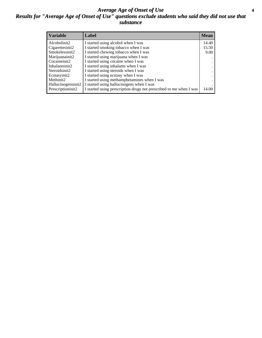### *Average Age of Onset of Use* **4** *Results for "Average Age of Onset of Use" questions exclude students who said they did not use that substance*

| <b>Variable</b>     | Label                                                              | <b>Mean</b> |
|---------------------|--------------------------------------------------------------------|-------------|
| Alcoholinit2        | I started using alcohol when I was                                 | 14.40       |
| Cigarettesinit2     | I started smoking tobacco when I was                               | 15.50       |
| Smokelessinit2      | I started chewing tobacco when I was                               | 9.00        |
| Marijuanainit2      | I started using marijuana when I was                               |             |
| Cocaineinit2        | I started using cocaine when I was                                 |             |
| Inhalantsinit2      | I started using inhalants when I was                               |             |
| Steroidsinit2       | I started using steroids when I was                                |             |
| Ecstasyinit2        | I started using ecstasy when I was                                 |             |
| Methinit2           | I started using methamphetamines when I was                        |             |
| Hallucinogensinit2  | I started using hallucinogens when I was                           |             |
| Prescription in it2 | I started using prescription drugs not prescribed to me when I was | 14.00       |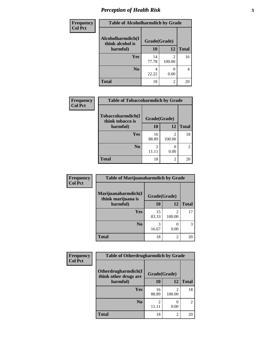# *Perception of Health Risk* **5**

| Frequency      | <b>Table of Alcoholharmdich by Grade</b> |              |             |              |  |
|----------------|------------------------------------------|--------------|-------------|--------------|--|
| <b>Col Pct</b> | Alcoholharmdich(I<br>think alcohol is    | Grade(Grade) |             |              |  |
|                | harmful)                                 | 10           | 12          | <b>Total</b> |  |
|                | Yes                                      | 14<br>77.78  | 2<br>100.00 | 16           |  |
|                | N <sub>0</sub>                           | 4<br>22.22   | 0.00        | 4            |  |
|                | <b>Total</b>                             | 18           | 2           | 20           |  |

| <b>Frequency</b> | <b>Table of Tobaccoharmdich by Grade</b> |              |                                       |                |  |
|------------------|------------------------------------------|--------------|---------------------------------------|----------------|--|
| <b>Col Pct</b>   | Tobaccoharmdich(I<br>think tobacco is    | Grade(Grade) |                                       |                |  |
|                  | harmful)                                 | 10           | 12                                    | <b>Total</b>   |  |
|                  | Yes                                      | 16<br>88.89  | $\mathcal{D}_{\mathcal{L}}$<br>100.00 | 18             |  |
|                  | N <sub>0</sub>                           | 2<br>11.11   | 0.00                                  | $\overline{2}$ |  |
|                  | <b>Total</b>                             | 18           | $\mathfrak{D}$                        | 20             |  |

| <b>Frequency</b> | <b>Table of Marijuanaharmdich by Grade</b> |              |             |              |  |
|------------------|--------------------------------------------|--------------|-------------|--------------|--|
| <b>Col Pct</b>   | Marijuanaharmdich(I<br>think marijuana is  | Grade(Grade) |             |              |  |
|                  | harmful)                                   | 10           | 12          | <b>Total</b> |  |
|                  | Yes                                        | 15<br>83.33  | 2<br>100.00 | 17           |  |
|                  | N <sub>0</sub>                             | 16.67        | 0.00        | 3            |  |
|                  | <b>Total</b>                               | 18           | 2           | 20           |  |

| <b>Frequency</b> | <b>Table of Otherdrugharmdich by Grade</b>                   |             |                |                |  |
|------------------|--------------------------------------------------------------|-------------|----------------|----------------|--|
| <b>Col Pct</b>   | Otherdrugharmdich(I<br>Grade(Grade)<br>think other drugs are |             |                |                |  |
|                  | harmful)                                                     | 10          | 12             | <b>Total</b>   |  |
|                  | <b>Yes</b>                                                   | 16<br>88.89 | 2<br>100.00    | 18             |  |
|                  | N <sub>0</sub>                                               |             | 0.00           | $\overline{c}$ |  |
|                  | <b>Total</b>                                                 | 18          | $\overline{2}$ | 20             |  |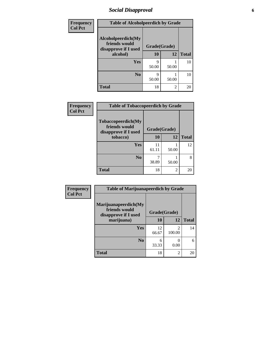## *Social Disapproval* **6**

| Frequency      | <b>Table of Alcoholpeerdich by Grade</b>                    |              |       |              |  |
|----------------|-------------------------------------------------------------|--------------|-------|--------------|--|
| <b>Col Pct</b> | Alcoholpeerdich(My<br>friends would<br>disapprove if I used | Grade(Grade) |       |              |  |
|                | alcohol)                                                    | 10           | 12    | <b>Total</b> |  |
|                | <b>Yes</b>                                                  | Q<br>50.00   | 50.00 | 10           |  |
|                | N <sub>0</sub>                                              | Q<br>50.00   | 50.00 | 10           |  |
|                | <b>Total</b>                                                | 18           | 2     | 20           |  |

| <b>Frequency</b> |
|------------------|
| <b>Col Pct</b>   |

| <b>Table of Tobaccopeerdich by Grade</b>                    |              |       |              |  |  |  |
|-------------------------------------------------------------|--------------|-------|--------------|--|--|--|
| Tobaccopeerdich(My<br>friends would<br>disapprove if I used | Grade(Grade) |       |              |  |  |  |
| tobacco)                                                    | 10           | 12    | <b>Total</b> |  |  |  |
| Yes                                                         | 11<br>61.11  | 50.00 | 12           |  |  |  |
| N <sub>0</sub>                                              | 38.89        | 50.00 | 8            |  |  |  |
| <b>Total</b>                                                | 18           | 2     |              |  |  |  |

| Frequency      | <b>Table of Marijuanapeerdich by Grade</b>                    |              |                                       |              |  |
|----------------|---------------------------------------------------------------|--------------|---------------------------------------|--------------|--|
| <b>Col Pct</b> | Marijuanapeerdich(My<br>friends would<br>disapprove if I used | Grade(Grade) |                                       |              |  |
|                | marijuana)                                                    | 10           | 12                                    | <b>Total</b> |  |
|                | <b>Yes</b>                                                    | 12<br>66.67  | $\mathcal{D}_{\mathcal{A}}$<br>100.00 | 14           |  |
|                | N <sub>0</sub>                                                | 6<br>33.33   | 0<br>0.00                             | 6            |  |
|                | <b>Total</b>                                                  | 18           | $\overline{c}$                        | 20           |  |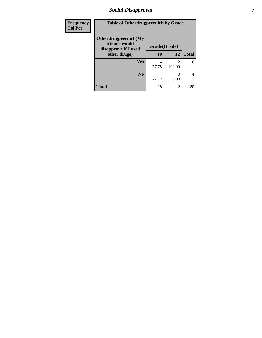## *Social Disapproval* **7**

| Frequency      | <b>Table of Otherdrugpeerdich by Grade</b>                    |              |                |              |  |
|----------------|---------------------------------------------------------------|--------------|----------------|--------------|--|
| <b>Col Pct</b> | Otherdrugpeerdich(My<br>friends would<br>disapprove if I used | Grade(Grade) |                |              |  |
|                | other drugs)                                                  | 10           | 12             | <b>Total</b> |  |
|                | <b>Yes</b>                                                    | 14<br>77.78  | 2<br>100.00    | 16           |  |
|                | N <sub>0</sub>                                                | 4<br>22.22   | 0.00           | 4            |  |
|                | <b>Total</b>                                                  | 18           | $\overline{2}$ | 20           |  |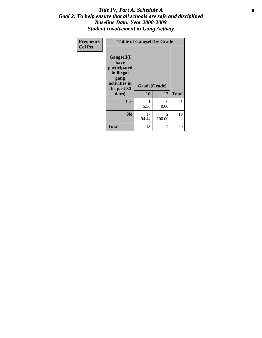### Title IV, Part A, Schedule A **8** *Goal 2: To help ensure that all schools are safe and disciplined Baseline Data: Year 2008-2009 Student Involvement in Gang Activity*

| Frequency      | <b>Table of Gangself by Grade</b>                                                                 |                    |                  |              |  |  |
|----------------|---------------------------------------------------------------------------------------------------|--------------------|------------------|--------------|--|--|
| <b>Col Pct</b> | Gangself(I<br>have<br>participated<br>in illegal<br>gang<br>activities in<br>the past 30<br>days) | Grade(Grade)<br>10 | 12               | <b>Total</b> |  |  |
|                | Yes                                                                                               | 1<br>5.56          | $\theta$<br>0.00 | 1            |  |  |
|                | N <sub>0</sub>                                                                                    | 17<br>94.44        | 2<br>100.00      | 19           |  |  |
|                | <b>Total</b>                                                                                      | 18                 | 2                | 20           |  |  |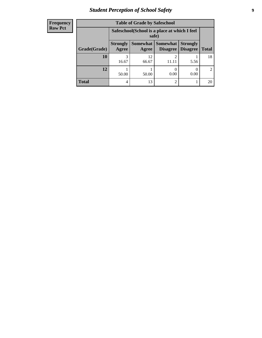# *Student Perception of School Safety* **9**

| <b>Frequency</b><br>Row Pct |
|-----------------------------|
|                             |

| <b>Table of Grade by Safeschool</b> |                          |                                                                                                       |                |      |    |  |  |
|-------------------------------------|--------------------------|-------------------------------------------------------------------------------------------------------|----------------|------|----|--|--|
|                                     |                          | Safeschool (School is a place at which I feel<br>safe)                                                |                |      |    |  |  |
| Grade(Grade)                        | <b>Strongly</b><br>Agree | <b>Somewhat   Somewhat</b><br><b>Strongly</b><br><b>Disagree</b><br>Disagree<br><b>Total</b><br>Agree |                |      |    |  |  |
| <b>10</b>                           | 16.67                    | 12<br>66.67                                                                                           | 2<br>11.11     | 5.56 | 18 |  |  |
| 12                                  | 50.00                    | 50.00                                                                                                 | 0.00           | 0.00 | 2  |  |  |
| <b>Total</b>                        | 4                        | 13                                                                                                    | $\mathfrak{D}$ |      | 20 |  |  |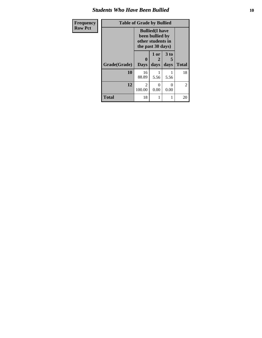### *Students Who Have Been Bullied* **10**

| Frequency      | <b>Table of Grade by Bullied</b> |                                                                                     |                   |                              |                |
|----------------|----------------------------------|-------------------------------------------------------------------------------------|-------------------|------------------------------|----------------|
| <b>Row Pct</b> |                                  | <b>Bullied</b> (I have<br>been bullied by<br>other students in<br>the past 30 days) |                   |                              |                |
|                | Grade(Grade)                     | 0<br><b>Days</b>                                                                    | 1 or<br>2<br>days | 3 <sub>to</sub><br>5<br>days | <b>Total</b>   |
|                | 10                               | 16<br>88.89                                                                         | 5.56              | 5.56                         | 18             |
|                | 12                               | 2<br>100.00                                                                         | 0<br>0.00         | 0<br>0.00                    | $\overline{2}$ |
|                | <b>Total</b>                     | 18                                                                                  | 1                 | 1                            | 20             |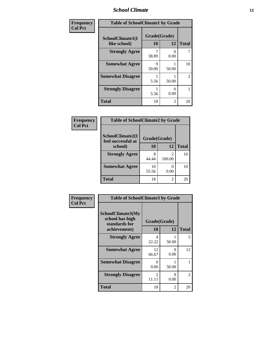### *School Climate* **11**

| Frequency      | <b>Table of SchoolClimate1 by Grade</b> |                    |                           |              |  |  |
|----------------|-----------------------------------------|--------------------|---------------------------|--------------|--|--|
| <b>Col Pct</b> | SchoolClimate1(I<br>like school)        | Grade(Grade)<br>10 | 12                        | <b>Total</b> |  |  |
|                | <b>Strongly Agree</b>                   | 38.89              | $\mathbf{\Omega}$<br>0.00 |              |  |  |
|                | <b>Somewhat Agree</b>                   | 9<br>50.00         | 50.00                     | 10           |  |  |
|                | <b>Somewhat Disagree</b>                | 5.56               | 50.00                     | 2            |  |  |
|                | <b>Strongly Disagree</b>                | 5.56               | 0<br>0.00                 |              |  |  |
|                | <b>Total</b>                            | 18                 | 2                         | 20           |  |  |

#### **Frequency Col Pct**

| <b>Table of SchoolClimate2 by Grade</b> |              |              |           |  |  |  |
|-----------------------------------------|--------------|--------------|-----------|--|--|--|
| SchoolClimate2(I<br>feel successful at  | Grade(Grade) |              |           |  |  |  |
| school)                                 | 10           | <b>Total</b> |           |  |  |  |
| <b>Strongly Agree</b>                   | 8<br>44.44   | 2<br>100.00  | 10        |  |  |  |
| <b>Somewhat Agree</b>                   | 10<br>55.56  | 0<br>0.00    | 10        |  |  |  |
| <b>Total</b>                            | 18           | 2            | <b>20</b> |  |  |  |

| Frequency      | <b>Table of SchoolClimate3 by Grade</b>               |                         |           |                |
|----------------|-------------------------------------------------------|-------------------------|-----------|----------------|
| <b>Col Pct</b> | SchoolClimate3(My<br>school has high<br>standards for | Grade(Grade)            |           |                |
|                | achievement)                                          | 10                      | 12        | <b>Total</b>   |
|                | <b>Strongly Agree</b>                                 | 4<br>22.22              | 50.00     | 5              |
|                | <b>Somewhat Agree</b>                                 | 12<br>66.67             | 0<br>0.00 | 12             |
|                | <b>Somewhat Disagree</b>                              | $\Omega$<br>0.00        | 50.00     |                |
|                | <b>Strongly Disagree</b>                              | $\overline{2}$<br>11.11 | 0<br>0.00 | $\overline{c}$ |
|                | <b>Total</b>                                          | 18                      | 2         | 20             |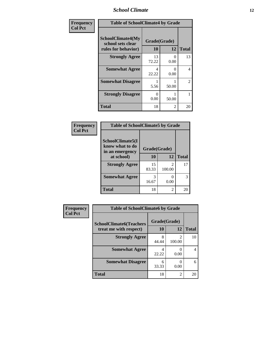### *School Climate* **12**

| Frequency      | <b>Table of SchoolClimate4 by Grade</b>                              |                    |                           |              |
|----------------|----------------------------------------------------------------------|--------------------|---------------------------|--------------|
| <b>Col Pct</b> | <b>SchoolClimate4(My</b><br>school sets clear<br>rules for behavior) | Grade(Grade)<br>10 | 12                        | <b>Total</b> |
|                | <b>Strongly Agree</b>                                                | 13<br>72.22        | $\theta$<br>0.00          | 13           |
|                | <b>Somewhat Agree</b>                                                | 4<br>22.22         | $\mathbf{\Omega}$<br>0.00 | 4            |
|                | <b>Somewhat Disagree</b>                                             | 5.56               | 50.00                     | 2            |
|                | <b>Strongly Disagree</b>                                             | $\Omega$<br>0.00   | 50.00                     | 1            |
|                | <b>Total</b>                                                         | 18                 | $\mathcal{L}$             | 20           |

#### **Frequency Col Pct**

r

| <b>Table of SchoolClimate5 by Grade</b>                |             |             |              |  |
|--------------------------------------------------------|-------------|-------------|--------------|--|
| SchoolClimate5(I<br>know what to do<br>in an emergency |             |             |              |  |
| at school)                                             | 10          | 12          | <b>Total</b> |  |
| <b>Strongly Agree</b>                                  | 15<br>83.33 | 2<br>100.00 | 17           |  |
| <b>Somewhat Agree</b>                                  | 3<br>16.67  | 0.00        | 3            |  |
| <b>Total</b>                                           | 18          | 2           |              |  |

| Frequency      | <b>Table of SchoolClimate6 by Grade</b>                  |                           |                          |                |
|----------------|----------------------------------------------------------|---------------------------|--------------------------|----------------|
| <b>Col Pct</b> | <b>SchoolClimate6(Teachers</b><br>treat me with respect) | Grade(Grade)<br><b>10</b> | 12                       | <b>Total</b>   |
|                | <b>Strongly Agree</b>                                    | 8<br>44.44                | $\mathfrak{D}$<br>100.00 | 10             |
|                | <b>Somewhat Agree</b>                                    | 4<br>22.22                | 0<br>0.00                | $\overline{4}$ |
|                | <b>Somewhat Disagree</b>                                 | 6<br>33.33                | $\theta$<br>0.00         | 6              |
|                | <b>Total</b>                                             | 18                        | $\overline{2}$           | 20             |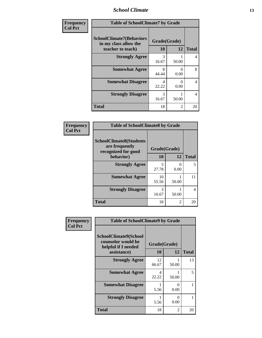### *School Climate* **13**

| Frequency      | <b>Table of SchoolClimate7 by Grade</b>                                       |                           |                |              |
|----------------|-------------------------------------------------------------------------------|---------------------------|----------------|--------------|
| <b>Col Pct</b> | <b>SchoolClimate7(Behaviors</b><br>in my class allow the<br>teacher to teach) | Grade(Grade)<br><b>10</b> | 12             | <b>Total</b> |
|                | <b>Strongly Agree</b>                                                         | 3<br>16.67                | 50.00          | 4            |
|                | <b>Somewhat Agree</b>                                                         | 8<br>44.44                | 0<br>0.00      | 8            |
|                | <b>Somewhat Disagree</b>                                                      | 4<br>22.22                | 0<br>0.00      | 4            |
|                | <b>Strongly Disagree</b>                                                      | 3<br>16.67                | 50.00          | 4            |
|                | <b>Total</b>                                                                  | 18                        | $\overline{2}$ | 20           |

| Frequency      | <b>Table of SchoolClimate8 by Grade</b>                                              |                    |                  |                |
|----------------|--------------------------------------------------------------------------------------|--------------------|------------------|----------------|
| <b>Col Pct</b> | <b>SchoolClimate8(Students</b><br>are frequently<br>recognized for good<br>behavior) | Grade(Grade)<br>10 | 12               | <b>Total</b>   |
|                | <b>Strongly Agree</b>                                                                | 5<br>27.78         | $^{(1)}$<br>0.00 | 5              |
|                | <b>Somewhat Agree</b>                                                                | 10<br>55.56        | 50.00            | 11             |
|                | <b>Strongly Disagree</b>                                                             | 3<br>16.67         | 50.00            | $\overline{4}$ |
|                | <b>Total</b>                                                                         | 18                 | $\mathfrak{D}$   | 20             |

| <b>Frequency</b> | <b>Table of SchoolClimate9 by Grade</b>                                           |                    |                |              |  |
|------------------|-----------------------------------------------------------------------------------|--------------------|----------------|--------------|--|
| <b>Col Pct</b>   | SchoolClimate9(School<br>counselor would be<br>helpful if I needed<br>assistance) | Grade(Grade)<br>10 | 12             | <b>Total</b> |  |
|                  | <b>Strongly Agree</b>                                                             | 12<br>66.67        | 50.00          | 13           |  |
|                  | <b>Somewhat Agree</b>                                                             | 4<br>22.22         | 50.00          | 5            |  |
|                  | <b>Somewhat Disagree</b>                                                          | 5.56               | 0<br>0.00      |              |  |
|                  | <b>Strongly Disagree</b>                                                          | 1<br>5.56          | 0<br>0.00      |              |  |
|                  | <b>Total</b>                                                                      | 18                 | $\mathfrak{D}$ | 20           |  |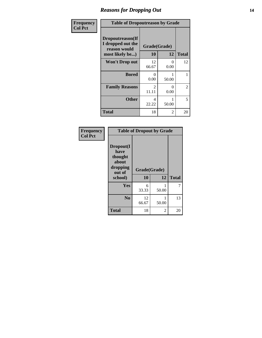### *Reasons for Dropping Out* **14**

| Frequency      | <b>Table of Dropoutreason by Grade</b>                |                         |           |                |
|----------------|-------------------------------------------------------|-------------------------|-----------|----------------|
| <b>Col Pct</b> | Dropoutreason(If<br>I dropped out the<br>reason would | Grade(Grade)            |           |                |
|                | most likely be)                                       | 10                      | 12        | <b>Total</b>   |
|                | <b>Won't Drop out</b>                                 | 12<br>66.67             | 0<br>0.00 | 12             |
|                | <b>Bored</b>                                          | 0<br>0.00               | 50.00     | 1              |
|                | <b>Family Reasons</b>                                 | $\mathfrak{D}$<br>11.11 | 0<br>0.00 | $\overline{2}$ |
|                | <b>Other</b>                                          | 4<br>22.22              | 50.00     | 5              |
|                | <b>Total</b>                                          | 18                      | 2         | 20             |

| Frequency<br><b>Col Pct</b> | <b>Table of Dropout by Grade</b>                                       |                    |       |              |  |
|-----------------------------|------------------------------------------------------------------------|--------------------|-------|--------------|--|
|                             | Dropout(I<br>have<br>thought<br>about<br>dropping<br>out of<br>school) | Grade(Grade)<br>10 | 12    | <b>Total</b> |  |
|                             | Yes                                                                    | 6<br>33.33         | 50.00 |              |  |
|                             | N <sub>0</sub>                                                         | 12<br>66.67        | 50.00 | 13           |  |
|                             | <b>Total</b>                                                           | 18                 | 2     | 20           |  |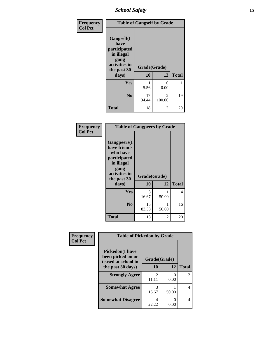*School Safety* **15**

| Frequency      | <b>Table of Gangself by Grade</b>                                                                 |                    |                         |              |
|----------------|---------------------------------------------------------------------------------------------------|--------------------|-------------------------|--------------|
| <b>Col Pct</b> | Gangself(I<br>have<br>participated<br>in illegal<br>gang<br>activities in<br>the past 30<br>days) | Grade(Grade)<br>10 | 12                      | <b>Total</b> |
|                | Yes                                                                                               | 5.56               | 0<br>0.00               | 1            |
|                | N <sub>0</sub>                                                                                    | 17<br>94.44        | $\mathcal{L}$<br>100.00 | 19           |
|                | <b>Total</b>                                                                                      | 18                 | 2                       | 20           |

| Frequency<br><b>Col Pct</b> | <b>Table of Gangpeers by Grade</b>                                                                                     |                    |            |              |
|-----------------------------|------------------------------------------------------------------------------------------------------------------------|--------------------|------------|--------------|
|                             | Gangpeers(I<br>have friends<br>who have<br>participated<br>in illegal<br>gang<br>activities in<br>the past 30<br>days) | Grade(Grade)<br>10 | 12         | <b>Total</b> |
|                             | Yes                                                                                                                    | 3<br>16.67         | 1<br>50.00 | 4            |
|                             | N <sub>0</sub>                                                                                                         | 15<br>83.33        | 1<br>50.00 | 16           |
|                             | <b>Total</b>                                                                                                           | 18                 | 2          | 20           |

| Frequency      | <b>Table of Pickedon by Grade</b>                                   |                                      |                           |                             |
|----------------|---------------------------------------------------------------------|--------------------------------------|---------------------------|-----------------------------|
| <b>Col Pct</b> | <b>Pickedon</b> (I have<br>been picked on or<br>teased at school in | Grade(Grade)                         |                           |                             |
|                | the past 30 days)                                                   | 10                                   | 12                        | <b>Total</b>                |
|                | <b>Strongly Agree</b>                                               | $\mathcal{D}_{\mathcal{L}}$<br>11.11 | $\mathbf{\Omega}$<br>0.00 | $\mathcal{D}_{\mathcal{L}}$ |
|                | <b>Somewhat Agree</b>                                               | 3<br>16.67                           | 50.00                     | 4                           |
|                | <b>Somewhat Disagree</b>                                            | 4<br>22.22                           | 0.00                      | 4                           |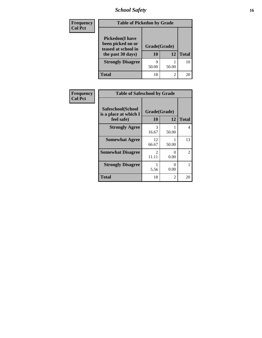*School Safety* **16**

| <b>Frequency</b> | <b>Table of Pickedon by Grade</b>                                                        |                    |                |              |  |
|------------------|------------------------------------------------------------------------------------------|--------------------|----------------|--------------|--|
| <b>Col Pct</b>   | <b>Pickedon</b> (I have<br>been picked on or<br>teased at school in<br>the past 30 days) | Grade(Grade)<br>10 | 12             | <b>Total</b> |  |
|                  | <b>Strongly Disagree</b>                                                                 | q<br>50.00         | 50.00          | 10           |  |
|                  | Total                                                                                    | 18                 | $\mathfrak{D}$ |              |  |

| Frequency      | <b>Table of Safeschool by Grade</b>                      |                         |                  |                |  |
|----------------|----------------------------------------------------------|-------------------------|------------------|----------------|--|
| <b>Col Pct</b> | Safeschool(School<br>is a place at which I<br>feel safe) | Grade(Grade)<br>10      | 12               | <b>Total</b>   |  |
|                | <b>Strongly Agree</b>                                    | 3<br>16.67              | 50.00            | $\overline{4}$ |  |
|                | <b>Somewhat Agree</b>                                    | 12<br>66.67             | 50.00            | 13             |  |
|                | <b>Somewhat Disagree</b>                                 | $\mathfrak{D}$<br>11.11 | $\Omega$<br>0.00 | $\overline{c}$ |  |
|                | <b>Strongly Disagree</b>                                 | 5.56                    | $\Omega$<br>0.00 |                |  |
|                | <b>Total</b>                                             | 18                      | 2                | 20             |  |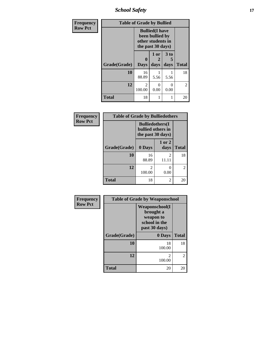*School Safety* **17**

| Frequency      | <b>Table of Grade by Bullied</b> |                                                                                     |                   |                   |                |
|----------------|----------------------------------|-------------------------------------------------------------------------------------|-------------------|-------------------|----------------|
| <b>Row Pct</b> |                                  | <b>Bullied</b> (I have<br>been bullied by<br>other students in<br>the past 30 days) |                   |                   |                |
|                | Grade(Grade)                     | $\bf{0}$<br><b>Days</b>                                                             | 1 or<br>2<br>days | 3 to<br>5<br>days | <b>Total</b>   |
|                | 10                               | 16<br>88.89                                                                         | 5.56              | 5.56              | 18             |
|                | 12                               | 2<br>100.00                                                                         | 0<br>0.00         | 0<br>0.00         | $\overline{c}$ |
|                | <b>Total</b>                     | 18                                                                                  | 1                 |                   | 20             |

| Frequency      | <b>Table of Grade by Bulliedothers</b> |                                                                   |                         |              |
|----------------|----------------------------------------|-------------------------------------------------------------------|-------------------------|--------------|
| <b>Row Pct</b> |                                        | <b>Bulliedothers</b> (I<br>bullied others in<br>the past 30 days) |                         |              |
|                | Grade(Grade)                           | 0 Days                                                            | 1 or 2<br>days          | <b>Total</b> |
|                | 10                                     | 16<br>88.89                                                       | $\mathfrak{D}$<br>11.11 | 18           |
|                | 12                                     | 2<br>100.00                                                       | 0.00                    | 2            |
|                | <b>Total</b>                           | 18                                                                | 2                       | 20           |

| Frequency      | <b>Table of Grade by Weaponschool</b> |                                                                                    |                |  |
|----------------|---------------------------------------|------------------------------------------------------------------------------------|----------------|--|
| <b>Row Pct</b> |                                       | <b>Weaponschool</b> (I<br>brought a<br>weapon to<br>school in the<br>past 30 days) |                |  |
|                | Grade(Grade)                          | 0 Days                                                                             | <b>Total</b>   |  |
|                | 10                                    | 18<br>100.00                                                                       | 18             |  |
|                | 12                                    | $\mathfrak{D}$<br>100.00                                                           | $\overline{2}$ |  |
|                | Total                                 | 20                                                                                 | 20             |  |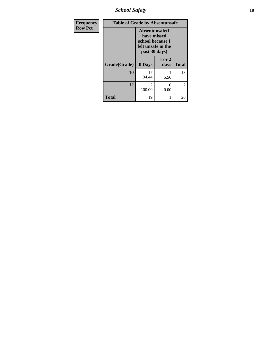*School Safety* **18**

| <b>Frequency</b> | <b>Table of Grade by Absentunsafe</b> |             |                                                                                           |              |
|------------------|---------------------------------------|-------------|-------------------------------------------------------------------------------------------|--------------|
| <b>Row Pct</b>   |                                       |             | Absentunsafe(I)<br>have missed<br>school because I<br>felt unsafe in the<br>past 30 days) |              |
|                  | Grade(Grade)                          | 0 Days      | 1 or 2<br>days                                                                            | <b>Total</b> |
|                  | 10                                    | 17<br>94.44 | 5.56                                                                                      | 18           |
|                  | 12                                    | 2<br>100.00 | 0<br>0.00                                                                                 | 2            |
|                  | <b>Total</b>                          | 19          | 1                                                                                         | 20           |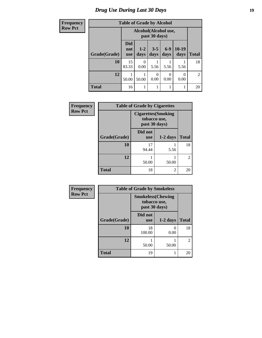# *Drug Use During Last 30 Days* **19**

| Frequency      | <b>Table of Grade by Alcohol</b> |                                       |                 |                  |                  |                 |              |
|----------------|----------------------------------|---------------------------------------|-----------------|------------------|------------------|-----------------|--------------|
| <b>Row Pct</b> |                                  | Alcohol(Alcohol use,<br>past 30 days) |                 |                  |                  |                 |              |
|                | Grade(Grade)                     | <b>Did</b><br>not<br><b>use</b>       | $1 - 2$<br>days | $3 - 5$<br>days  | $6-9$<br>days    | $10-19$<br>days | <b>Total</b> |
|                | 10                               | 15<br>83.33                           | 0<br>0.00       | 5.56             | 5.56             | 5.56            | 18           |
|                | 12                               | 50.00                                 | 50.00           | $\Omega$<br>0.00 | $\Omega$<br>0.00 | 0.00            | 2            |
|                | <b>Total</b>                     | 16                                    | 1               |                  |                  |                 | 20           |

| Frequency      | <b>Table of Grade by Cigarettes</b> |                               |                            |              |
|----------------|-------------------------------------|-------------------------------|----------------------------|--------------|
| <b>Row Pct</b> |                                     | tobacco use,<br>past 30 days) | <b>Cigarettes</b> (Smoking |              |
|                | Grade(Grade)                        | Did not<br><b>use</b>         | $1-2$ days                 | <b>Total</b> |
|                | 10                                  | 17<br>94.44                   | 5.56                       | 18           |
|                | 12                                  | 50.00                         | 50.00                      | 2            |
|                | <b>Total</b>                        | 18                            | 2                          | 20           |

| <b>Frequency</b> |
|------------------|
| <b>Row Pct</b>   |

| <b>Table of Grade by Smokeless</b> |                                                            |              |                |  |  |
|------------------------------------|------------------------------------------------------------|--------------|----------------|--|--|
|                                    | <b>Smokeless</b> (Chewing<br>tobacco use,<br>past 30 days) |              |                |  |  |
| Grade(Grade)                       | Did not<br><b>use</b>                                      | <b>Total</b> |                |  |  |
| 10                                 | 18<br>100.00                                               | 0.00         | 18             |  |  |
| 12                                 | 50.00                                                      | 50.00        | $\overline{c}$ |  |  |
| <b>Total</b>                       | 19                                                         |              | 20             |  |  |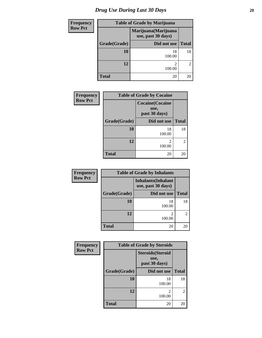| <b>Frequency</b> |              | <b>Table of Grade by Marijuana</b>         |                |  |  |  |
|------------------|--------------|--------------------------------------------|----------------|--|--|--|
| <b>Row Pct</b>   |              | Marijuana (Marijuana<br>use, past 30 days) |                |  |  |  |
|                  | Grade(Grade) | Did not use                                | <b>Total</b>   |  |  |  |
|                  | 10           | 18<br>100.00                               | 18             |  |  |  |
|                  | 12           | っ<br>100.00                                | $\overline{2}$ |  |  |  |
|                  | Total        | 20                                         | 20             |  |  |  |

| <b>Frequency</b> | <b>Table of Grade by Cocaine</b> |                                                  |                             |
|------------------|----------------------------------|--------------------------------------------------|-----------------------------|
| <b>Row Pct</b>   |                                  | <b>Cocaine</b> (Cocaine<br>use,<br>past 30 days) |                             |
|                  | Grade(Grade)                     | Did not use                                      | <b>Total</b>                |
|                  | 10                               | 18<br>100.00                                     | 18                          |
|                  | 12                               | 100.00                                           | $\mathcal{D}_{\mathcal{L}}$ |
|                  | <b>Total</b>                     | 20                                               | 20                          |

| Frequency      |              | <b>Table of Grade by Inhalants</b>               |              |
|----------------|--------------|--------------------------------------------------|--------------|
| <b>Row Pct</b> |              | <b>Inhalants</b> (Inhalant<br>use, past 30 days) |              |
|                | Grade(Grade) | Did not use                                      | <b>Total</b> |
|                | 10           | 18<br>100.00                                     | 18           |
|                | 12           | 100.00                                           | 2            |
|                | <b>Total</b> | 20                                               | 20           |

| Frequency      | <b>Table of Grade by Steroids</b> |                                                   |               |  |
|----------------|-----------------------------------|---------------------------------------------------|---------------|--|
| <b>Row Pct</b> |                                   | <b>Steroids</b> (Steroid<br>use,<br>past 30 days) |               |  |
|                | Grade(Grade)                      | Did not use                                       | <b>Total</b>  |  |
|                | 10                                | 18<br>100.00                                      | 18            |  |
|                | 12                                | 2<br>100.00                                       | $\mathcal{L}$ |  |
|                | Total                             | 20                                                | 20            |  |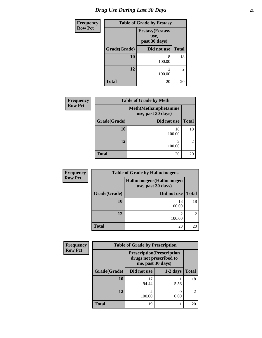| <b>Frequency</b> | <b>Table of Grade by Ecstasy</b> |              |                |  |
|------------------|----------------------------------|--------------|----------------|--|
| <b>Row Pct</b>   |                                  |              |                |  |
|                  | Grade(Grade)<br>Did not use      |              | <b>Total</b>   |  |
|                  | 10                               | 18<br>100.00 | 18             |  |
|                  | 12                               | 2<br>100.00  | $\overline{2}$ |  |
|                  | <b>Total</b>                     | 20           | 20             |  |

| <b>Frequency</b> | <b>Table of Grade by Meth</b>                      |              |                |  |  |
|------------------|----------------------------------------------------|--------------|----------------|--|--|
| <b>Row Pct</b>   | <b>Meth</b> (Methamphetamine<br>use, past 30 days) |              |                |  |  |
|                  | Grade(Grade)                                       | Did not use  | <b>Total</b>   |  |  |
|                  | 10                                                 | 18<br>100.00 | 18             |  |  |
|                  | 12                                                 | 2<br>100.00  | $\mathfrak{D}$ |  |  |
|                  | <b>Total</b>                                       | 20           | 20             |  |  |

| <b>Frequency</b> | <b>Table of Grade by Hallucinogens</b><br>Hallucinogens (Hallucinogen<br>use, past 30 days) |              |               |  |  |
|------------------|---------------------------------------------------------------------------------------------|--------------|---------------|--|--|
| <b>Row Pct</b>   |                                                                                             |              |               |  |  |
|                  | Grade(Grade)                                                                                | Did not use  | <b>Total</b>  |  |  |
|                  | 10                                                                                          | 18<br>100.00 | 18            |  |  |
|                  | 12                                                                                          | ↑<br>100.00  | $\mathcal{D}$ |  |  |
|                  | <b>Total</b>                                                                                | 20           | 20            |  |  |

| Frequency      | <b>Table of Grade by Prescription</b>                                             |             |            |                |  |  |
|----------------|-----------------------------------------------------------------------------------|-------------|------------|----------------|--|--|
| <b>Row Pct</b> | <b>Prescription</b> (Prescription<br>drugs not prescribed to<br>me, past 30 days) |             |            |                |  |  |
|                | Grade(Grade)                                                                      | Did not use | $1-2$ days | <b>Total</b>   |  |  |
|                | 10                                                                                | 17<br>94.44 | 5.56       | 18             |  |  |
|                | 12                                                                                | 2<br>100.00 | 0.00       | $\mathfrak{D}$ |  |  |
|                | <b>Total</b>                                                                      | 19          |            | 20             |  |  |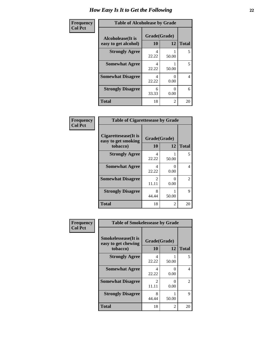| Frequency      | <b>Table of Alcoholease by Grade</b>              |                    |       |              |  |
|----------------|---------------------------------------------------|--------------------|-------|--------------|--|
| <b>Col Pct</b> | <b>Alcoholease</b> (It is<br>easy to get alcohol) | Grade(Grade)<br>10 | 12    | <b>Total</b> |  |
|                | <b>Strongly Agree</b>                             | 4<br>22.22         | 50.00 | 5            |  |
|                | <b>Somewhat Agree</b>                             | 4<br>22.22         | 50.00 | 5            |  |
|                | <b>Somewhat Disagree</b>                          | 4<br>22.22         | 0.00  | 4            |  |
|                | <b>Strongly Disagree</b>                          | 6<br>33.33         | 0.00  | 6            |  |
|                | <b>Total</b>                                      | 18                 | 2     | 20           |  |

| Frequency<br>Col Pct |  |
|----------------------|--|
|                      |  |

| <b>Table of Cigarettesease by Grade</b>                 |                        |       |              |  |  |
|---------------------------------------------------------|------------------------|-------|--------------|--|--|
| Cigarettesease(It is<br>easy to get smoking<br>tobacco) | Grade(Grade)<br>10     | 12    | <b>Total</b> |  |  |
| <b>Strongly Agree</b>                                   | 4<br>22.22             | 50.00 | 5            |  |  |
| <b>Somewhat Agree</b>                                   | 4<br>22.22             | 0.00  | 4            |  |  |
| <b>Somewhat Disagree</b>                                | $\mathcal{L}$<br>11.11 | 0.00  | 2            |  |  |
| <b>Strongly Disagree</b>                                | 8<br>44.44             | 50.00 | 9            |  |  |
| Total                                                   | 18                     | 2     | 20           |  |  |

| Frequency      | <b>Table of Smokelessease by Grade</b>                         |                         |                      |              |  |
|----------------|----------------------------------------------------------------|-------------------------|----------------------|--------------|--|
| <b>Col Pct</b> | <b>Smokelessease</b> (It is<br>easy to get chewing<br>tobacco) | Grade(Grade)<br>10      | 12                   | <b>Total</b> |  |
|                | <b>Strongly Agree</b>                                          | 4<br>22.22              | 50.00                | 5.           |  |
|                | <b>Somewhat Agree</b>                                          | 4<br>22.22              | $\mathbf{0}$<br>0.00 | 4            |  |
|                | <b>Somewhat Disagree</b>                                       | $\mathfrak{D}$<br>11.11 | $\mathbf{0}$<br>0.00 | 2            |  |
|                | <b>Strongly Disagree</b>                                       | 8<br>44.44              | 50.00                | 9            |  |
|                | <b>Total</b>                                                   | 18                      | 2                    | 20           |  |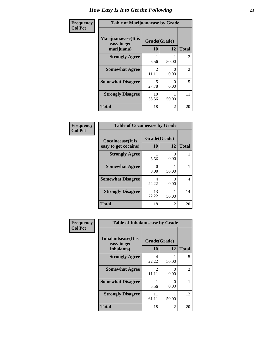| Frequency      | <b>Table of Marijuanaease by Grade</b>            |                         |                  |                |
|----------------|---------------------------------------------------|-------------------------|------------------|----------------|
| <b>Col Pct</b> | Marijuanaease (It is<br>easy to get<br>marijuana) | Grade(Grade)<br>10      | 12               | <b>Total</b>   |
|                | <b>Strongly Agree</b>                             | 5.56                    | 50.00            | $\overline{2}$ |
|                | <b>Somewhat Agree</b>                             | $\mathfrak{D}$<br>11.11 | $\Omega$<br>0.00 | $\overline{2}$ |
|                | <b>Somewhat Disagree</b>                          | 5<br>27.78              | $\Omega$<br>0.00 | 5              |
|                | <b>Strongly Disagree</b>                          | 10<br>55.56             | 50.00            | 11             |
|                | <b>Total</b>                                      | 18                      | 2                | 20             |

#### **Frequency Col Pct**

| <b>Table of Cocaineease by Grade</b> |                  |           |              |  |  |
|--------------------------------------|------------------|-----------|--------------|--|--|
| <b>Cocaineease</b> (It is            |                  |           |              |  |  |
| easy to get cocaine)                 | 10               | 12        | <b>Total</b> |  |  |
| <b>Strongly Agree</b>                | 5.56             | 0<br>0.00 |              |  |  |
| <b>Somewhat Agree</b>                | $\Omega$<br>0.00 | 50.00     |              |  |  |
| <b>Somewhat Disagree</b>             | 22.22            | 0.00      | 4            |  |  |
| <b>Strongly Disagree</b>             | 13<br>72.22      | 50.00     | 14           |  |  |
| <b>Total</b>                         | 18               | 2         | 20           |  |  |

| Frequency      | <b>Table of Inhalantsease by Grade</b>     |                         |           |              |
|----------------|--------------------------------------------|-------------------------|-----------|--------------|
| <b>Col Pct</b> | <b>Inhalantsease</b> (It is<br>easy to get | Grade(Grade)            |           |              |
|                | inhalants)                                 | 10                      | 12        | <b>Total</b> |
|                | <b>Strongly Agree</b>                      | 4<br>22.22              | 50.00     | 5            |
|                | <b>Somewhat Agree</b>                      | $\mathfrak{D}$<br>11.11 | 0<br>0.00 | 2            |
|                | <b>Somewhat Disagree</b>                   | 5.56                    | 0<br>0.00 |              |
|                | <b>Strongly Disagree</b>                   | 11<br>61.11             | 50.00     | 12           |
|                | <b>Total</b>                               | 18                      | 2         | 20           |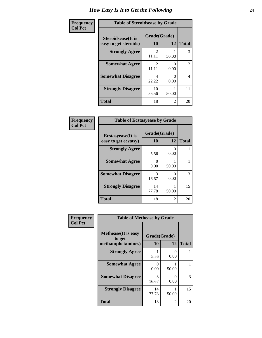| Frequency      | <b>Table of Steroidsease by Grade</b>               |                                      |                       |              |
|----------------|-----------------------------------------------------|--------------------------------------|-----------------------|--------------|
| <b>Col Pct</b> | <b>Steroidsease</b> (It is<br>easy to get steroids) | Grade(Grade)<br>10                   | 12                    | <b>Total</b> |
|                | <b>Strongly Agree</b>                               | $\mathfrak{D}$<br>11.11              | 50.00                 | 3            |
|                | <b>Somewhat Agree</b>                               | $\mathcal{D}_{\mathcal{L}}$<br>11.11 | $\mathcal{O}$<br>0.00 | 2            |
|                | <b>Somewhat Disagree</b>                            | 4<br>22.22                           | 0.00                  | 4            |
|                | <b>Strongly Disagree</b>                            | 10<br>55.56                          | 50.00                 | 11           |
|                | <b>Total</b>                                        | 18                                   | $\overline{2}$        | 20           |

| Frequency      | <b>Table of Ecstasyease by Grade</b>              |                           |                  |              |
|----------------|---------------------------------------------------|---------------------------|------------------|--------------|
| <b>Col Pct</b> | <b>Ecstasyease</b> (It is<br>easy to get ecstasy) | Grade(Grade)<br><b>10</b> | 12               | <b>Total</b> |
|                | <b>Strongly Agree</b>                             | 5.56                      | $_{0}$<br>0.00   |              |
|                | <b>Somewhat Agree</b>                             | ∩<br>0.00                 | 50.00            |              |
|                | <b>Somewhat Disagree</b>                          | 3<br>16.67                | $\Omega$<br>0.00 | 3            |
|                | <b>Strongly Disagree</b>                          | 14<br>77.78               | 50.00            | 15           |
|                | <b>Total</b>                                      | 18                        | 2                | 20           |

| Frequency      | <b>Table of Methease by Grade</b>                          |                    |            |              |
|----------------|------------------------------------------------------------|--------------------|------------|--------------|
| <b>Col Pct</b> | <b>Methease</b> (It is easy<br>to get<br>methamphetamines) | Grade(Grade)<br>10 | 12         | <b>Total</b> |
|                | <b>Strongly Agree</b>                                      | 5.56               | 0<br>0.00  |              |
|                | <b>Somewhat Agree</b>                                      | 0.00               | 50.00      |              |
|                | <b>Somewhat Disagree</b>                                   | 3<br>16.67         | 0<br>0.00  | 3            |
|                | <b>Strongly Disagree</b>                                   | 14<br>77.78        | 1<br>50.00 | 15           |
|                | Total                                                      | 18                 | 2          | 20           |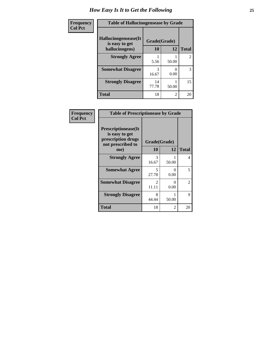| <b>Frequency</b> | <b>Table of Hallucinogensease by Grade</b> |              |       |                |
|------------------|--------------------------------------------|--------------|-------|----------------|
| <b>Col Pct</b>   | Hallucinogensease(It)<br>is easy to get    | Grade(Grade) |       |                |
|                  | hallucinogens)                             | 10           | 12    | <b>Total</b>   |
|                  | <b>Strongly Agree</b>                      | 5.56         | 50.00 | $\overline{2}$ |
|                  | <b>Somewhat Disagree</b>                   | 3<br>16.67   | 0.00  | 3              |
|                  | <b>Strongly Disagree</b>                   | 14<br>77.78  | 50.00 | 15             |
|                  | <b>Total</b>                               | 18           | 2     | 20             |

| Frequency      | <b>Table of Prescriptionease by Grade</b>                                                |                                   |           |                |
|----------------|------------------------------------------------------------------------------------------|-----------------------------------|-----------|----------------|
| <b>Col Pct</b> | <b>Prescriptionease</b> (It<br>is easy to get<br>prescription drugs<br>not prescribed to | Grade(Grade)                      |           |                |
|                | me)                                                                                      | 10                                | 12        | <b>Total</b>   |
|                | <b>Strongly Agree</b>                                                                    | 3<br>16.67                        | 50.00     | 4              |
|                | <b>Somewhat Agree</b>                                                                    | $\overline{\phantom{0}}$<br>27.78 | 0<br>0.00 | 5              |
|                | <b>Somewhat Disagree</b>                                                                 | 2<br>11.11                        | 0<br>0.00 | $\overline{2}$ |
|                | <b>Strongly Disagree</b>                                                                 | 8<br>44.44                        | 50.00     | 9              |
|                | Total                                                                                    | 18                                | 2         | 20             |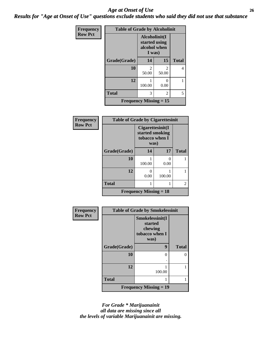### *Age at Onset of Use* **26** *Results for "Age at Onset of Use" questions exclude students who said they did not use that substance*

| <b>Frequency</b><br><b>Row Pct</b> | <b>Table of Grade by Alcoholinit</b>       |                                                          |                         |                |
|------------------------------------|--------------------------------------------|----------------------------------------------------------|-------------------------|----------------|
|                                    |                                            | Alcoholinit(I<br>started using<br>alcohol when<br>I was) |                         |                |
|                                    | Grade(Grade)                               | 14                                                       | 15                      | <b>Total</b>   |
|                                    | 10                                         | $\mathfrak{D}$<br>50.00                                  | $\mathfrak{D}$<br>50.00 | $\overline{4}$ |
|                                    | 12                                         | 100.00                                                   | 0<br>0.00               |                |
|                                    | <b>Total</b>                               | 3                                                        | 2                       | 5              |
|                                    | <b>Frequency Missing <math>= 15</math></b> |                                                          |                         |                |

| <b>Frequency</b> |
|------------------|
| <b>Row Pct</b>   |

| <b>Table of Grade by Cigarettesinit</b>    |                                                               |        |              |  |  |  |
|--------------------------------------------|---------------------------------------------------------------|--------|--------------|--|--|--|
|                                            | Cigarettesinit(I<br>started smoking<br>tobacco when I<br>was) |        |              |  |  |  |
| Grade(Grade)                               | 14                                                            | 17     | <b>Total</b> |  |  |  |
| 10                                         | 100.00                                                        | 0.00   |              |  |  |  |
| 12                                         | 0<br>0.00                                                     | 100.00 |              |  |  |  |
| <b>Total</b>                               | 1                                                             |        | 2            |  |  |  |
| <b>Frequency Missing <math>= 18</math></b> |                                                               |        |              |  |  |  |

| Frequency      | <b>Table of Grade by Smokelessinit</b> |                                                                 |              |  |
|----------------|----------------------------------------|-----------------------------------------------------------------|--------------|--|
| <b>Row Pct</b> |                                        | Smokelessinit(I<br>started<br>chewing<br>tobacco when I<br>was) |              |  |
|                | Grade(Grade)                           | 9                                                               | <b>Total</b> |  |
|                | 10                                     | 0                                                               |              |  |
|                |                                        |                                                                 |              |  |
|                | 12                                     | 100.00                                                          |              |  |
|                | <b>Total</b>                           |                                                                 |              |  |
|                |                                        | Frequency Missing $= 19$                                        |              |  |

*For Grade \* Marijuanainit all data are missing since all the levels of variable Marijuanainit are missing.*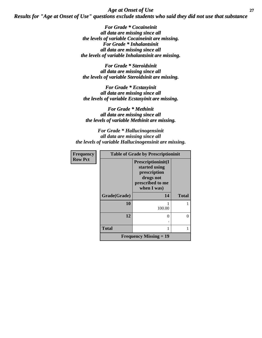*Age at Onset of Use* **27** *Results for "Age at Onset of Use" questions exclude students who said they did not use that substance*

> *For Grade \* Cocaineinit all data are missing since all the levels of variable Cocaineinit are missing. For Grade \* Inhalantsinit all data are missing since all the levels of variable Inhalantsinit are missing.*

*For Grade \* Steroidsinit all data are missing since all the levels of variable Steroidsinit are missing.*

*For Grade \* Ecstasyinit all data are missing since all the levels of variable Ecstasyinit are missing.*

*For Grade \* Methinit all data are missing since all the levels of variable Methinit are missing.*

*For Grade \* Hallucinogensinit all data are missing since all the levels of variable Hallucinogensinit are missing.*

| <b>Frequency</b> | <b>Table of Grade by Prescriptioninit</b> |                                                                                                     |              |
|------------------|-------------------------------------------|-----------------------------------------------------------------------------------------------------|--------------|
| <b>Row Pct</b>   |                                           | Prescriptioninit(I<br>started using<br>prescription<br>drugs not<br>prescribed to me<br>when I was) |              |
|                  | Grade(Grade)                              | 14                                                                                                  | <b>Total</b> |
|                  | 10                                        | 100.00                                                                                              |              |
|                  | 12                                        | $\Omega$                                                                                            |              |
|                  | <b>Total</b>                              |                                                                                                     |              |
|                  |                                           | <b>Frequency Missing = 19</b>                                                                       |              |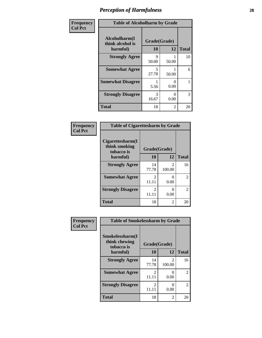| Frequency      | <b>Table of Alcoholharm by Grade</b>          |                                   |           |              |
|----------------|-----------------------------------------------|-----------------------------------|-----------|--------------|
| <b>Col Pct</b> | Alcoholharm(I<br>think alcohol is<br>harmful) | Grade(Grade)<br>10                | 12        | <b>Total</b> |
|                | <b>Strongly Agree</b>                         | 9<br>50.00                        | 50.00     | 10           |
|                | <b>Somewhat Agree</b>                         | $\overline{\mathcal{L}}$<br>27.78 | 50.00     | 6            |
|                | <b>Somewhat Disagree</b>                      | 5.56                              | 0<br>0.00 |              |
|                | <b>Strongly Disagree</b>                      | 3<br>16.67                        | 0<br>0.00 | 3            |
|                | <b>Total</b>                                  | 18                                | 2         | 20           |

#### **Frequency Col Pct**

| <b>Table of Cigarettesharm by Grade</b>         |                        |                                       |               |  |
|-------------------------------------------------|------------------------|---------------------------------------|---------------|--|
| Cigarettesharm(I<br>think smoking<br>tobacco is | Grade(Grade)           |                                       |               |  |
| harmful)                                        | 10                     | 12                                    | <b>Total</b>  |  |
| <b>Strongly Agree</b>                           | 14<br>77.78            | $\mathcal{D}_{\mathcal{L}}$<br>100.00 | 16            |  |
| <b>Somewhat Agree</b>                           | $\mathcal{L}$<br>11.11 | ∩<br>0.00                             | $\mathcal{L}$ |  |
| <b>Strongly Disagree</b>                        | 2<br>11.11             | 0.00                                  | $\mathcal{L}$ |  |
| <b>Total</b>                                    | 18                     | 2                                     | 20            |  |

| Frequency      | <b>Table of Smokelessharm by Grade</b>         |                         |                       |              |  |
|----------------|------------------------------------------------|-------------------------|-----------------------|--------------|--|
| <b>Col Pct</b> | Smokelessharm(I<br>think chewing<br>tobacco is | Grade(Grade)            |                       |              |  |
|                | harmful)                                       | 10                      | 12                    | <b>Total</b> |  |
|                | <b>Strongly Agree</b>                          | 14<br>77.78             | 2<br>100.00           | 16           |  |
|                | <b>Somewhat Agree</b>                          | $\mathfrak{D}$<br>11.11 | 0<br>0.00             | 2            |  |
|                | <b>Strongly Disagree</b>                       | 2<br>11.11              | $\mathcal{O}$<br>0.00 | 2            |  |
|                | <b>Total</b>                                   | 18                      | 2                     | 20           |  |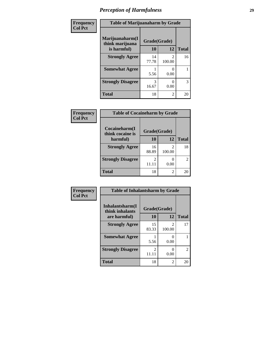| Frequency      | <b>Table of Marijuanaharm by Grade</b> |              |                |              |
|----------------|----------------------------------------|--------------|----------------|--------------|
| <b>Col Pct</b> | Marijuanaharm(I<br>think marijuana     | Grade(Grade) |                |              |
|                | is harmful)                            | 10           | 12             | <b>Total</b> |
|                | <b>Strongly Agree</b>                  | 14<br>77.78  | 100.00         | 16           |
|                | <b>Somewhat Agree</b>                  | 5.56         | 0.00           |              |
|                | <b>Strongly Disagree</b>               | 3<br>16.67   | 0.00           | 3            |
|                | <b>Total</b>                           | 18           | $\overline{2}$ | 20           |

| Frequency      | <b>Table of Cocaineharm by Grade</b> |              |                                       |                |
|----------------|--------------------------------------|--------------|---------------------------------------|----------------|
| <b>Col Pct</b> | Cocaineharm(I<br>think cocaine is    | Grade(Grade) |                                       |                |
|                | harmful)                             | 10           | 12                                    | <b>Total</b>   |
|                | <b>Strongly Agree</b>                | 16<br>88.89  | $\mathcal{D}_{\mathcal{L}}$<br>100.00 | 18             |
|                | <b>Strongly Disagree</b>             | 2<br>11.11   | 0.00                                  | $\mathfrak{D}$ |
|                | <b>Total</b>                         | 18           | 2                                     | 20             |

| <b>Frequency</b> | <b>Table of Inhalantsharm by Grade</b> |              |                                       |                |
|------------------|----------------------------------------|--------------|---------------------------------------|----------------|
| <b>Col Pct</b>   | Inhalantsharm(I<br>think inhalants     | Grade(Grade) |                                       |                |
|                  | are harmful)                           | 10           | 12                                    | <b>Total</b>   |
|                  | <b>Strongly Agree</b>                  | 15<br>83.33  | $\mathcal{D}_{\mathcal{A}}$<br>100.00 | 17             |
|                  | <b>Somewhat Agree</b>                  | 5.56         | 0.00                                  |                |
|                  | <b>Strongly Disagree</b>               | 2<br>11.11   | 0.00                                  | $\overline{c}$ |
|                  | <b>Total</b>                           | 18           | $\mathfrak{D}$                        | 20             |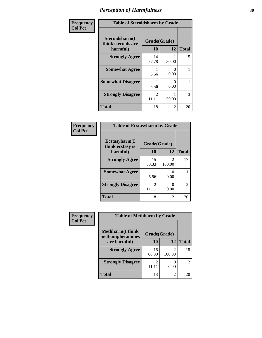| Frequency      | <b>Table of Steroidsharm by Grade</b>            |                                      |                |              |
|----------------|--------------------------------------------------|--------------------------------------|----------------|--------------|
| <b>Col Pct</b> | Steroidsharm(I<br>think steroids are<br>harmful) | Grade(Grade)<br>10                   | 12             | <b>Total</b> |
|                | <b>Strongly Agree</b>                            | 14<br>77.78                          | 50.00          | 15           |
|                | <b>Somewhat Agree</b>                            | 5.56                                 | 0<br>0.00      |              |
|                | <b>Somewhat Disagree</b>                         | 5.56                                 | 0<br>0.00      |              |
|                | <b>Strongly Disagree</b>                         | $\mathcal{D}_{\mathcal{L}}$<br>11.11 | 50.00          | 3            |
|                | <b>Total</b>                                     | 18                                   | $\mathfrak{D}$ | 20           |

#### **Frequency Col Pct**

| <b>Table of Ecstasyharm by Grade</b> |                        |                          |                |  |  |
|--------------------------------------|------------------------|--------------------------|----------------|--|--|
| Ecstasyharm(I<br>think ecstasy is    | Grade(Grade)           |                          |                |  |  |
| harmful)                             | 10                     | 12                       | <b>Total</b>   |  |  |
| <b>Strongly Agree</b>                | 15<br>83.33            | $\mathfrak{D}$<br>100.00 | 17             |  |  |
| <b>Somewhat Agree</b>                | 5.56                   | 0<br>0.00                |                |  |  |
| <b>Strongly Disagree</b>             | $\mathcal{L}$<br>11.11 | 0<br>0.00                | $\overline{c}$ |  |  |
| <b>Total</b>                         | 18                     | $\mathfrak{D}$           | 20             |  |  |

| <b>Frequency</b> | <b>Table of Methharm by Grade</b>            |                         |             |                |
|------------------|----------------------------------------------|-------------------------|-------------|----------------|
| <b>Col Pct</b>   | <b>Methharm</b> (I think<br>methamphetamines | Grade(Grade)            |             |                |
|                  | are harmful)                                 | 10                      | 12          | <b>Total</b>   |
|                  | <b>Strongly Agree</b>                        | 16<br>88.89             | っ<br>100.00 | 18             |
|                  | <b>Strongly Disagree</b>                     | $\mathfrak{D}$<br>11.11 | 0.00        | $\overline{c}$ |
|                  | <b>Total</b>                                 | 18                      | 2           | 20             |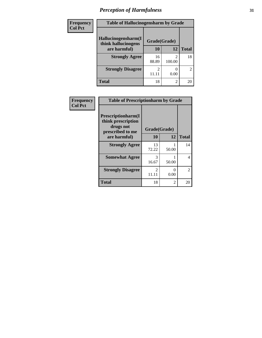| Frequency      | <b>Table of Hallucinogensharm by Grade</b> |              |             |                |
|----------------|--------------------------------------------|--------------|-------------|----------------|
| <b>Col Pct</b> | Hallucinogensharm(I<br>think hallucinogens | Grade(Grade) |             |                |
|                | are harmful)                               | 10           | 12          | <b>Total</b>   |
|                | <b>Strongly Agree</b>                      | 16<br>88.89  | 2<br>100.00 | 18             |
|                | <b>Strongly Disagree</b>                   | 11.11        | 0.00        | $\overline{c}$ |
|                | <b>Total</b>                               | 18           | 2           | 20             |

| Frequency      | <b>Table of Prescriptionharm by Grade</b>                                 |                         |                |              |  |
|----------------|---------------------------------------------------------------------------|-------------------------|----------------|--------------|--|
| <b>Col Pct</b> | Prescriptionharm(I<br>think prescription<br>drugs not<br>prescribed to me | Grade(Grade)            |                |              |  |
|                | are harmful)                                                              | 10                      | 12             | <b>Total</b> |  |
|                | <b>Strongly Agree</b>                                                     | 13<br>72.22             | 50.00          | 14           |  |
|                | <b>Somewhat Agree</b>                                                     | 3<br>16.67              | 50.00          | 4            |  |
|                | <b>Strongly Disagree</b>                                                  | $\mathfrak{D}$<br>11.11 | 0<br>0.00      | 2            |  |
|                | <b>Total</b>                                                              | 18                      | $\overline{2}$ | 20           |  |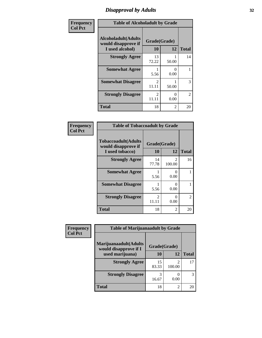## *Disapproval by Adults* **32**

| Frequency      |                                                               | <b>Table of Alcoholadult by Grade</b> |                       |              |
|----------------|---------------------------------------------------------------|---------------------------------------|-----------------------|--------------|
| <b>Col Pct</b> | Alcoholadult(Adults<br>would disapprove if<br>I used alcohol) | Grade(Grade)<br>10                    | 12                    | <b>Total</b> |
|                | <b>Strongly Agree</b>                                         | 13<br>72.22                           | 50.00                 | 14           |
|                | <b>Somewhat Agree</b>                                         | 5.56                                  | 0<br>0.00             |              |
|                | <b>Somewhat Disagree</b>                                      | $\overline{2}$<br>11.11               | 50.00                 | 3            |
|                | <b>Strongly Disagree</b>                                      | $\mathfrak{D}$<br>11.11               | $\mathcal{O}$<br>0.00 | 2            |
|                | <b>Total</b>                                                  | 18                                    | 2                     | 20           |

#### **Frequency Col Pct**

| <b>Table of Tobaccoadult by Grade</b>                                 |                         |                         |                             |  |  |  |
|-----------------------------------------------------------------------|-------------------------|-------------------------|-----------------------------|--|--|--|
| <b>Tobaccoadult</b> (Adults<br>would disapprove if<br>I used tobacco) | Grade(Grade)<br>10      | <b>Total</b>            |                             |  |  |  |
| <b>Strongly Agree</b>                                                 | 14<br>77.78             | $\mathcal{L}$<br>100.00 | 16                          |  |  |  |
| <b>Somewhat Agree</b>                                                 | 5.56                    | 0<br>0.00               | 1                           |  |  |  |
| <b>Somewhat Disagree</b>                                              | 1<br>5.56               | 0<br>0.00               | 1                           |  |  |  |
| <b>Strongly Disagree</b>                                              | $\overline{c}$<br>11.11 | 0<br>0.00               | $\mathcal{D}_{\mathcal{L}}$ |  |  |  |
| <b>Total</b>                                                          | 18                      | 2                       | 20                          |  |  |  |

| Frequency      | <b>Table of Marijuanaadult by Grade</b>                        |             |                                       |              |
|----------------|----------------------------------------------------------------|-------------|---------------------------------------|--------------|
| <b>Col Pct</b> | Marijuanaadult(Adults<br>Grade(Grade)<br>would disapprove if I |             |                                       |              |
|                | used marijuana)                                                | 10          | 12                                    | <b>Total</b> |
|                | <b>Strongly Agree</b>                                          | 15<br>83.33 | $\mathcal{D}_{\mathcal{L}}$<br>100.00 | 17           |
|                | <b>Strongly Disagree</b>                                       | 3<br>16.67  | $\Omega$<br>0.00                      | 3            |
|                | <b>Total</b>                                                   | 18          | 2                                     | 20           |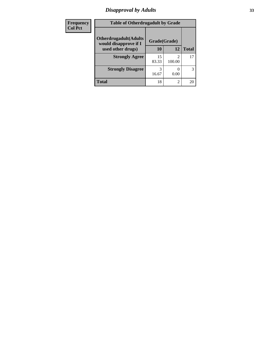## *Disapproval by Adults* **33**

| Frequency      | <b>Table of Otherdrugadult by Grade</b>                |              |                |              |
|----------------|--------------------------------------------------------|--------------|----------------|--------------|
| <b>Col Pct</b> | <b>Otherdrugadult</b> (Adults<br>would disapprove if I | Grade(Grade) |                |              |
|                | used other drugs)                                      | 10           | 12             | <b>Total</b> |
|                | <b>Strongly Agree</b>                                  | 15<br>83.33  | 100.00         | 17           |
|                | <b>Strongly Disagree</b>                               | 16.67        | 0.00           | 3            |
|                | Total                                                  | 18           | $\overline{2}$ | 20           |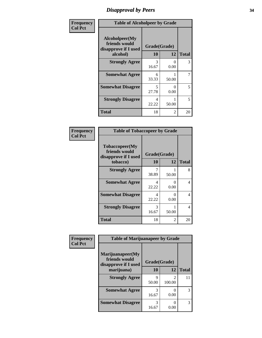# *Disapproval by Peers* **34**

| Frequency      | <b>Table of Alcoholpeer by Grade</b>                    |              |           |              |
|----------------|---------------------------------------------------------|--------------|-----------|--------------|
| <b>Col Pct</b> | Alcoholpeer(My<br>friends would<br>disapprove if I used | Grade(Grade) |           |              |
|                | alcohol)                                                | 10           | 12        | <b>Total</b> |
|                | <b>Strongly Agree</b>                                   | 3<br>16.67   | ∩<br>0.00 | 3            |
|                | <b>Somewhat Agree</b>                                   | 6<br>33.33   | 50.00     | 7            |
|                | <b>Somewhat Disagree</b>                                | 5<br>27.78   | 0<br>0.00 | 5            |
|                | <b>Strongly Disagree</b>                                | 4<br>22.22   | 50.00     | 5            |
|                | Total                                                   | 18           | 2         | 20           |

| Frequency      | <b>Table of Tobaccopeer by Grade</b>                                |                    |           |              |
|----------------|---------------------------------------------------------------------|--------------------|-----------|--------------|
| <b>Col Pct</b> | Tobaccopeer(My<br>friends would<br>disapprove if I used<br>tobacco) | Grade(Grade)<br>10 | 12        | <b>Total</b> |
|                | <b>Strongly Agree</b>                                               | 38.89              | 50.00     | 8            |
|                | <b>Somewhat Agree</b>                                               | 4<br>22.22         | 0<br>0.00 | 4            |
|                | <b>Somewhat Disagree</b>                                            | 4<br>22.22         | 0<br>0.00 | 4            |
|                | <b>Strongly Disagree</b>                                            | 3<br>16.67         | 50.00     | 4            |
|                | <b>Total</b>                                                        | 18                 | 2         | 20           |

| Frequency      | <b>Table of Marijuanapeer by Grade</b>                    |              |                          |              |
|----------------|-----------------------------------------------------------|--------------|--------------------------|--------------|
| <b>Col Pct</b> | Marijuanapeer(My<br>friends would<br>disapprove if I used | Grade(Grade) |                          |              |
|                | marijuana)                                                | 10           | 12                       | <b>Total</b> |
|                | <b>Strongly Agree</b>                                     | 9<br>50.00   | $\mathfrak{D}$<br>100.00 | 11           |
|                | <b>Somewhat Agree</b>                                     | 3<br>16.67   | 0.00                     | 3            |
|                | <b>Somewhat Disagree</b>                                  | 3<br>16.67   | 0.00                     | 3            |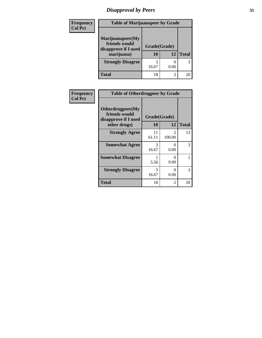# *Disapproval by Peers* **35**

| Frequency<br><b>Col Pct</b> | <b>Table of Marijuanapeer by Grade</b>                                  |                    |                |              |
|-----------------------------|-------------------------------------------------------------------------|--------------------|----------------|--------------|
|                             | Marijuanapeer(My<br>friends would<br>disapprove if I used<br>marijuana) | Grade(Grade)<br>10 | 12             | <b>Total</b> |
|                             | <b>Strongly Disagree</b>                                                | 3<br>16.67         | 0.00           | 3            |
|                             | Total                                                                   | 18                 | $\overline{2}$ | 20           |

| Frequency      | <b>Table of Otherdrugpeer by Grade</b>                                    |                    |             |              |
|----------------|---------------------------------------------------------------------------|--------------------|-------------|--------------|
| <b>Col Pct</b> | Otherdrugpeer(My<br>friends would<br>disapprove if I used<br>other drugs) | Grade(Grade)<br>10 | 12          | <b>Total</b> |
|                | <b>Strongly Agree</b>                                                     | 11<br>61.11        | 2<br>100.00 | 13           |
|                | <b>Somewhat Agree</b>                                                     | 3<br>16.67         | 0<br>0.00   | 3            |
|                | <b>Somewhat Disagree</b>                                                  | 5.56               | 0<br>0.00   |              |
|                | <b>Strongly Disagree</b>                                                  | 3<br>16.67         | 0<br>0.00   | 3            |
|                | <b>Total</b>                                                              | 18                 | 2           | 20           |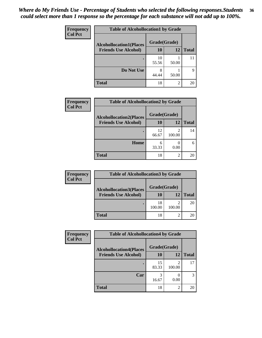#### *Where do My Friends Use - Percentage of Students who selected the following responses.Students could select more than 1 response so the percentage for each substance will not add up to 100%.* **36**

| Frequency<br><b>Col Pct</b> | <b>Table of Alcohollocation1 by Grade</b>      |             |                |              |  |
|-----------------------------|------------------------------------------------|-------------|----------------|--------------|--|
|                             | Grade(Grade)<br><b>Alcohollocation1(Places</b> |             |                |              |  |
|                             | <b>Friends Use Alcohol)</b>                    | 10          | 12             | <b>Total</b> |  |
|                             |                                                | 10<br>55.56 | 50.00          | 11           |  |
|                             | Do Not Use                                     | 8<br>44.44  | 50.00          | 9            |  |
|                             | Total                                          | 18          | $\overline{2}$ | 20           |  |

| Frequency      | <b>Table of Alcohollocation2 by Grade</b> |              |                          |              |
|----------------|-------------------------------------------|--------------|--------------------------|--------------|
| <b>Col Pct</b> | <b>Alcohollocation2(Places</b>            | Grade(Grade) |                          |              |
|                | <b>Friends Use Alcohol)</b>               | 10           | 12                       | <b>Total</b> |
|                |                                           | 12<br>66.67  | $\overline{2}$<br>100.00 | 14           |
|                | Home                                      | 6<br>33.33   | 0.00                     |              |
|                | <b>Total</b>                              | 18           | 2                        | 20           |

| <b>Frequency</b> | <b>Table of Alcohollocation3 by Grade</b> |              |        |              |
|------------------|-------------------------------------------|--------------|--------|--------------|
| <b>Col Pct</b>   | <b>Alcohollocation3(Places</b>            | Grade(Grade) |        |              |
|                  | <b>Friends Use Alcohol)</b>               | 10           | 12     | <b>Total</b> |
|                  |                                           | 18<br>100.00 | 100.00 | 20           |
|                  | <b>Total</b>                              | 18           |        | 20           |

| <b>Frequency</b> | <b>Table of Alcohollocation4 by Grade</b><br>Grade(Grade)<br><b>Alcohollocation4(Places</b> |             |                |              |
|------------------|---------------------------------------------------------------------------------------------|-------------|----------------|--------------|
| <b>Col Pct</b>   |                                                                                             |             |                |              |
|                  | <b>Friends Use Alcohol)</b>                                                                 | 10          | 12             | <b>Total</b> |
|                  |                                                                                             | 15<br>83.33 | ↑<br>100.00    | 17           |
|                  | Car                                                                                         | 3<br>16.67  | 0.00           | 3            |
|                  | <b>Total</b>                                                                                | 18          | $\overline{2}$ | 20           |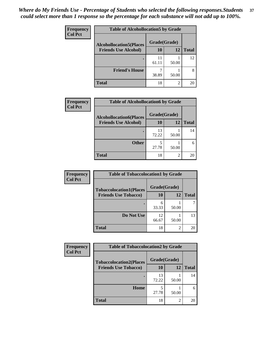| Frequency<br><b>Col Pct</b> | <b>Table of Alcohollocation5 by Grade</b>      |             |                |              |  |
|-----------------------------|------------------------------------------------|-------------|----------------|--------------|--|
|                             | Grade(Grade)<br><b>Alcohollocation5(Places</b> |             |                |              |  |
|                             | <b>Friends Use Alcohol)</b>                    | 10          | 12             | <b>Total</b> |  |
|                             |                                                | 11<br>61.11 | 50.00          | 12           |  |
|                             | <b>Friend's House</b>                          | 38.89       | 50.00          | 8            |  |
|                             | <b>Total</b>                                   | 18          | $\overline{2}$ | 20           |  |

| <b>Frequency</b> | <b>Table of Alcohollocation6 by Grade</b> |              |                |              |
|------------------|-------------------------------------------|--------------|----------------|--------------|
| <b>Col Pct</b>   | <b>Alcohollocation6(Places</b>            | Grade(Grade) |                |              |
|                  | <b>Friends Use Alcohol)</b>               | 10           | 12             | <b>Total</b> |
|                  |                                           | 13<br>72.22  | 50.00          | 14           |
|                  | <b>Other</b>                              | 5<br>27.78   | 50.00          |              |
|                  | <b>Total</b>                              | 18           | $\overline{2}$ | 20           |

| <b>Frequency</b>            | <b>Table of Tobaccolocation1 by Grade</b> |              |              |    |
|-----------------------------|-------------------------------------------|--------------|--------------|----|
| <b>Col Pct</b>              | <b>Tobaccolocation1(Places</b>            | Grade(Grade) |              |    |
| <b>Friends Use Tobacco)</b> | 10                                        | 12           | <b>Total</b> |    |
|                             |                                           | 6<br>33.33   | 50.00        |    |
|                             | Do Not Use                                | 12<br>66.67  | 50.00        | 13 |
|                             | <b>Total</b>                              | 18           | 2            | 20 |

| Frequency      | <b>Table of Tobaccolocation2 by Grade</b> |              |                |              |  |
|----------------|-------------------------------------------|--------------|----------------|--------------|--|
| <b>Col Pct</b> | <b>Tobaccolocation2(Places</b>            | Grade(Grade) |                |              |  |
|                | <b>Friends Use Tobacco)</b>               | 10           | 12             | <b>Total</b> |  |
|                |                                           | 13<br>72.22  | 50.00          | 14           |  |
|                | Home                                      | 27.78        | 50.00          | 6            |  |
|                | <b>Total</b>                              | 18           | $\overline{2}$ | 20           |  |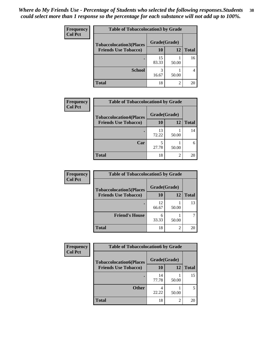| Frequency      | <b>Table of Tobaccolocation 3 by Grade</b> |              |           |              |
|----------------|--------------------------------------------|--------------|-----------|--------------|
| <b>Col Pct</b> | <b>Tobaccolocation3(Places</b>             | Grade(Grade) |           |              |
|                | <b>Friends Use Tobacco)</b>                | 10           | <b>12</b> | <b>Total</b> |
|                |                                            | 15<br>83.33  | 50.00     | 16           |
|                | <b>School</b>                              | 3<br>16.67   | 50.00     |              |
|                | <b>Total</b>                               | 18           | 2         | 20           |

| Frequency<br><b>Col Pct</b> | <b>Table of Tobaccolocation4 by Grade</b> |              |                |              |
|-----------------------------|-------------------------------------------|--------------|----------------|--------------|
|                             | <b>Tobaccolocation4(Places</b>            | Grade(Grade) |                |              |
|                             | <b>Friends Use Tobacco)</b>               | 10           | 12             | <b>Total</b> |
|                             |                                           | 13<br>72.22  | 50.00          | 14           |
|                             | Car                                       | 27.78        | 50.00          | 6            |
|                             | <b>Total</b>                              | 18           | $\mathfrak{D}$ | 20           |

| Frequency      | <b>Table of Tobaccolocation5 by Grade</b>                     |                           |           |              |
|----------------|---------------------------------------------------------------|---------------------------|-----------|--------------|
| <b>Col Pct</b> | <b>Tobaccolocation5(Places</b><br><b>Friends Use Tobacco)</b> | Grade(Grade)<br><b>10</b> | <b>12</b> | <b>Total</b> |
|                |                                                               |                           |           |              |
|                |                                                               | 12<br>66.67               | 50.00     | 13           |
|                | <b>Friend's House</b>                                         | 6<br>33.33                | 50.00     |              |
|                | <b>Total</b>                                                  | 18                        | 2         | 20           |

| Frequency      | <b>Table of Tobaccolocation6 by Grade</b> |              |       |              |
|----------------|-------------------------------------------|--------------|-------|--------------|
| <b>Col Pct</b> | <b>Tobaccolocation6(Places</b>            | Grade(Grade) |       |              |
|                | <b>Friends Use Tobacco)</b>               | 10           | 12    | <b>Total</b> |
|                |                                           | 14<br>77.78  | 50.00 | 15           |
|                | <b>Other</b>                              | 22.22        | 50.00 |              |
|                | <b>Total</b>                              | 18           | 2     | 20           |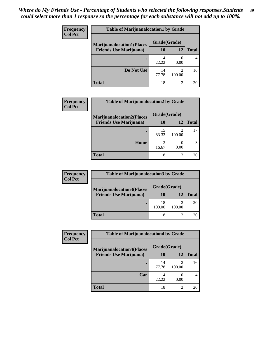| <b>Frequency</b> | <b>Table of Marijuanalocation1 by Grade</b> |              |                |              |
|------------------|---------------------------------------------|--------------|----------------|--------------|
| <b>Col Pct</b>   | <b>Marijuanalocation1(Places</b>            | Grade(Grade) |                |              |
|                  | <b>Friends Use Marijuana</b> )              | 10           | 12             | <b>Total</b> |
|                  |                                             | 22.22        | 0.00           |              |
|                  | Do Not Use                                  | 14<br>77.78  | 100.00         | 16           |
|                  | Total                                       | 18           | $\mathfrak{D}$ | 20           |

| Frequency      | <b>Table of Marijuanalocation2 by Grade</b> |              |                                    |              |
|----------------|---------------------------------------------|--------------|------------------------------------|--------------|
| <b>Col Pct</b> | <b>Marijuanalocation2(Places</b>            | Grade(Grade) |                                    |              |
|                | <b>Friends Use Marijuana</b> )              | 10           | 12                                 | <b>Total</b> |
|                |                                             | 15<br>83.33  | $\overline{\mathcal{L}}$<br>100.00 | 17           |
|                | Home                                        | 16.67        | 0.00                               |              |
|                | <b>Total</b>                                | 18           | 2                                  | 20           |

| <b>Frequency</b> | <b>Table of Marijuanalocation3 by Grade</b> |              |        |              |  |
|------------------|---------------------------------------------|--------------|--------|--------------|--|
| <b>Col Pct</b>   | <b>Marijuanalocation3(Places</b>            | Grade(Grade) |        |              |  |
|                  | <b>Friends Use Marijuana</b> )              | 10           | 12     | <b>Total</b> |  |
|                  |                                             | 18<br>100.00 | 100.00 | 20           |  |
|                  | <b>Total</b>                                | 18           |        | 20           |  |

| <b>Frequency</b><br><b>Col Pct</b> | <b>Table of Marijuanalocation4 by Grade</b> |              |                |              |
|------------------------------------|---------------------------------------------|--------------|----------------|--------------|
|                                    | <b>Marijuanalocation4(Places</b>            | Grade(Grade) |                |              |
|                                    | <b>Friends Use Marijuana</b> )              | <b>10</b>    | 12             | <b>Total</b> |
|                                    |                                             | 14<br>77.78  | 100.00         | 16           |
|                                    | Car                                         | 22.22        | 0.00           |              |
|                                    | <b>Total</b>                                | 18           | $\overline{c}$ | 20           |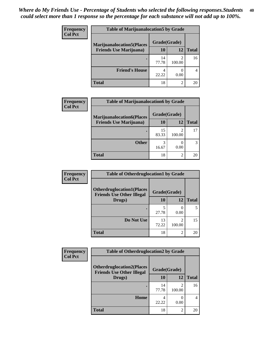| <b>Frequency</b> | <b>Table of Marijuanalocation5 by Grade</b> |              |                |              |
|------------------|---------------------------------------------|--------------|----------------|--------------|
| <b>Col Pct</b>   | <b>Marijuanalocation5</b> (Places           | Grade(Grade) |                |              |
|                  | <b>Friends Use Marijuana</b> )              | 10           | 12             | <b>Total</b> |
|                  |                                             | 14<br>77.78  | 100.00         | 16           |
|                  | <b>Friend's House</b>                       | 22.22        | 0.00           |              |
|                  | <b>Total</b>                                | 18           | $\mathfrak{D}$ | 20           |

| Frequency      | <b>Table of Marijuanalocation6 by Grade</b>                        |                    |             |              |
|----------------|--------------------------------------------------------------------|--------------------|-------------|--------------|
| <b>Col Pct</b> | <b>Marijuanalocation6(Places</b><br><b>Friends Use Marijuana</b> ) | Grade(Grade)<br>10 | 12          | <b>Total</b> |
|                |                                                                    |                    |             |              |
|                |                                                                    | 15<br>83.33        | 2<br>100.00 | 17           |
|                | <b>Other</b>                                                       | 16.67              | 0.00        |              |
|                | <b>Total</b>                                                       | 18                 | 2           | 20           |

| <b>Frequency</b> | <b>Table of Otherdruglocation1 by Grade</b>                          |              |                                                                                                                                                                           |              |
|------------------|----------------------------------------------------------------------|--------------|---------------------------------------------------------------------------------------------------------------------------------------------------------------------------|--------------|
| <b>Col Pct</b>   | <b>Otherdruglocation1(Places</b><br><b>Friends Use Other Illegal</b> | Grade(Grade) |                                                                                                                                                                           |              |
|                  | Drugs)                                                               | 10           | 12                                                                                                                                                                        | <b>Total</b> |
|                  |                                                                      | 27.78        | 0.00                                                                                                                                                                      |              |
|                  | Do Not Use                                                           | 13<br>72.22  | $\mathcal{D}_{\mathcal{A}}^{\mathcal{A}}(\mathcal{A})=\mathcal{D}_{\mathcal{A}}^{\mathcal{A}}(\mathcal{A})\mathcal{D}_{\mathcal{A}}^{\mathcal{A}}(\mathcal{A})$<br>100.00 | 15           |
|                  | <b>Total</b>                                                         | 18           | $\mathfrak{D}$                                                                                                                                                            | 20           |

| <b>Frequency</b> | <b>Table of Otherdruglocation2 by Grade</b>                          |              |                                       |              |
|------------------|----------------------------------------------------------------------|--------------|---------------------------------------|--------------|
| <b>Col Pct</b>   | <b>Otherdruglocation2(Places</b><br><b>Friends Use Other Illegal</b> | Grade(Grade) |                                       |              |
|                  | Drugs)                                                               | 10           | 12                                    | <b>Total</b> |
|                  |                                                                      | 14<br>77.78  | $\mathcal{D}_{\mathcal{L}}$<br>100.00 | 16           |
|                  | Home                                                                 | 22.22        | $\theta$<br>0.00                      | 4            |
|                  | <b>Total</b>                                                         | 18           | 2                                     | 20           |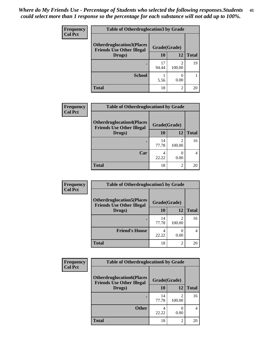| <b>Frequency</b> | <b>Table of Otherdruglocation3 by Grade</b>                          |              |                          |              |
|------------------|----------------------------------------------------------------------|--------------|--------------------------|--------------|
| <b>Col Pct</b>   | <b>Otherdruglocation3(Places</b><br><b>Friends Use Other Illegal</b> | Grade(Grade) |                          |              |
|                  | Drugs)                                                               | 10           | 12                       | <b>Total</b> |
|                  |                                                                      | 17<br>94.44  | $\mathfrak{D}$<br>100.00 | 19           |
|                  | <b>School</b>                                                        | 5.56         | 0.00                     |              |
|                  | <b>Total</b>                                                         | 18           | 2                        | 20           |

| Frequency      | <b>Table of Otherdruglocation4 by Grade</b>                          |              |                         |              |
|----------------|----------------------------------------------------------------------|--------------|-------------------------|--------------|
| <b>Col Pct</b> | <b>Otherdruglocation4(Places</b><br><b>Friends Use Other Illegal</b> | Grade(Grade) |                         |              |
|                | Drugs)                                                               | 10           | 12                      | <b>Total</b> |
|                |                                                                      | 14<br>77.78  | $\mathcal{D}$<br>100.00 | 16           |
|                | Car                                                                  | 4<br>22.22   | $\mathcal{O}$<br>0.00   | 4            |
|                | <b>Total</b>                                                         | 18           | $\mathfrak{D}$          | 20           |

| Frequency      | <b>Table of Otherdruglocation5 by Grade</b>                          |              |                |              |
|----------------|----------------------------------------------------------------------|--------------|----------------|--------------|
| <b>Col Pct</b> | <b>Otherdruglocation5(Places</b><br><b>Friends Use Other Illegal</b> | Grade(Grade) |                |              |
|                | Drugs)                                                               | 10           | 12             | <b>Total</b> |
|                |                                                                      | 14<br>77.78  | 100.00         | 16           |
|                | <b>Friend's House</b>                                                | 22.22        | 0.00           | 4            |
|                | <b>Total</b>                                                         | 18           | $\mathfrak{D}$ | 20           |

| <b>Frequency</b> | <b>Table of Otherdruglocation6 by Grade</b>                          |              |                          |              |
|------------------|----------------------------------------------------------------------|--------------|--------------------------|--------------|
| <b>Col Pct</b>   | <b>Otherdruglocation6(Places</b><br><b>Friends Use Other Illegal</b> | Grade(Grade) |                          |              |
|                  | Drugs)                                                               | 10           | 12                       | <b>Total</b> |
|                  |                                                                      | 14<br>77.78  | $\mathfrak{D}$<br>100.00 | 16           |
|                  | <b>Other</b>                                                         | 22.22        | 0.00                     | 4            |
|                  | <b>Total</b>                                                         | 18           | $\overline{c}$           | 20           |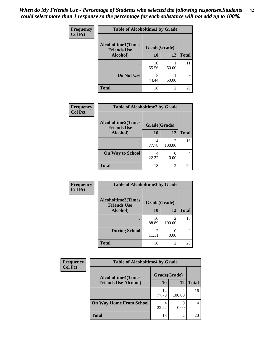| Frequency      | <b>Table of Alcoholtime1 by Grade</b>           |              |       |              |
|----------------|-------------------------------------------------|--------------|-------|--------------|
| <b>Col Pct</b> | <b>Alcoholtime1(Times</b><br><b>Friends Use</b> | Grade(Grade) |       |              |
|                | Alcohol)                                        | 10           | 12    | <b>Total</b> |
|                |                                                 | 10<br>55.56  | 50.00 | 11           |
|                | Do Not Use                                      | 8<br>44.44   | 50.00 | 9            |
|                | <b>Total</b>                                    | 18           | 2     | 20           |

| Frequency      | <b>Table of Alcoholtime2 by Grade</b>           |              |             |              |  |
|----------------|-------------------------------------------------|--------------|-------------|--------------|--|
| <b>Col Pct</b> | <b>Alcoholtime2(Times</b><br><b>Friends Use</b> | Grade(Grade) |             |              |  |
|                | Alcohol)                                        | 10           | <b>12</b>   | <b>Total</b> |  |
|                |                                                 | 14<br>77.78  | 2<br>100.00 | 16           |  |
|                | <b>On Way to School</b>                         | 4<br>22.22   | 0.00        | 4            |  |
|                | <b>Total</b>                                    | 18           | 2           | 20           |  |

| Frequency<br><b>Col Pct</b> | <b>Table of Alcoholtime3 by Grade</b>                           |                         |                          |                |
|-----------------------------|-----------------------------------------------------------------|-------------------------|--------------------------|----------------|
|                             | <b>Alcoholtime3(Times</b><br>Grade(Grade)<br><b>Friends Use</b> |                         |                          |                |
|                             | Alcohol)                                                        | 10                      | 12                       | <b>Total</b>   |
|                             |                                                                 | 16<br>88.89             | $\mathfrak{D}$<br>100.00 | 18             |
|                             | <b>During School</b>                                            | $\overline{2}$<br>11.11 | 0.00                     | $\overline{2}$ |
|                             | <b>Total</b>                                                    | 18                      | $\overline{2}$           | 20             |

| <b>Frequency</b> | <b>Table of Alcoholtime4 by Grade</b> |              |        |              |  |
|------------------|---------------------------------------|--------------|--------|--------------|--|
| <b>Col Pct</b>   | <b>Alcoholtime4(Times</b>             | Grade(Grade) |        |              |  |
|                  | <b>Friends Use Alcohol)</b>           | 10           | 12     | <b>Total</b> |  |
|                  |                                       | 14<br>77.78  | 100.00 | 16           |  |
|                  | <b>On Way Home From School</b>        | 4<br>22.22   | 0.00   |              |  |
|                  | <b>Total</b>                          | 18           | 2      | 20           |  |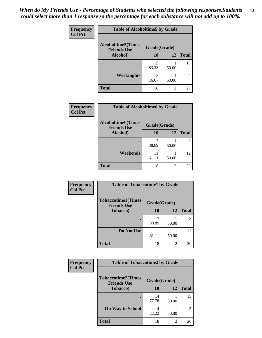*When do My Friends Use - Percentage of Students who selected the following responses.Students could select more than 1 response so the percentage for each substance will not add up to 100%.* **43**

| Frequency      | <b>Table of Alcoholtime5 by Grade</b>           |              |           |              |
|----------------|-------------------------------------------------|--------------|-----------|--------------|
| <b>Col Pct</b> | <b>Alcoholtime5(Times</b><br><b>Friends Use</b> | Grade(Grade) |           |              |
|                | Alcohol)                                        | 10           | <b>12</b> | <b>Total</b> |
|                |                                                 | 15<br>83.33  | 50.00     | 16           |
|                | <b>Weeknights</b>                               | 3<br>16.67   | 50.00     |              |
|                | <b>Total</b>                                    | 18           | 2         | 20           |

| <b>Frequency</b> | <b>Table of Alcoholtime6 by Grade</b>           |              |       |              |
|------------------|-------------------------------------------------|--------------|-------|--------------|
| <b>Col Pct</b>   | <b>Alcoholtime6(Times</b><br><b>Friends Use</b> | Grade(Grade) |       |              |
|                  | Alcohol)                                        | 10           | 12    | <b>Total</b> |
|                  |                                                 | 38.89        | 50.00 |              |
|                  | Weekends                                        | 11<br>61.11  | 50.00 | 12           |
|                  | <b>Total</b>                                    | 18           | 2     | 20           |

| Frequency      | <b>Table of Tobaccotime1 by Grade</b>           |              |           |              |
|----------------|-------------------------------------------------|--------------|-----------|--------------|
| <b>Col Pct</b> | <b>Tobaccotime1(Times</b><br><b>Friends Use</b> | Grade(Grade) |           |              |
|                | <b>Tobacco</b> )                                | 10           | <b>12</b> | <b>Total</b> |
|                | $\bullet$                                       | 38.89        | 50.00     | 8            |
|                | Do Not Use                                      | 11<br>61.11  | 50.00     | 12           |
|                | <b>Total</b>                                    | 18           | 2         | 20           |

| <b>Frequency</b> | <b>Table of Tobaccotime2 by Grade</b>           |              |                             |              |
|------------------|-------------------------------------------------|--------------|-----------------------------|--------------|
| <b>Col Pct</b>   | <b>Tobaccotime2(Times</b><br><b>Friends Use</b> | Grade(Grade) |                             |              |
|                  | Tobacco)                                        | <b>10</b>    | 12                          | <b>Total</b> |
|                  |                                                 | 14<br>77.78  | 50.00                       | 15           |
|                  | <b>On Way to School</b>                         | 4<br>22.22   | 50.00                       | 5            |
|                  | <b>Total</b>                                    | 18           | $\mathcal{D}_{\mathcal{A}}$ | 20           |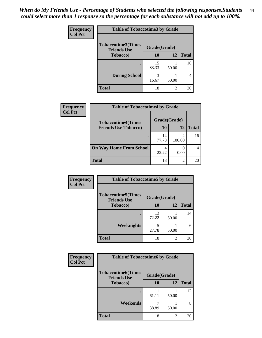| <b>Frequency</b> | <b>Table of Tobaccotime3 by Grade</b>           |              |                |              |
|------------------|-------------------------------------------------|--------------|----------------|--------------|
| <b>Col Pct</b>   | <b>Tobaccotime3(Times</b><br><b>Friends Use</b> | Grade(Grade) |                |              |
|                  | <b>Tobacco</b> )                                | 10           | 12             | <b>Total</b> |
|                  | ٠                                               | 15<br>83.33  | 50.00          | 16           |
|                  | <b>During School</b>                            | 3<br>16.67   | 50.00          | 4            |
|                  | <b>Total</b>                                    | 18           | $\overline{2}$ | 20           |

| Frequency<br><b>Col Pct</b> | <b>Table of Tobaccotime4 by Grade</b> |              |        |              |  |
|-----------------------------|---------------------------------------|--------------|--------|--------------|--|
|                             | <b>Tobaccotime4(Times</b>             | Grade(Grade) |        |              |  |
|                             | <b>Friends Use Tobacco)</b>           | 10           | 12     | <b>Total</b> |  |
|                             |                                       | 14<br>77.78  | 100.00 | 16           |  |
|                             | <b>On Way Home From School</b>        | 4<br>22.22   | 0.00   |              |  |
|                             | <b>Total</b>                          | 18           | ↑      | 20           |  |

| <b>Frequency</b> | <b>Table of Tobaccotime5 by Grade</b>           |              |       |              |
|------------------|-------------------------------------------------|--------------|-------|--------------|
| <b>Col Pct</b>   | <b>Tobaccotime5(Times</b><br><b>Friends Use</b> | Grade(Grade) |       |              |
|                  | <b>Tobacco</b> )                                | 10           | 12    | <b>Total</b> |
|                  |                                                 | 13<br>72.22  | 50.00 | 14           |
|                  | Weeknights                                      | 27.78        | 50.00 | 6            |
|                  | <b>Total</b>                                    | 18           | 2     | 20           |

| <b>Frequency</b> | <b>Table of Tobaccotime6 by Grade</b>           |              |       |              |
|------------------|-------------------------------------------------|--------------|-------|--------------|
| <b>Col Pct</b>   | <b>Tobaccotime6(Times</b><br><b>Friends Use</b> | Grade(Grade) |       |              |
|                  | <b>Tobacco</b> )                                | 10           | 12    | <b>Total</b> |
|                  | ٠                                               | 11<br>61.11  | 50.00 | 12           |
|                  | Weekends                                        | 38.89        | 50.00 | 8            |
|                  | <b>Total</b>                                    | 18           | 2     | 20           |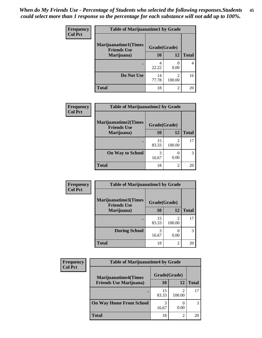| Frequency<br><b>Col Pct</b> | <b>Table of Marijuanatime1 by Grade</b>           |              |                                       |              |  |
|-----------------------------|---------------------------------------------------|--------------|---------------------------------------|--------------|--|
|                             | <b>Marijuanatime1(Times</b><br><b>Friends Use</b> | Grade(Grade) |                                       |              |  |
|                             | Marijuana)                                        | 10           | 12                                    | <b>Total</b> |  |
|                             |                                                   | 4<br>22.22   | 0.00                                  | 4            |  |
|                             | Do Not Use                                        | 14<br>77.78  | $\mathcal{D}_{\mathcal{L}}$<br>100.00 | 16           |  |
|                             | <b>Total</b>                                      | 18           | $\overline{c}$                        | 20           |  |

| Frequency      | <b>Table of Marijuanatime2 by Grade</b>           |              |                                       |              |
|----------------|---------------------------------------------------|--------------|---------------------------------------|--------------|
| <b>Col Pct</b> | <b>Marijuanatime2(Times</b><br><b>Friends Use</b> | Grade(Grade) |                                       |              |
|                | Marijuana)                                        | 10           | 12                                    | <b>Total</b> |
|                |                                                   | 15<br>83.33  | $\mathcal{D}_{\mathcal{L}}$<br>100.00 | 17           |
|                | <b>On Way to School</b>                           | 3<br>16.67   | $\mathbf{\Omega}$<br>0.00             | 3            |
|                | <b>Total</b>                                      | 18           | 2                                     | 20           |

| <b>Frequency</b><br><b>Col Pct</b> | <b>Table of Marijuanatime3 by Grade</b>    |              |                          |              |  |
|------------------------------------|--------------------------------------------|--------------|--------------------------|--------------|--|
|                                    | Marijuanatime3(Times<br><b>Friends Use</b> | Grade(Grade) |                          |              |  |
|                                    | Marijuana)                                 | 10           | 12                       | <b>Total</b> |  |
|                                    |                                            | 15<br>83.33  | $\mathfrak{D}$<br>100.00 | 17           |  |
|                                    | <b>During School</b>                       | 3<br>16.67   | 0.00                     | 3            |  |
|                                    | <b>Total</b>                               | 18           | $\overline{c}$           | 20           |  |

| <b>Frequency</b> | <b>Table of Marijuanatime4 by Grade</b>                        |              |             |              |
|------------------|----------------------------------------------------------------|--------------|-------------|--------------|
| <b>Col Pct</b>   | <b>Marijuanatime4</b> (Times<br><b>Friends Use Marijuana</b> ) | Grade(Grade) |             |              |
|                  |                                                                | 10           | 12          | <b>Total</b> |
|                  |                                                                | 15<br>83.33  | ↑<br>100.00 | 17           |
|                  | <b>On Way Home From School</b>                                 | 16.67        | 0.00        | 3            |
|                  | <b>Total</b>                                                   | 18           | ◠           | 20           |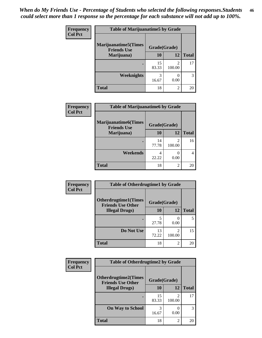| Frequency<br><b>Col Pct</b> | <b>Table of Marijuanatime5 by Grade</b>            |              |             |              |
|-----------------------------|----------------------------------------------------|--------------|-------------|--------------|
|                             | <b>Marijuanatime5</b> (Times<br><b>Friends Use</b> | Grade(Grade) |             |              |
|                             | Marijuana)                                         | 10           | 12          | <b>Total</b> |
|                             |                                                    | 15<br>83.33  | 2<br>100.00 | 17           |
|                             | Weeknights                                         | 3<br>16.67   | 0<br>0.00   | 3            |
|                             | <b>Total</b>                                       | 18           | 2           | 20           |

| Frequency      | <b>Table of Marijuanatime6 by Grade</b>           |              |                          |              |
|----------------|---------------------------------------------------|--------------|--------------------------|--------------|
| <b>Col Pct</b> | <b>Marijuanatime6(Times</b><br><b>Friends Use</b> | Grade(Grade) |                          |              |
|                | Marijuana)                                        | 10           | 12                       | <b>Total</b> |
|                |                                                   | 14<br>77.78  | $\mathfrak{D}$<br>100.00 | 16           |
|                | Weekends                                          | 4<br>22.22   | 0.00                     | 4            |
|                | <b>Total</b>                                      | 18           | 2                        | 20           |

| <b>Frequency</b> | <b>Table of Otherdrugtime1 by Grade</b>                 |              |                          |              |
|------------------|---------------------------------------------------------|--------------|--------------------------|--------------|
| <b>Col Pct</b>   | <b>Otherdrugtime1(Times</b><br><b>Friends Use Other</b> | Grade(Grade) |                          |              |
|                  | <b>Illegal Drugs</b> )                                  | 10           | 12                       | <b>Total</b> |
|                  |                                                         | 5<br>27.78   | 0.00                     | 5            |
|                  | Do Not Use                                              | 13<br>72.22  | $\mathfrak{D}$<br>100.00 | 15           |
|                  | Total                                                   | 18           | $\mathfrak{D}$           | 20           |

| <b>Frequency</b> | <b>Table of Otherdrugtime2 by Grade</b>                 |              |                          |              |
|------------------|---------------------------------------------------------|--------------|--------------------------|--------------|
| <b>Col Pct</b>   | <b>Otherdrugtime2(Times</b><br><b>Friends Use Other</b> | Grade(Grade) |                          |              |
|                  | <b>Illegal Drugs</b> )                                  | 10           | 12                       | <b>Total</b> |
|                  |                                                         | 15<br>83.33  | $\mathfrak{D}$<br>100.00 | 17           |
|                  | <b>On Way to School</b>                                 | 3<br>16.67   | 0.00                     | 3            |
|                  | Total                                                   | 18           | 2                        | 20           |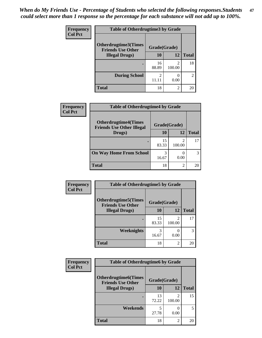| <b>Frequency</b> | <b>Table of Otherdrugtime3 by Grade</b>          |                         |                       |                |
|------------------|--------------------------------------------------|-------------------------|-----------------------|----------------|
| <b>Col Pct</b>   | Otherdrugtime3(Times<br><b>Friends Use Other</b> | Grade(Grade)            |                       |                |
|                  | <b>Illegal Drugs</b> )                           | 10                      | 12                    | <b>Total</b>   |
|                  |                                                  | 16<br>88.89             | 2<br>100.00           | 18             |
|                  | <b>During School</b>                             | $\mathfrak{D}$<br>11.11 | $\mathcal{O}$<br>0.00 | $\overline{c}$ |
|                  | <b>Total</b>                                     | 18                      | $\mathfrak{D}$        | 20             |

| Frequency      | <b>Table of Otherdrugtime4 by Grade</b>                         |              |                |              |
|----------------|-----------------------------------------------------------------|--------------|----------------|--------------|
| <b>Col Pct</b> | <b>Otherdrugtime4(Times</b><br><b>Friends Use Other Illegal</b> | Grade(Grade) |                |              |
|                | Drugs)                                                          | 10           | 12             | <b>Total</b> |
|                | $\bullet$                                                       | 15<br>83.33  | 100.00         | 17           |
|                | <b>On Way Home From School</b>                                  | 3<br>16.67   | 0.00           | 3            |
|                | <b>Total</b>                                                    | 18           | $\mathfrak{D}$ | 20           |

| <b>Frequency</b> | <b>Table of Otherdrugtime5 by Grade</b>                  |              |                |              |
|------------------|----------------------------------------------------------|--------------|----------------|--------------|
| <b>Col Pct</b>   | <b>Otherdrugtime5</b> (Times<br><b>Friends Use Other</b> | Grade(Grade) |                |              |
|                  | <b>Illegal Drugs</b> )                                   | 10           | 12             | <b>Total</b> |
|                  |                                                          | 15<br>83.33  | 2<br>100.00    | 17           |
|                  | Weeknights                                               | 3<br>16.67   | 0.00           | 3            |
|                  | <b>Total</b>                                             | 18           | $\overline{2}$ | 20           |

| <b>Frequency</b><br><b>Col Pct</b> | <b>Table of Otherdrugtime6 by Grade</b>                 |              |             |              |
|------------------------------------|---------------------------------------------------------|--------------|-------------|--------------|
|                                    | <b>Otherdrugtime6(Times</b><br><b>Friends Use Other</b> | Grade(Grade) |             |              |
|                                    | <b>Illegal Drugs</b> )                                  | 10           | 12          | <b>Total</b> |
|                                    |                                                         | 13<br>72.22  | 2<br>100.00 | 15           |
|                                    | Weekends                                                | 5<br>27.78   | 0.00        | 5            |
|                                    | <b>Total</b>                                            | 18           | 2           | 20           |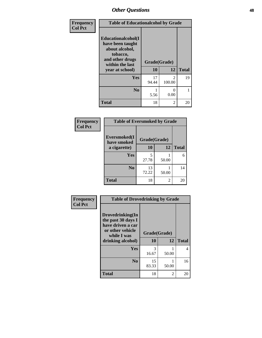| Frequency      | <b>Table of Educationalcohol by Grade</b>                                                                  |              |                                       |              |
|----------------|------------------------------------------------------------------------------------------------------------|--------------|---------------------------------------|--------------|
| <b>Col Pct</b> | Educationalcohol(I<br>have been taught<br>about alcohol,<br>tobacco,<br>and other drugs<br>within the last | Grade(Grade) |                                       |              |
|                | year at school)                                                                                            | 10           | 12                                    | <b>Total</b> |
|                | <b>Yes</b>                                                                                                 | 17<br>94.44  | $\mathcal{D}_{\mathcal{L}}$<br>100.00 | 19           |
|                | N <sub>0</sub>                                                                                             | 5.56         | $\mathbf{\Omega}$<br>0.00             |              |
|                | <b>Total</b>                                                                                               | 18           | $\mathfrak{D}$                        | 20           |

| Frequency      | <b>Table of Eversmoked by Grade</b> |              |       |              |
|----------------|-------------------------------------|--------------|-------|--------------|
| <b>Col Pct</b> | Eversmoked(I<br>have smoked         | Grade(Grade) |       |              |
|                | a cigarette)                        | <b>10</b>    | 12    | <b>Total</b> |
|                | Yes                                 | 5<br>27.78   | 50.00 | 6            |
|                | N <sub>0</sub>                      | 13<br>72.22  | 50.00 | 14           |
|                | <b>Total</b>                        | 18           | 2     | 20           |

| Frequency      | <b>Table of Drovedrinking by Grade</b>                                                                              |                    |       |              |
|----------------|---------------------------------------------------------------------------------------------------------------------|--------------------|-------|--------------|
| <b>Col Pct</b> | Drovedrinking(In<br>the past 30 days I<br>have driven a car<br>or other vehicle<br>while I was<br>drinking alcohol) | Grade(Grade)<br>10 | 12    | <b>Total</b> |
|                | Yes                                                                                                                 | 3<br>16.67         | 50.00 | 4            |
|                | N <sub>0</sub>                                                                                                      | 15<br>83.33        | 50.00 | 16           |
|                | <b>Total</b>                                                                                                        | 18                 | 2     | 20           |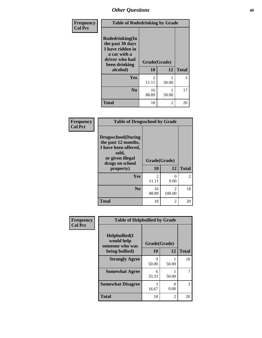| <b>Frequency</b> | <b>Table of Rodedrinking by Grade</b>                                                                                  |                    |       |              |
|------------------|------------------------------------------------------------------------------------------------------------------------|--------------------|-------|--------------|
| <b>Col Pct</b>   | Rodedrinking(In<br>the past 30 days<br>I have ridden in<br>a car with a<br>driver who had<br>been drinking<br>alcohol) | Grade(Grade)<br>10 | 12    | <b>Total</b> |
|                  | Yes                                                                                                                    | 2                  |       | 3            |
|                  |                                                                                                                        | 11.11              | 50.00 |              |
|                  | $\bf N_0$                                                                                                              | 16<br>88.89        | 50.00 | 17           |
|                  | <b>Total</b>                                                                                                           | 18                 | 2     | 20           |

#### **Frequency Col Pct**

| <b>Table of Drugsschool by Grade</b>                                                                              |                         |             |                |  |  |
|-------------------------------------------------------------------------------------------------------------------|-------------------------|-------------|----------------|--|--|
| Drugsschool(During<br>the past 12 months,<br>I have been offered,<br>sold,<br>or given illegal<br>drugs on school | Grade(Grade)            |             |                |  |  |
| property)                                                                                                         | 10                      | 12          | <b>Total</b>   |  |  |
| Yes                                                                                                               | $\mathfrak{D}$<br>11.11 | 0<br>0.00   | $\mathfrak{D}$ |  |  |
| N <sub>0</sub>                                                                                                    | 16<br>88.89             | 2<br>100.00 | 18             |  |  |
| <b>Total</b>                                                                                                      | 18                      | 2           | 20             |  |  |

| Frequency      | <b>Table of Helpbullied by Grade</b>                 |              |       |              |  |  |  |
|----------------|------------------------------------------------------|--------------|-------|--------------|--|--|--|
| <b>Col Pct</b> | $Helpb$ ullied $(I$<br>would help<br>someone who was | Grade(Grade) |       |              |  |  |  |
|                | being bullied)                                       | 10           | 12    | <b>Total</b> |  |  |  |
|                | <b>Strongly Agree</b>                                | Q<br>50.00   | 50.00 | 10           |  |  |  |
|                | <b>Somewhat Agree</b>                                | 6<br>33.33   | 50.00 |              |  |  |  |
|                | <b>Somewhat Disagree</b>                             | 3<br>16.67   | 0.00  | 3            |  |  |  |
|                | <b>Total</b>                                         | 18           | 2     | 20           |  |  |  |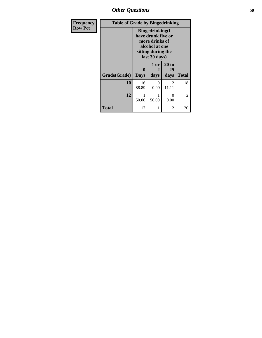*Other Questions* **50**

| <b>Frequency</b> | <b>Table of Grade by Bingedrinking</b> |                                                                                                                          |                   |                         |                |
|------------------|----------------------------------------|--------------------------------------------------------------------------------------------------------------------------|-------------------|-------------------------|----------------|
| <b>Row Pct</b>   |                                        | <b>Bingedrinking</b> (I<br>have drunk five or<br>more drinks of<br>alcohol at one<br>sitting during the<br>last 30 days) |                   |                         |                |
|                  | Grade(Grade)                           | 0<br><b>Days</b>                                                                                                         | 1 or<br>2<br>days | 20 to<br>29<br>days     | <b>Total</b>   |
|                  | 10                                     | 16<br>88.89                                                                                                              | 0<br>0.00         | $\mathfrak{D}$<br>11.11 | 18             |
|                  | 12                                     | 50.00                                                                                                                    | 50.00             | ∩<br>0.00               | $\overline{2}$ |
|                  | <b>Total</b>                           | 17                                                                                                                       |                   | 2                       | 20             |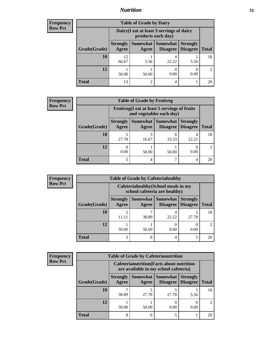## *Nutrition* **51**

| <b>Frequency</b> |
|------------------|
| Row Pct          |

| <b>Table of Grade by Dairy</b> |                          |                                                                 |                                   |                                    |              |  |  |
|--------------------------------|--------------------------|-----------------------------------------------------------------|-----------------------------------|------------------------------------|--------------|--|--|
|                                |                          | Dairy (I eat at least 3 servings of dairy<br>products each day) |                                   |                                    |              |  |  |
| Grade(Grade)                   | <b>Strongly</b><br>Agree | Agree                                                           | Somewhat   Somewhat  <br>Disagree | <b>Strongly</b><br><b>Disagree</b> | <b>Total</b> |  |  |
| 10                             | 12<br>66.67              | 5.56                                                            | 4<br>22.22                        | 5.56                               | 18           |  |  |
| 12                             | 50.00                    | 50.00                                                           | 0.00                              | 0.00                               |              |  |  |
| <b>Total</b>                   | 13                       |                                                                 | 4                                 |                                    | 20           |  |  |

| <b>Frequency</b> |
|------------------|
| <b>Row Pct</b>   |

| $\mathbf{c}\mathbf{v}$ | <b>Table of Grade by Fruitveg</b> |                          |                                                                          |                               |                                    |               |  |
|------------------------|-----------------------------------|--------------------------|--------------------------------------------------------------------------|-------------------------------|------------------------------------|---------------|--|
|                        |                                   |                          | Fruitveg(I eat at least 5 servings of fruits<br>and vegetables each day) |                               |                                    |               |  |
|                        | Grade(Grade)                      | <b>Strongly</b><br>Agree | Agree                                                                    | Somewhat Somewhat<br>Disagree | <b>Strongly</b><br><b>Disagree</b> | <b>Total</b>  |  |
|                        | 10                                | 5<br>27.78               | 16.67                                                                    | h<br>33.33                    | 4<br>22.22                         | 18            |  |
|                        | 12                                | 0.00                     | 50.00                                                                    | 50.00                         | 0.00                               | $\mathcal{D}$ |  |
|                        | <b>Total</b>                      | 5                        | 4                                                                        |                               | 4                                  | 20            |  |

| Frequency      | <b>Table of Grade by Cafeteriahealthy</b> |                          |                                                                       |                                    |                                    |              |  |  |
|----------------|-------------------------------------------|--------------------------|-----------------------------------------------------------------------|------------------------------------|------------------------------------|--------------|--|--|
| <b>Row Pct</b> |                                           |                          | Cafeteriahealthy (School meals in my<br>school cafeteria are healthy) |                                    |                                    |              |  |  |
|                | Grade(Grade)                              | <b>Strongly</b><br>Agree | Somewhat  <br>Agree                                                   | <b>Somewhat</b><br><b>Disagree</b> | <b>Strongly</b><br><b>Disagree</b> | <b>Total</b> |  |  |
|                | 10                                        | 11.11                    | ¬<br>38.89                                                            | 22.22                              | 27.78                              | 18           |  |  |
|                | 12                                        | 50.00                    | 50.00                                                                 | 0.00                               | 0.00                               | 2            |  |  |
|                | <b>Total</b>                              | 3                        | 8                                                                     |                                    |                                    | 20           |  |  |

| <b>Frequency</b> |
|------------------|
| <b>Row Pct</b>   |

| <b>Table of Grade by Cafeterianutrition</b> |              |                          |                                                                                           |                      |                                    |              |  |  |  |
|---------------------------------------------|--------------|--------------------------|-------------------------------------------------------------------------------------------|----------------------|------------------------------------|--------------|--|--|--|
|                                             |              |                          | <b>Cafeterianutrition</b> (Facts about nutrition<br>are available in my school cafeteria) |                      |                                    |              |  |  |  |
|                                             | Grade(Grade) | <b>Strongly</b><br>Agree | Somewhat  <br>Agree                                                                       | Somewhat<br>Disagree | <b>Strongly</b><br><b>Disagree</b> | <b>Total</b> |  |  |  |
|                                             | 10           | 38.89                    | 27.78                                                                                     | 27.78                | 5.56                               | 18           |  |  |  |
|                                             | 12           | 50.00                    | 50.00                                                                                     | 0.00                 | 0.00                               |              |  |  |  |
|                                             | <b>Total</b> | 8                        | 6                                                                                         |                      |                                    | 20           |  |  |  |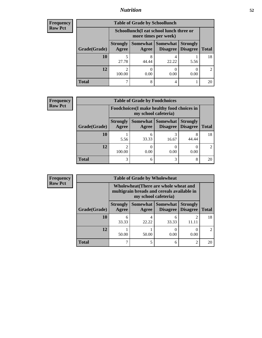## *Nutrition* **52**

| <b>Frequency</b> |
|------------------|
|                  |
| l Row Pct        |

| <b>Table of Grade by Schoollunch</b> |                          |                                                                 |                             |                                    |                             |  |  |  |
|--------------------------------------|--------------------------|-----------------------------------------------------------------|-----------------------------|------------------------------------|-----------------------------|--|--|--|
|                                      |                          | Schoollunch(I eat school lunch three or<br>more times per week) |                             |                                    |                             |  |  |  |
| Grade(Grade)                         | <b>Strongly</b><br>Agree | Somewhat<br>Agree                                               | <b>Somewhat</b><br>Disagree | <b>Strongly</b><br><b>Disagree</b> | <b>Total</b>                |  |  |  |
| 10                                   | 5<br>27.78               | 44.44                                                           | 22.22                       | 5.56                               | 18                          |  |  |  |
| 12                                   | $\mathfrak{D}$<br>100.00 | 0.00                                                            | 0.00                        | 0.00                               | $\mathcal{D}_{\mathcal{L}}$ |  |  |  |
| <b>Total</b>                         |                          | 8                                                               | 4                           |                                    | 20                          |  |  |  |

| <b>Frequency</b> |
|------------------|
| <b>Row Pct</b>   |

| y | <b>Table of Grade by Foodchoices</b> |                                 |                                                                            |          |                                        |                             |
|---|--------------------------------------|---------------------------------|----------------------------------------------------------------------------|----------|----------------------------------------|-----------------------------|
|   |                                      |                                 | <b>Foodchoices</b> (I make healthy food choices in<br>my school cafeteria) |          |                                        |                             |
|   | Grade(Grade)                         | <b>Strongly</b><br><b>Agree</b> | Somewhat  <br>Agree                                                        | Somewhat | <b>Strongly</b><br>Disagree   Disagree | <b>Total</b>                |
|   | 10                                   | 5.56                            | 6<br>33.33                                                                 | 16.67    | 8<br>44.44                             | 18                          |
|   | 12                                   | 100.00                          | 0<br>0.00                                                                  | 0.00     | 0.00                                   | $\mathcal{D}_{\mathcal{L}}$ |
|   | <b>Total</b>                         | 3                               | 6                                                                          |          | 8                                      | 20                          |

| Frequency      | <b>Table of Grade by Wholewheat</b> |                          |                                                                                                             |                                          |                                    |                             |  |
|----------------|-------------------------------------|--------------------------|-------------------------------------------------------------------------------------------------------------|------------------------------------------|------------------------------------|-----------------------------|--|
| <b>Row Pct</b> |                                     |                          | Wholewheat (There are whole wheat and<br>multigrain breads and cereals available in<br>my school cafeteria) |                                          |                                    |                             |  |
|                | Grade(Grade)                        | <b>Strongly</b><br>Agree | Agree                                                                                                       | Somewhat   Somewhat  <br><b>Disagree</b> | <b>Strongly</b><br><b>Disagree</b> | <b>Total</b>                |  |
|                | 10                                  | 6<br>33.33               | 22.22                                                                                                       | 6<br>33.33                               | 11.11                              | 18                          |  |
|                | 12                                  | 50.00                    | 50.00                                                                                                       | 0.00                                     | 0.00                               | $\mathcal{D}_{\mathcal{A}}$ |  |
|                | <b>Total</b>                        | 7                        |                                                                                                             | 6                                        | $\mathcal{D}$                      | 20                          |  |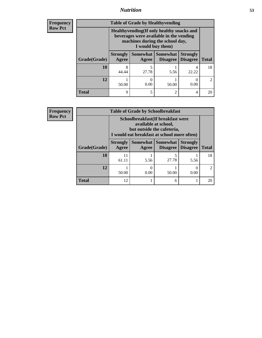## *Nutrition* **53**

**Frequency Row Pct**

| <b>Table of Grade by Healthyvending</b> |                          |                                                                                                                                               |                             |                                    |                       |  |
|-----------------------------------------|--------------------------|-----------------------------------------------------------------------------------------------------------------------------------------------|-----------------------------|------------------------------------|-----------------------|--|
|                                         |                          | Healthyvending (If only healthy snacks and<br>beverages were available in the vending<br>machines during the school day,<br>I would buy them) |                             |                                    |                       |  |
| Grade(Grade)                            | <b>Strongly</b><br>Agree | Somewhat  <br>Agree                                                                                                                           | <b>Somewhat</b><br>Disagree | <b>Strongly</b><br><b>Disagree</b> | <b>Total</b>          |  |
| 10                                      | 8<br>44.44               | 5<br>27.78                                                                                                                                    | 5.56                        | 4<br>22.22                         | 18                    |  |
| 12                                      | 50.00                    | 0.00                                                                                                                                          | 50.00                       | 0.00                               | $\mathcal{D}_{\cdot}$ |  |
| <b>Total</b>                            | 9                        | 5                                                                                                                                             | 2                           | 4                                  | 20                    |  |

**Frequency Row Pct**

| <b>Table of Grade by Schoolbreakfast</b> |                          |                                                                                                                                         |                             |                                    |              |  |
|------------------------------------------|--------------------------|-----------------------------------------------------------------------------------------------------------------------------------------|-----------------------------|------------------------------------|--------------|--|
|                                          |                          | Schoolbreakfast (If breakfast were<br>available at school,<br>but outside the cafeteria,<br>I would eat breakfast at school more often) |                             |                                    |              |  |
| Grade(Grade)                             | <b>Strongly</b><br>Agree | Somewhat  <br><b>Agree</b>                                                                                                              | <b>Somewhat</b><br>Disagree | <b>Strongly</b><br><b>Disagree</b> | <b>Total</b> |  |
| 10                                       | 11<br>61.11              | 5.56                                                                                                                                    | 5<br>27.78                  | 5.56                               | 18           |  |
| 12                                       | 50.00                    | 0.00                                                                                                                                    | 50.00                       | 0.00                               |              |  |
| <b>Total</b>                             | 12                       |                                                                                                                                         | 6                           |                                    | 20           |  |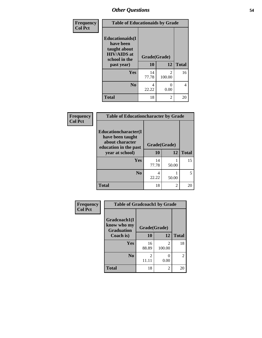| Frequency<br><b>Col Pct</b> | <b>Table of Educationaids by Grade</b>                                                                    |                          |                          |                |
|-----------------------------|-----------------------------------------------------------------------------------------------------------|--------------------------|--------------------------|----------------|
|                             | <b>Educationaids</b> (I<br>have been<br>taught about<br><b>HIV/AIDS</b> at<br>school in the<br>past year) | Grade(Grade)<br>10<br>12 |                          | <b>Total</b>   |
|                             |                                                                                                           |                          |                          |                |
|                             | Yes                                                                                                       | 14<br>77.78              | $\mathfrak{D}$<br>100.00 | 16             |
|                             | N <sub>0</sub>                                                                                            | 4<br>22.22               | 0<br>0.00                | $\overline{4}$ |
|                             |                                                                                                           |                          |                          |                |

| Frequency      | <b>Table of Educationcharacter by Grade</b>                                                 |              |                |              |  |
|----------------|---------------------------------------------------------------------------------------------|--------------|----------------|--------------|--|
| <b>Col Pct</b> | <b>Educationcharacter(I</b><br>have been taught<br>about character<br>education in the past | Grade(Grade) |                |              |  |
|                | year at school)                                                                             | 10           | 12             | <b>Total</b> |  |
|                | <b>Yes</b>                                                                                  | 14<br>77.78  | 50.00          | 15           |  |
|                | N <sub>0</sub>                                                                              | 4<br>22.22   | 50.00          |              |  |
|                | <b>Total</b>                                                                                | 18           | $\overline{c}$ | 20           |  |

| <b>Frequency</b> | <b>Table of Gradcoach1 by Grade</b>              |              |                          |              |  |
|------------------|--------------------------------------------------|--------------|--------------------------|--------------|--|
| <b>Col Pct</b>   | Gradcoach1(I<br>know who my<br><b>Graduation</b> | Grade(Grade) |                          |              |  |
|                  | Coach is)                                        | 10           | 12                       | <b>Total</b> |  |
|                  | Yes                                              | 16<br>88.89  | $\mathfrak{D}$<br>100.00 | 18           |  |
|                  | N <sub>0</sub>                                   | 2<br>11.11   | 0.00                     | 2            |  |
|                  | <b>Total</b>                                     | 18           | 2                        | 20           |  |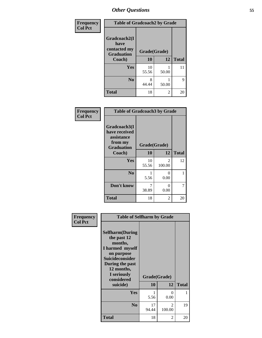| Frequency      | <b>Table of Gradcoach2 by Grade</b> |             |              |              |  |
|----------------|-------------------------------------|-------------|--------------|--------------|--|
| <b>Col Pct</b> |                                     |             |              |              |  |
|                | Gradcoach2(I<br>have                |             |              |              |  |
|                | contacted my<br><b>Graduation</b>   |             | Grade(Grade) |              |  |
|                | Coach)                              | 10          | 12           | <b>Total</b> |  |
|                | Yes                                 | 10<br>55.56 | 50.00        | 11           |  |
|                | N <sub>0</sub>                      | 8<br>44.44  | 50.00        | 9            |  |
|                | <b>Total</b>                        | 18          | 2            | 20           |  |

| Frequency<br><b>Col Pct</b> | <b>Table of Gradcoach3 by Grade</b>                                         |              |             |              |  |
|-----------------------------|-----------------------------------------------------------------------------|--------------|-------------|--------------|--|
|                             | Gradcoach3(I<br>have received<br>assistance<br>from my<br><b>Graduation</b> | Grade(Grade) |             |              |  |
|                             | Coach)                                                                      | 10           | 12          | <b>Total</b> |  |
|                             | Yes                                                                         | 10<br>55.56  | 2<br>100.00 | 12           |  |
|                             | N <sub>0</sub>                                                              | 5.56         | 0<br>0.00   | 1            |  |
|                             | Don't know                                                                  | 7<br>38.89   | 0<br>0.00   | 7            |  |
|                             | <b>Total</b>                                                                | 18           | 2           | 20           |  |

| Frequency<br><b>Col Pct</b> | <b>Table of Selfharm by Grade</b>                                                                                                                                                      |                           |                          |              |
|-----------------------------|----------------------------------------------------------------------------------------------------------------------------------------------------------------------------------------|---------------------------|--------------------------|--------------|
|                             | <b>Selfharm</b> (During<br>the past 12<br>months,<br>I harmed myself<br>on purpose<br><b>Suicideconsider</b><br>During the past<br>12 months,<br>I seriously<br>considered<br>suicide) | Grade(Grade)<br><b>10</b> | 12                       | <b>Total</b> |
|                             | Yes                                                                                                                                                                                    |                           | 0                        | 1            |
|                             |                                                                                                                                                                                        | 5.56                      | 0.00                     |              |
|                             | N <sub>0</sub>                                                                                                                                                                         | 17<br>94.44               | $\mathfrak{D}$<br>100.00 | 19           |
|                             | <b>Total</b>                                                                                                                                                                           | 18                        | 2                        | 20           |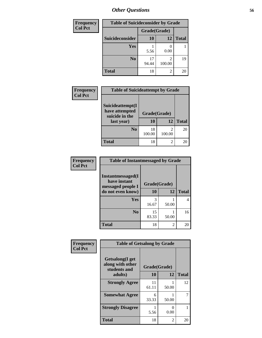| <b>Frequency</b> | <b>Table of Suicideconsider by Grade</b> |              |             |              |  |
|------------------|------------------------------------------|--------------|-------------|--------------|--|
| <b>Col Pct</b>   |                                          | Grade(Grade) |             |              |  |
|                  | Suicideconsider                          | <b>10</b>    | 12          | <b>Total</b> |  |
|                  | <b>Yes</b>                               | 5.56         | 0.00        |              |  |
|                  | N <sub>0</sub>                           | 17<br>94.44  | 2<br>100.00 | 19           |  |
|                  | <b>Total</b>                             | 18           | 2           | 20           |  |

| Frequency<br><b>Col Pct</b> | <b>Table of Suicideattempt by Grade</b>                            |                                 |                                    |              |
|-----------------------------|--------------------------------------------------------------------|---------------------------------|------------------------------------|--------------|
|                             | Suicideattempt(I<br>have attempted<br>suicide in the<br>last year) | Grade(Grade)<br><b>10</b><br>12 |                                    | <b>Total</b> |
|                             | N <sub>0</sub>                                                     | 18<br>100.00                    | $\overline{\mathcal{L}}$<br>100.00 | 20           |
|                             | <b>Total</b>                                                       | 18                              | $\overline{\mathcal{L}}$           | 20           |

| Frequency      | <b>Table of Instantmessaged by Grade</b>               |              |       |              |
|----------------|--------------------------------------------------------|--------------|-------|--------------|
| <b>Col Pct</b> | Instantmessaged(I<br>have instant<br>messaged people I | Grade(Grade) |       |              |
|                | do not even know)                                      | 10           | 12    | <b>Total</b> |
|                | Yes                                                    | 3<br>16.67   | 50.00 |              |
|                | N <sub>0</sub>                                         | 15<br>83.33  | 50.00 | 16           |
|                | <b>Total</b>                                           | 18           | 2     | 20           |

| Frequency      | <b>Table of Getsalong by Grade</b>                          |              |                           |              |
|----------------|-------------------------------------------------------------|--------------|---------------------------|--------------|
| <b>Col Pct</b> | <b>Getsalong</b> (I get<br>along with other<br>students and | Grade(Grade) |                           |              |
|                | adults)                                                     | 10           | 12                        | <b>Total</b> |
|                | <b>Strongly Agree</b>                                       | 11<br>61.11  | 50.00                     | 12           |
|                | <b>Somewhat Agree</b>                                       | 6<br>33.33   | 50.00                     | 7            |
|                | <b>Strongly Disagree</b>                                    | 5.56         | $\mathbf{\Omega}$<br>0.00 | 1            |
|                | <b>Total</b>                                                | 18           | $\mathfrak{D}$            | 20           |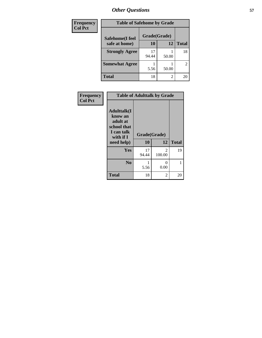| Frequency      | <b>Table of Safehome by Grade</b> |              |                |                |  |  |  |
|----------------|-----------------------------------|--------------|----------------|----------------|--|--|--|
| <b>Col Pct</b> | Safehome(I feel                   | Grade(Grade) |                |                |  |  |  |
|                | safe at home)                     | 10           | 12             | <b>Total</b>   |  |  |  |
|                | <b>Strongly Agree</b>             | 17<br>94.44  | 50.00          | 18             |  |  |  |
|                | <b>Somewhat Agree</b>             | 5.56         | 50.00          | $\overline{2}$ |  |  |  |
|                | Total                             | 18           | $\mathfrak{D}$ | 20             |  |  |  |

| Frequency      | <b>Table of Adulttalk by Grade</b>                                                                 |                    |                          |              |  |  |  |  |
|----------------|----------------------------------------------------------------------------------------------------|--------------------|--------------------------|--------------|--|--|--|--|
| <b>Col Pct</b> | <b>Adulttalk</b> (I<br>know an<br>adult at<br>school that<br>I can talk<br>with if I<br>need help) | Grade(Grade)<br>10 | 12                       | <b>Total</b> |  |  |  |  |
|                | Yes                                                                                                | 17<br>94.44        | $\mathfrak{D}$<br>100.00 | 19           |  |  |  |  |
|                | N <sub>0</sub>                                                                                     | 5.56               | 0<br>0.00                | 1            |  |  |  |  |
|                | <b>Total</b>                                                                                       | 18                 | 2                        | 20           |  |  |  |  |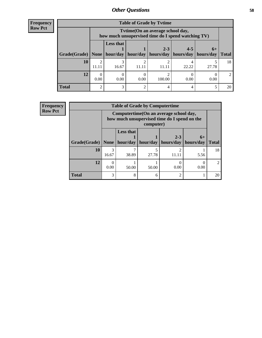| <b>Frequency</b> |
|------------------|
| <b>Row Pct</b>   |

| <b>Table of Grade by Tytime</b> |            |                                                                                        |          |                      |                      |                   |              |  |  |
|---------------------------------|------------|----------------------------------------------------------------------------------------|----------|----------------------|----------------------|-------------------|--------------|--|--|
|                                 |            | Tvtime(On an average school day,<br>how much unsupervised time do I spend watching TV) |          |                      |                      |                   |              |  |  |
| Grade(Grade)   None   hour/day  |            | <b>Less that</b>                                                                       | hour/day | $2 - 3$<br>hours/day | $4 - 5$<br>hours/day | $6+$<br>hours/day | <b>Total</b> |  |  |
| 10                              | ി<br>11.11 | 16.67                                                                                  | 11.11    | 11.11                | 22.22                | 27.78             | 18           |  |  |
| 12                              | 0<br>0.00  | 0.00                                                                                   | 0.00     | 100.00               | 0.00                 | 0.00              | 2            |  |  |
| <b>Total</b>                    | 2          | 3                                                                                      | ∍        |                      |                      |                   | 20           |  |  |

| <b>Frequency</b> | <b>Table of Grade by Computertime</b> |       |                                                                                                      |          |                   |           |              |  |
|------------------|---------------------------------------|-------|------------------------------------------------------------------------------------------------------|----------|-------------------|-----------|--------------|--|
| <b>Row Pct</b>   |                                       |       | Computertime (On an average school day,<br>how much unsupervised time do I spend on the<br>computer) |          |                   |           |              |  |
|                  |                                       |       | <b>Less that</b>                                                                                     |          | $2 - 3$           | $6+$      |              |  |
|                  | Grade(Grade)   None   hour/day        |       |                                                                                                      | hour/day | hours/day $\vert$ | hours/day | <b>Total</b> |  |
|                  | 10                                    | 16.67 | 38.89                                                                                                | 27.78    | 11.11             | 5.56      | 18           |  |
|                  | 12                                    | 0.00  | 50.00                                                                                                | 50.00    | 0.00              | 0.00      | 2            |  |
|                  | <b>Total</b>                          | 3     | 8                                                                                                    | 6        | ↑                 |           | 20           |  |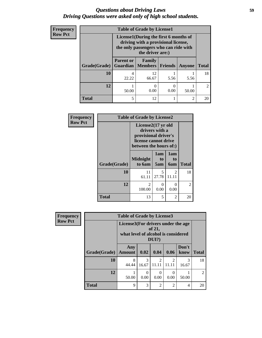### *Questions about Driving Laws* **59** *Driving Questions were asked only of high school students.*

| Frequency      |              | <b>Table of Grade by License1</b>                                                                                                         |             |         |                |                |  |  |  |
|----------------|--------------|-------------------------------------------------------------------------------------------------------------------------------------------|-------------|---------|----------------|----------------|--|--|--|
| <b>Row Pct</b> |              | License1(During the first 6 months of<br>driving with a provisional license,<br>the only passengers who can ride with<br>the driver are:) |             |         |                |                |  |  |  |
|                | Grade(Grade) | <b>Parent or</b><br><b>Guardian</b>   Members                                                                                             | Family      | Friends | Anyone         | <b>Total</b>   |  |  |  |
|                | 10           | 4<br>22.22                                                                                                                                | 12<br>66.67 | 5.56    | 5.56           | 18             |  |  |  |
|                | 12           | 50.00                                                                                                                                     | 0<br>0.00   | 0.00    | 50.00          | $\mathfrak{D}$ |  |  |  |
|                | <b>Total</b> | 5                                                                                                                                         | 12          |         | $\overline{2}$ | 20             |  |  |  |

| Frequency      | <b>Table of Grade by License2</b> |                                                                                                                |                  |                  |              |  |  |  |
|----------------|-----------------------------------|----------------------------------------------------------------------------------------------------------------|------------------|------------------|--------------|--|--|--|
| <b>Row Pct</b> |                                   | License2(17 yr old<br>drivers with a<br>provisional driver's<br>license cannot drive<br>between the hours of:) |                  |                  |              |  |  |  |
|                | Grade(Grade)                      | <b>Midnight</b><br>to 6am                                                                                      | 1am<br>to<br>5am | 1am<br>to<br>6am | <b>Total</b> |  |  |  |
|                | 10                                | 11<br>61.11                                                                                                    | 5<br>27.78       | 2<br>11.11       | 18           |  |  |  |
|                | 12                                | $\overline{2}$<br>100.00                                                                                       | 0<br>0.00        | 0<br>0.00        | 2            |  |  |  |
|                | <b>Total</b>                      | 13                                                                                                             | 5                | $\overline{2}$   | 20           |  |  |  |

| <b>Frequency</b> |              | <b>Table of Grade by License3</b>                                                              |                  |                         |                         |                |                             |
|------------------|--------------|------------------------------------------------------------------------------------------------|------------------|-------------------------|-------------------------|----------------|-----------------------------|
| <b>Row Pct</b>   |              | License3(For drivers under the age<br>of 21,<br>what level of alcohol is considered<br>$DUI$ ? |                  |                         |                         |                |                             |
|                  | Grade(Grade) | Any<br><b>Amount</b>                                                                           | 0.02             | 0.04                    | 0.06                    | Don't<br>know  | <b>Total</b>                |
|                  | 10           | 8<br>44.44                                                                                     | 3<br>16.67       | $\mathfrak{D}$<br>11.11 | $\mathfrak{D}$<br>11.11 | 3<br>16.67     | 18                          |
|                  | 12           | 50.00                                                                                          | $\Omega$<br>0.00 | 0<br>0.00               | $\Omega$<br>0.00        | 50.00          | $\mathcal{D}_{\mathcal{L}}$ |
|                  | <b>Total</b> | 9                                                                                              | 3                | $\overline{2}$          | $\overline{c}$          | $\overline{4}$ | 20                          |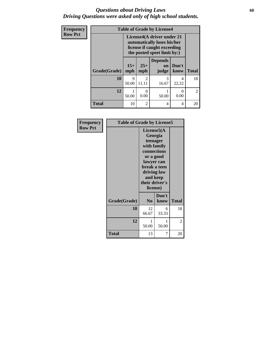### *Questions about Driving Laws* **60** *Driving Questions were asked only of high school students.*

| Frequency      |              |                                                                                                                         |                | <b>Table of Grade by License4</b> |                  |                |
|----------------|--------------|-------------------------------------------------------------------------------------------------------------------------|----------------|-----------------------------------|------------------|----------------|
| <b>Row Pct</b> |              | License4(A driver under 21<br>automatically loses his/her<br>license if caught exceeding<br>the posted speet limit by:) |                |                                   |                  |                |
|                | Grade(Grade) | $15+$<br>mph                                                                                                            | $25+$<br>mph   | <b>Depends</b><br>on<br>judge     | Don't<br>know    | <b>Total</b>   |
|                | 10           | 9<br>50.00                                                                                                              | 2<br>11.11     | 3<br>16.67                        | 4<br>22.22       | 18             |
|                | 12           | 50.00                                                                                                                   | 0.00           | 50.00                             | $\theta$<br>0.00 | $\overline{2}$ |
|                | <b>Total</b> | 10                                                                                                                      | $\mathfrak{D}$ | 4                                 | 4                | 20             |

| Frequency      |              | <b>Table of Grade by License5</b>                                                                                                                                    |               |              |  |
|----------------|--------------|----------------------------------------------------------------------------------------------------------------------------------------------------------------------|---------------|--------------|--|
| <b>Row Pct</b> |              | License5(A)<br>Georgia<br>teenager<br>with family<br>connections<br>or a good<br>lawyer can<br>break a teen<br>driving law<br>and keep<br>their driver's<br>license) |               |              |  |
|                | Grade(Grade) | N <sub>0</sub>                                                                                                                                                       | Don't<br>know | <b>Total</b> |  |
|                | 10           | 12<br>66.67                                                                                                                                                          | 6<br>33.33    | 18           |  |
|                | 12           | 1<br>50.00                                                                                                                                                           | 1<br>50.00    | 2            |  |
|                | <b>Total</b> | 13                                                                                                                                                                   | 7             | 20           |  |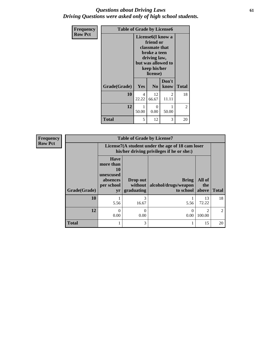### *Questions about Driving Laws* **61** *Driving Questions were asked only of high school students.*

| <b>Frequency</b> | <b>Table of Grade by License6</b> |                                                                                                                                                 |                |               |              |
|------------------|-----------------------------------|-------------------------------------------------------------------------------------------------------------------------------------------------|----------------|---------------|--------------|
| <b>Row Pct</b>   |                                   | License <sub>6</sub> (I know a<br>friend or<br>classmate that<br>broke a teen<br>driving law,<br>but was allowed to<br>keep his/her<br>license) |                |               |              |
|                  | Grade(Grade)                      | <b>Yes</b>                                                                                                                                      | N <sub>0</sub> | Don't<br>know | <b>Total</b> |
|                  | 10                                | 4<br>22.22                                                                                                                                      | 12<br>66.67    | 2<br>11.11    | 18           |
|                  | 12                                | $\mathbf{1}$<br>50.00                                                                                                                           | 0<br>0.00      | 1<br>50.00    | 2            |
|                  | <b>Total</b>                      | 5                                                                                                                                               | 12             | 3             | 20           |

| <b>Frequency</b> | <b>Table of Grade by License7</b> |                                                                             |                                     |                                                                                               |                        |               |
|------------------|-----------------------------------|-----------------------------------------------------------------------------|-------------------------------------|-----------------------------------------------------------------------------------------------|------------------------|---------------|
| <b>Row Pct</b>   |                                   |                                                                             |                                     | License7(A student under the age of 18 cam loser<br>his/her driving privileges if he or she:) |                        |               |
|                  | Grade(Grade)                      | <b>Have</b><br>more than<br>10<br>unexcused<br>absences<br>per school<br>yr | Drop out<br>without  <br>graduating | <b>Bring</b><br>alcohol/drugs/weapon<br>to school                                             | All of<br>the<br>above | <b>Total</b>  |
|                  | 10                                | 5.56                                                                        | 3<br>16.67                          | 5.56                                                                                          | 13<br>72.22            | 18            |
|                  | 12                                | $\Omega$<br>0.00                                                            | 0.00                                | 0.00                                                                                          | っ<br>100.00            | $\mathcal{D}$ |
|                  | <b>Total</b>                      |                                                                             | 3                                   |                                                                                               | 15                     | 20            |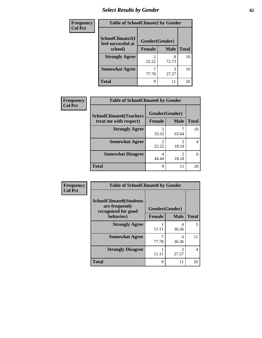# *Select Results by Gender* **62**

| <b>Frequency</b> | <b>Table of SchoolClimate2 by Gender</b> |               |                |              |
|------------------|------------------------------------------|---------------|----------------|--------------|
| <b>Col Pct</b>   | SchoolClimate2(I<br>feel successful at   |               | Gender(Gender) |              |
|                  | school)                                  | <b>Female</b> | <b>Male</b>    | <b>Total</b> |
|                  | <b>Strongly Agree</b>                    | 22.22         | 72.73          | 10           |
|                  | <b>Somewhat Agree</b>                    | 77.78         | 27.27          | 10           |
|                  | <b>Total</b>                             | Q             | 11             | 20           |

| <b>Frequency</b> | <b>Table of SchoolClimate6 by Gender</b>                 |                                 |             |              |  |
|------------------|----------------------------------------------------------|---------------------------------|-------------|--------------|--|
| <b>Col Pct</b>   | <b>SchoolClimate6(Teachers</b><br>treat me with respect) | Gender(Gender)<br><b>Female</b> | <b>Male</b> | <b>Total</b> |  |
|                  | <b>Strongly Agree</b>                                    | 3<br>33.33                      | 63.64       | 10           |  |
|                  | <b>Somewhat Agree</b>                                    | 2<br>22.22                      | 2<br>18.18  |              |  |
|                  | <b>Somewhat Disagree</b>                                 | 4<br>44.44                      | 18.18       | 6            |  |
|                  | <b>Total</b>                                             | 9                               | 11          | 20           |  |

| Frequency      | <b>Table of SchoolClimate8 by Gender</b>                                             |                                 |             |                |
|----------------|--------------------------------------------------------------------------------------|---------------------------------|-------------|----------------|
| <b>Col Pct</b> | <b>SchoolClimate8(Students</b><br>are frequently<br>recognized for good<br>behavior) | Gender(Gender)<br><b>Female</b> | <b>Male</b> | <b>Total</b>   |
|                | <b>Strongly Agree</b>                                                                | 11.11                           | 4<br>36.36  | 5              |
|                | <b>Somewhat Agree</b>                                                                | 77.78                           | 4<br>36.36  | 11             |
|                | <b>Strongly Disagree</b>                                                             | 11.11                           | 3<br>27.27  | $\overline{4}$ |
|                | <b>Total</b>                                                                         | 9                               | 11          | 20             |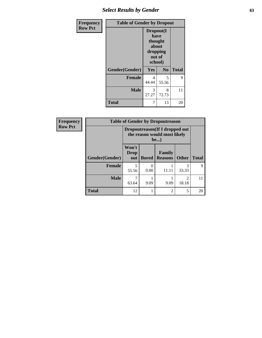# *Select Results by Gender* **63**

| <b>Frequency</b> | <b>Table of Gender by Dropout</b> |                                                                        |                |              |
|------------------|-----------------------------------|------------------------------------------------------------------------|----------------|--------------|
| <b>Row Pct</b>   |                                   | Dropout(I<br>have<br>thought<br>about<br>dropping<br>out of<br>school) |                |              |
|                  | Gender(Gender)                    | Yes                                                                    | N <sub>0</sub> | <b>Total</b> |
|                  | <b>Female</b>                     | 4<br>44.44                                                             | 5<br>55.56     | 9            |
|                  | <b>Male</b>                       | 3<br>27.27                                                             | 8<br>72.73     | 11           |
|                  | <b>Total</b>                      | 7                                                                      | 13             | 20           |

| Frequency      | <b>Table of Gender by Dropoutreason</b> |                                                                        |              |                          |                         |              |
|----------------|-----------------------------------------|------------------------------------------------------------------------|--------------|--------------------------|-------------------------|--------------|
| <b>Row Pct</b> |                                         | Dropoutreason (If I dropped out<br>the reason would most likely<br>be) |              |                          |                         |              |
|                | Gender(Gender)                          | Won't<br>Drop<br>out                                                   | <b>Bored</b> | Family<br><b>Reasons</b> | <b>Other</b>            | <b>Total</b> |
|                | <b>Female</b>                           | 55.56                                                                  | 0.00         | 11.11                    | 3<br>33.33              | 9            |
|                | <b>Male</b>                             | 63.64                                                                  | 9.09         | 9.09                     | $\mathfrak{D}$<br>18.18 | 11           |
|                | <b>Total</b>                            | 12                                                                     |              | $\overline{2}$           | 5                       | 20           |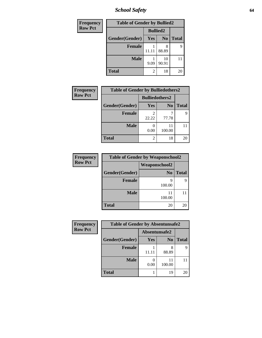*School Safety* **64**

| Frequency      | <b>Table of Gender by Bullied2</b> |                 |                |              |
|----------------|------------------------------------|-----------------|----------------|--------------|
| <b>Row Pct</b> |                                    | <b>Bullied2</b> |                |              |
|                | Gender(Gender)                     | Yes             | N <sub>0</sub> | <b>Total</b> |
|                | <b>Female</b>                      | 11.11           | 8<br>88.89     | 9            |
|                | <b>Male</b>                        | 9.09            | 10<br>90.91    |              |
|                | Total                              | 2               | 18             | 20           |

| <b>Frequency</b> | <b>Table of Gender by Bulliedothers2</b> |                       |                |              |  |
|------------------|------------------------------------------|-----------------------|----------------|--------------|--|
| <b>Row Pct</b>   |                                          | <b>Bulliedothers2</b> |                |              |  |
|                  | Gender(Gender)                           | Yes                   | N <sub>0</sub> | <b>Total</b> |  |
|                  | <b>Female</b>                            | 2<br>22.22            | 77.78          | Q            |  |
|                  | <b>Male</b>                              | 0.00                  | 100.00         |              |  |
|                  | <b>Total</b>                             | 2                     | 18             | 20           |  |

| Frequency      | <b>Table of Gender by Weaponschool2</b> |                      |              |  |  |
|----------------|-----------------------------------------|----------------------|--------------|--|--|
| <b>Row Pct</b> |                                         | <b>Weaponschool2</b> |              |  |  |
|                | Gender(Gender)                          | N <sub>0</sub>       | <b>Total</b> |  |  |
|                | <b>Female</b>                           | q<br>100.00          |              |  |  |
|                | <b>Male</b>                             | 11<br>100.00         |              |  |  |
|                | <b>Total</b>                            | 20                   | 20           |  |  |

| Frequency      | <b>Table of Gender by Absentunsafe2</b> |               |                |              |
|----------------|-----------------------------------------|---------------|----------------|--------------|
| <b>Row Pct</b> |                                         | Absentunsafe2 |                |              |
|                | Gender(Gender)                          | Yes           | N <sub>0</sub> | <b>Total</b> |
|                | <b>Female</b>                           | 11.11         | 88.89          | 9            |
|                | <b>Male</b>                             | 0.00          | 11<br>100.00   | 11           |
|                | <b>Total</b>                            |               | 19             | 20           |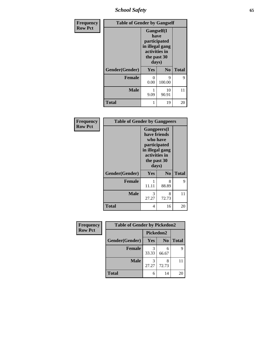*School Safety* **65**

| Frequency      | <b>Table of Gender by Gangself</b> |                                                                                                |                |              |
|----------------|------------------------------------|------------------------------------------------------------------------------------------------|----------------|--------------|
| <b>Row Pct</b> |                                    | Gangself(I<br>have<br>participated<br>in illegal gang<br>activities in<br>the past 30<br>days) |                |              |
|                | Gender(Gender)                     | Yes                                                                                            | N <sub>0</sub> | <b>Total</b> |
|                | <b>Female</b>                      | 0<br>0.00                                                                                      | 9<br>100.00    | 9            |
|                | <b>Male</b>                        | 9.09                                                                                           | 10<br>90.91    | 11           |
|                | <b>Total</b>                       |                                                                                                | 19             | 20           |

| Frequency      | <b>Table of Gender by Gangpeers</b> |                                                                                                                             |                |              |  |
|----------------|-------------------------------------|-----------------------------------------------------------------------------------------------------------------------------|----------------|--------------|--|
| <b>Row Pct</b> |                                     | <b>Gangpeers</b> (I<br>have friends<br>who have<br>participated<br>in illegal gang<br>activities in<br>the past 30<br>days) |                |              |  |
|                | Gender(Gender)                      | <b>Yes</b>                                                                                                                  | N <sub>o</sub> | <b>Total</b> |  |
|                | <b>Female</b>                       | 11.11                                                                                                                       | 8<br>88.89     | 9            |  |
|                | <b>Male</b>                         | 3<br>27.27                                                                                                                  | 8<br>72.73     | 11           |  |
|                | Total                               | 4                                                                                                                           | 16             | 20           |  |

| Frequency      | <b>Table of Gender by Pickedon2</b> |            |                |              |
|----------------|-------------------------------------|------------|----------------|--------------|
| <b>Row Pct</b> |                                     | Pickedon2  |                |              |
|                | Gender(Gender)                      | <b>Yes</b> | N <sub>0</sub> | <b>Total</b> |
|                | <b>Female</b>                       | 3<br>33.33 | 6<br>66.67     | 9            |
|                | <b>Male</b>                         | 3<br>27.27 | 72.73          |              |
|                | <b>Total</b>                        | 6          | 14             | 20           |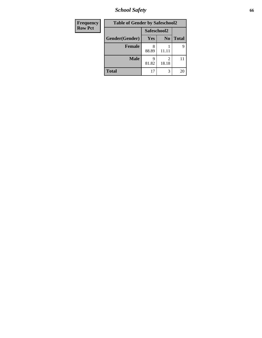*School Safety* **66**

| Frequency      | <b>Table of Gender by Safeschool2</b> |             |                |              |
|----------------|---------------------------------------|-------------|----------------|--------------|
| <b>Row Pct</b> |                                       | Safeschool2 |                |              |
|                | Gender(Gender)                        | <b>Yes</b>  | N <sub>0</sub> | <b>Total</b> |
|                | <b>Female</b>                         | 88.89       | 11.11          | 9            |
|                | <b>Male</b>                           | q<br>81.82  | 2<br>18.18     | 11           |
|                | <b>Total</b>                          | 17          | 3              | 20           |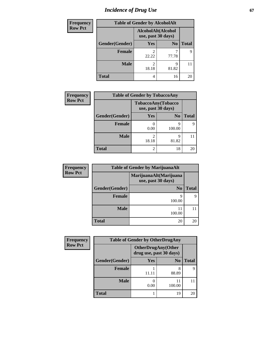# *Incidence of Drug Use* 67

| <b>Frequency</b> |                | <b>Table of Gender by AlcoholAlt</b>     |                |              |
|------------------|----------------|------------------------------------------|----------------|--------------|
| <b>Row Pct</b>   |                | AlcoholAlt(Alcohol<br>use, past 30 days) |                |              |
|                  | Gender(Gender) | Yes                                      | N <sub>0</sub> | <b>Total</b> |
|                  | <b>Female</b>  | 2<br>22.22                               | 77.78          | 9            |
|                  | <b>Male</b>    | 2<br>18.18                               | 9<br>81.82     |              |
|                  | <b>Total</b>   | 4                                        | 16             | 20           |

| <b>Frequency</b> | <b>Table of Gender by TobaccoAny</b> |                         |                                          |                            |  |
|------------------|--------------------------------------|-------------------------|------------------------------------------|----------------------------|--|
| <b>Row Pct</b>   |                                      |                         | TobaccoAny(Tobacco<br>use, past 30 days) |                            |  |
|                  | Gender(Gender)                       | <b>Yes</b>              | N <sub>0</sub>                           | <b>Total</b>               |  |
|                  | <b>Female</b>                        | 0.00                    | q<br>100.00                              | Q                          |  |
|                  | <b>Male</b>                          | $\mathfrak{D}$<br>18.18 | q<br>81.82                               |                            |  |
|                  | <b>Total</b>                         | $\mathfrak{D}$          | 18                                       | $\mathcal{D}(\mathcal{C})$ |  |

| <b>Frequency</b> | <b>Table of Gender by MarijuanaAlt</b> |                                              |              |  |
|------------------|----------------------------------------|----------------------------------------------|--------------|--|
| <b>Row Pct</b>   |                                        | MarijuanaAlt(Marijuana<br>use, past 30 days) |              |  |
|                  | Gender(Gender)                         | N <sub>0</sub>                               | <b>Total</b> |  |
|                  | <b>Female</b>                          | q<br>100.00                                  | 9            |  |
|                  | <b>Male</b>                            | 100.00                                       |              |  |
|                  | <b>Total</b>                           | 20                                           | 20           |  |

| <b>Frequency</b> | <b>Table of Gender by OtherDrugAny</b> |                         |                           |              |
|------------------|----------------------------------------|-------------------------|---------------------------|--------------|
| <b>Row Pct</b>   |                                        | drug use, past 30 days) | <b>OtherDrugAny(Other</b> |              |
|                  | Gender(Gender)                         | Yes                     | N <sub>0</sub>            | <b>Total</b> |
|                  | <b>Female</b>                          | 11.11                   | 8<br>88.89                |              |
|                  | <b>Male</b>                            | 0.00                    | 11<br>100.00              |              |
|                  | <b>Total</b>                           |                         | 19                        | 20           |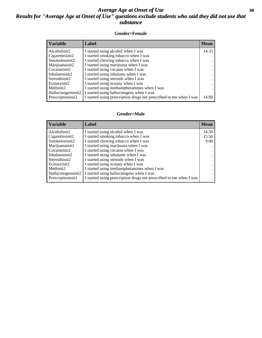### *Average Age at Onset of Use* **68** *Results for "Average Age at Onset of Use" questions exclude students who said they did not use that substance*

#### **Gender=Female**

| <b>Variable</b>    | Label                                                              | <b>Mean</b> |
|--------------------|--------------------------------------------------------------------|-------------|
| Alcoholinit2       | I started using alcohol when I was                                 | 14.33       |
| Cigarettesinit2    | I started smoking tobacco when I was                               |             |
| Smokelessinit2     | I started chewing tobacco when I was                               |             |
| Marijuanainit2     | I started using marijuana when I was                               |             |
| Cocaineinit2       | I started using cocaine when I was                                 |             |
| Inhalantsinit2     | I started using inhalants when I was                               |             |
| Steroidsinit2      | I started using steroids when I was                                |             |
| Ecstasyinit2       | I started using ecstasy when I was                                 |             |
| Methinit2          | I started using methamphetamines when I was                        |             |
| Hallucinogensinit2 | I started using hallucinogens when I was                           |             |
| Prescription in t2 | I started using prescription drugs not prescribed to me when I was | 14.00       |

#### **Gender=Male**

| <b>Variable</b>                 | Label                                                              | <b>Mean</b> |
|---------------------------------|--------------------------------------------------------------------|-------------|
| Alcoholinit2                    | I started using alcohol when I was                                 | 14.50       |
| Cigarettesinit2                 | I started smoking tobacco when I was                               | 15.50       |
| Smokelessinit2                  | I started chewing tobacco when I was                               | 9.00        |
| Marijuanainit2                  | I started using marijuana when I was                               |             |
| Cocaineinit2                    | I started using cocaine when I was                                 |             |
| Inhalantsinit2                  | I started using inhalants when I was                               |             |
| Steroidsinit2                   | I started using steroids when I was                                |             |
| Ecstasyinit2                    | I started using ecstasy when I was                                 |             |
| Methinit2                       | I started using methamphetamines when I was                        |             |
| Hallucinogensinit2              | I started using hallucinogens when I was                           |             |
| Prescription in it <sub>2</sub> | I started using prescription drugs not prescribed to me when I was |             |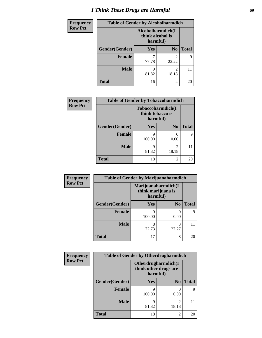# *I Think These Drugs are Harmful* **69**

| Frequency      | <b>Table of Gender by Alcoholharmdich</b> |                                                   |                         |              |
|----------------|-------------------------------------------|---------------------------------------------------|-------------------------|--------------|
| <b>Row Pct</b> |                                           | Alcoholharmdich(I<br>think alcohol is<br>harmful) |                         |              |
|                | Gender(Gender)                            | <b>Yes</b>                                        | N <sub>0</sub>          | <b>Total</b> |
|                | <b>Female</b>                             | 77.78                                             | $\overline{c}$<br>22.22 | Q            |
|                | <b>Male</b>                               | 9<br>81.82                                        | $\overline{c}$<br>18.18 | 11           |
|                | <b>Total</b>                              | 16                                                | 4                       | 20           |

| Frequency      | <b>Table of Gender by Tobaccoharmdich</b> |                  |                                      |              |
|----------------|-------------------------------------------|------------------|--------------------------------------|--------------|
| <b>Row Pct</b> |                                           | think tobacco is | Tobaccoharmdich(I<br>harmful)        |              |
|                | Gender(Gender)                            | <b>Yes</b>       | N <sub>0</sub>                       | <b>Total</b> |
|                | <b>Female</b>                             | q<br>100.00      | 0.00                                 | 9            |
|                | <b>Male</b>                               | q<br>81.82       | $\mathcal{D}_{\mathcal{L}}$<br>18.18 |              |
|                | Total                                     | 18               | $\mathfrak{D}$                       | 20           |

| Frequency      | <b>Table of Gender by Marijuanaharmdich</b> |                                |                     |              |
|----------------|---------------------------------------------|--------------------------------|---------------------|--------------|
| <b>Row Pct</b> |                                             | think marijuana is<br>harmful) | Marijuanaharmdich(I |              |
|                | Gender(Gender)                              | <b>Yes</b>                     | N <sub>0</sub>      | <b>Total</b> |
|                | <b>Female</b>                               | q<br>100.00                    | 0<br>0.00           | Q            |
|                | <b>Male</b>                                 | 8<br>72.73                     | 3<br>27.27          |              |
|                | <b>Total</b>                                | 17                             | 3                   | 20           |

| Frequency      | <b>Table of Gender by Otherdrugharmdich</b> |                                   |                     |              |
|----------------|---------------------------------------------|-----------------------------------|---------------------|--------------|
| <b>Row Pct</b> |                                             | think other drugs are<br>harmful) | Otherdrugharmdich(I |              |
|                | Gender(Gender)                              | <b>Yes</b>                        | N <sub>0</sub>      | <b>Total</b> |
|                | <b>Female</b>                               | q<br>100.00                       | 0.00                | 9            |
|                | <b>Male</b>                                 | q<br>81.82                        | 2<br>18.18          | 11           |
|                | <b>Total</b>                                | 18                                | $\overline{c}$      | 20           |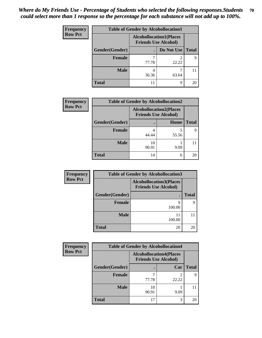| <b>Frequency</b> | <b>Table of Gender by Alcohollocation1</b> |                             |                                |              |
|------------------|--------------------------------------------|-----------------------------|--------------------------------|--------------|
| <b>Row Pct</b>   |                                            | <b>Friends Use Alcohol)</b> | <b>Alcohollocation1(Places</b> |              |
|                  | Gender(Gender)                             |                             | Do Not Use                     | <b>Total</b> |
|                  | <b>Female</b>                              | 77.78                       | 22.22                          | q            |
|                  | <b>Male</b>                                | 36.36                       | 63.64                          |              |
|                  | <b>Total</b>                               |                             | 9                              | 20           |

| <b>Frequency</b> | <b>Table of Gender by Alcohollocation2</b> |             |                                                               |              |
|------------------|--------------------------------------------|-------------|---------------------------------------------------------------|--------------|
| <b>Row Pct</b>   |                                            |             | <b>Alcohollocation2(Places</b><br><b>Friends Use Alcohol)</b> |              |
|                  | Gender(Gender)                             |             | Home                                                          | <b>Total</b> |
|                  | Female                                     | 44.44       | 55.56                                                         | Q            |
|                  | <b>Male</b>                                | 10<br>90.91 | 9.09                                                          |              |
|                  | <b>Total</b>                               | 14          | 6                                                             | 20           |

| Frequency      | <b>Table of Gender by Alcohollocation3</b> |                                                               |              |
|----------------|--------------------------------------------|---------------------------------------------------------------|--------------|
| <b>Row Pct</b> |                                            | <b>Alcohollocation3(Places</b><br><b>Friends Use Alcohol)</b> |              |
|                | Gender(Gender)                             |                                                               | <b>Total</b> |
|                | <b>Female</b>                              | Q<br>100.00                                                   | Q            |
|                | <b>Male</b>                                | 11<br>100.00                                                  |              |
|                | <b>Total</b>                               | 20                                                            | 20           |

| <b>Frequency</b> | <b>Table of Gender by Alcohollocation4</b> |                                                               |       |              |
|------------------|--------------------------------------------|---------------------------------------------------------------|-------|--------------|
| <b>Row Pct</b>   |                                            | <b>Alcohollocation4(Places</b><br><b>Friends Use Alcohol)</b> |       |              |
|                  | Gender(Gender)                             |                                                               | Car   | <b>Total</b> |
|                  | <b>Female</b>                              | 77.78                                                         | 22.22 |              |
|                  | <b>Male</b>                                | 10<br>90.91                                                   | 9.09  |              |
|                  | <b>Total</b>                               |                                                               | 3     | 20           |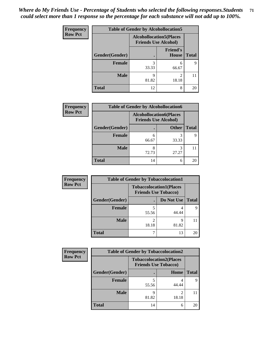| <b>Frequency</b> | <b>Table of Gender by Alcohollocation5</b> |                                                                |                                 |              |
|------------------|--------------------------------------------|----------------------------------------------------------------|---------------------------------|--------------|
| <b>Row Pct</b>   |                                            | <b>Alcohollocation5</b> (Places<br><b>Friends Use Alcohol)</b> |                                 |              |
|                  | Gender(Gender)                             |                                                                | <b>Friend's</b><br><b>House</b> | <b>Total</b> |
|                  | <b>Female</b>                              | 3<br>33.33                                                     | 6<br>66.67                      | q            |
|                  | <b>Male</b>                                | Q<br>81.82                                                     | $\mathfrak{D}$<br>18.18         |              |
|                  | <b>Total</b>                               | 12                                                             | 8                               | 20           |

| Frequency      | <b>Table of Gender by Alcohollocation6</b> |                                                               |              |              |
|----------------|--------------------------------------------|---------------------------------------------------------------|--------------|--------------|
| <b>Row Pct</b> |                                            | <b>Alcohollocation6(Places</b><br><b>Friends Use Alcohol)</b> |              |              |
|                | Gender(Gender)                             |                                                               | <b>Other</b> | <b>Total</b> |
|                | <b>Female</b>                              | 6<br>66.67                                                    | 33.33        |              |
|                | <b>Male</b>                                | 8<br>72.73                                                    | 3<br>27.27   |              |
|                | <b>Total</b>                               | 14                                                            | 6            | 20           |

| Frequency      | <b>Table of Gender by Tobaccolocation1</b> |                                                               |            |              |  |
|----------------|--------------------------------------------|---------------------------------------------------------------|------------|--------------|--|
| <b>Row Pct</b> |                                            | <b>Tobaccolocation1(Places</b><br><b>Friends Use Tobacco)</b> |            |              |  |
|                | Gender(Gender)                             |                                                               | Do Not Use | <b>Total</b> |  |
|                | Female                                     | 55.56                                                         | 44.44      |              |  |
|                | <b>Male</b>                                | 18.18                                                         | q<br>81.82 |              |  |
|                | <b>Total</b>                               |                                                               | 13         | 20           |  |

| <b>Frequency</b> | <b>Table of Gender by Tobaccolocation2</b> |       |                                                               |              |
|------------------|--------------------------------------------|-------|---------------------------------------------------------------|--------------|
| <b>Row Pct</b>   |                                            |       | <b>Tobaccolocation2(Places</b><br><b>Friends Use Tobacco)</b> |              |
|                  | Gender(Gender)                             |       | Home                                                          | <b>Total</b> |
|                  | Female                                     | 55.56 | 44.44                                                         |              |
|                  | <b>Male</b>                                | 81.82 | $\mathfrak{D}$<br>18.18                                       |              |
|                  | <b>Total</b>                               | 14    | 6                                                             | 20           |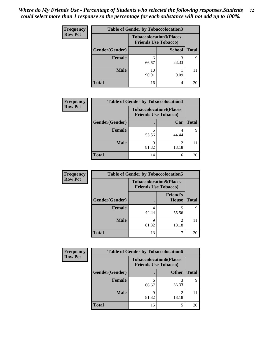| <b>Frequency</b> | <b>Table of Gender by Tobaccolocation3</b> |                                                               |               |              |  |
|------------------|--------------------------------------------|---------------------------------------------------------------|---------------|--------------|--|
| <b>Row Pct</b>   |                                            | <b>Tobaccolocation3(Places</b><br><b>Friends Use Tobacco)</b> |               |              |  |
|                  | Gender(Gender)                             |                                                               | <b>School</b> | <b>Total</b> |  |
|                  | Female                                     | 6<br>66.67                                                    | 33.33         |              |  |
|                  | <b>Male</b>                                | 10<br>90.91                                                   | 9.09          |              |  |
|                  | <b>Total</b>                               | 16                                                            | 4             | 20           |  |

| <b>Frequency</b> | <b>Table of Gender by Tobaccolocation4</b> |                                                               |       |              |
|------------------|--------------------------------------------|---------------------------------------------------------------|-------|--------------|
| <b>Row Pct</b>   |                                            | <b>Tobaccolocation4(Places</b><br><b>Friends Use Tobacco)</b> |       |              |
|                  | Gender(Gender)                             |                                                               | Car   | <b>Total</b> |
|                  | <b>Female</b>                              | 55.56                                                         | 44.44 | Q            |
|                  | <b>Male</b>                                | q<br>81.82                                                    | 18.18 |              |
|                  | <b>Total</b>                               | 14                                                            | 6     | 20           |

| Frequency      | <b>Table of Gender by Tobaccolocation5</b> |                                                               |                          |              |  |
|----------------|--------------------------------------------|---------------------------------------------------------------|--------------------------|--------------|--|
| <b>Row Pct</b> |                                            | <b>Tobaccolocation5(Places</b><br><b>Friends Use Tobacco)</b> |                          |              |  |
|                | Gender(Gender)                             |                                                               | <b>Friend's</b><br>House | <b>Total</b> |  |
|                | Female                                     | 44.44                                                         | 55.56                    | q            |  |
|                | <b>Male</b>                                | q<br>81.82                                                    | 18.18                    | 11           |  |
|                | <b>Total</b>                               | 13                                                            |                          | 20           |  |

| <b>Frequency</b> | <b>Table of Gender by Tobaccolocation6</b> |                                                               |              |              |
|------------------|--------------------------------------------|---------------------------------------------------------------|--------------|--------------|
| <b>Row Pct</b>   |                                            | <b>Tobaccolocation6(Places</b><br><b>Friends Use Tobacco)</b> |              |              |
|                  | Gender(Gender)                             |                                                               | <b>Other</b> | <b>Total</b> |
|                  | Female                                     | 6<br>66.67                                                    | 33.33        | Q            |
|                  | <b>Male</b>                                | 81.82                                                         | ∍<br>18.18   |              |
|                  | <b>Total</b>                               | 15                                                            |              | 20           |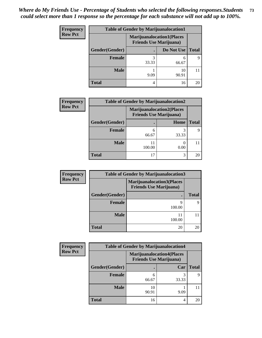| Frequency      | <b>Table of Gender by Marijuanalocation1</b> |                                                                    |             |              |
|----------------|----------------------------------------------|--------------------------------------------------------------------|-------------|--------------|
| <b>Row Pct</b> |                                              | <b>Marijuanalocation1(Places</b><br><b>Friends Use Marijuana</b> ) |             |              |
|                | Gender(Gender)                               |                                                                    | Do Not Use  | <b>Total</b> |
|                | <b>Female</b>                                | 33.33                                                              | 6<br>66.67  |              |
|                | <b>Male</b>                                  | 9.09                                                               | 10<br>90.91 |              |
|                | <b>Total</b>                                 | 4                                                                  | 16          | 20           |

| <b>Frequency</b> | <b>Table of Gender by Marijuanalocation2</b> |            |                                                                    |              |
|------------------|----------------------------------------------|------------|--------------------------------------------------------------------|--------------|
| <b>Row Pct</b>   |                                              |            | <b>Marijuanalocation2(Places</b><br><b>Friends Use Marijuana</b> ) |              |
|                  | <b>Gender</b> (Gender)                       |            | Home                                                               | <b>Total</b> |
|                  | <b>Female</b>                                | 6<br>66.67 | 33.33                                                              |              |
|                  | <b>Male</b>                                  | 100.00     | 0.00                                                               |              |
|                  | <b>Total</b>                                 | 17         | 3                                                                  | 20           |

| <b>Frequency</b> | <b>Table of Gender by Marijuanalocation3</b> |                                                                    |              |  |
|------------------|----------------------------------------------|--------------------------------------------------------------------|--------------|--|
| <b>Row Pct</b>   |                                              | <b>Marijuanalocation3(Places</b><br><b>Friends Use Marijuana</b> ) |              |  |
|                  | Gender(Gender)                               | ٠                                                                  | <b>Total</b> |  |
|                  | <b>Female</b>                                | 9<br>100.00                                                        |              |  |
|                  | Male                                         | 11<br>100.00                                                       |              |  |
|                  | <b>Total</b>                                 | 20                                                                 | 20           |  |

| <b>Frequency</b> | <b>Table of Gender by Marijuanalocation4</b> |                                |                                  |              |
|------------------|----------------------------------------------|--------------------------------|----------------------------------|--------------|
| <b>Row Pct</b>   |                                              | <b>Friends Use Marijuana</b> ) | <b>Marijuanalocation4(Places</b> |              |
|                  | Gender(Gender)                               |                                | Car                              | <b>Total</b> |
|                  | Female                                       | h<br>66.67                     | 33.33                            | q            |
|                  | <b>Male</b>                                  | 10<br>90.91                    | 9.09                             |              |
|                  | <b>Total</b>                                 | 16                             |                                  | 20           |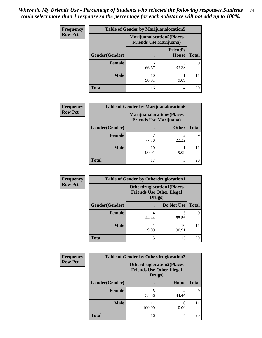| <b>Frequency</b> | <b>Table of Gender by Marijuanalocation5</b> |                                |                                  |              |
|------------------|----------------------------------------------|--------------------------------|----------------------------------|--------------|
| <b>Row Pct</b>   |                                              | <b>Friends Use Marijuana</b> ) | <b>Marijuanalocation5(Places</b> |              |
|                  | Gender(Gender)                               |                                | <b>Friend's</b><br><b>House</b>  | <b>Total</b> |
|                  | <b>Female</b>                                | 6<br>66.67                     | 3<br>33.33                       | 9            |
|                  | <b>Male</b>                                  | 10<br>90.91                    | 9.09                             |              |
|                  | <b>Total</b>                                 | 16                             | 4                                | 20           |

| Frequency      | <b>Table of Gender by Marijuanalocation6</b> |                                |                                  |              |
|----------------|----------------------------------------------|--------------------------------|----------------------------------|--------------|
| <b>Row Pct</b> |                                              | <b>Friends Use Marijuana</b> ) | <b>Marijuanalocation6(Places</b> |              |
|                | Gender(Gender)                               |                                | <b>Other</b>                     | <b>Total</b> |
|                | <b>Female</b>                                | 77.78                          | 22.22                            | 9            |
|                | <b>Male</b>                                  | 10<br>90.91                    | 9.09                             |              |
|                | <b>Total</b>                                 | 17                             | 3                                | 20           |

| Frequency      | <b>Table of Gender by Otherdruglocation1</b> |                                                                                |             |              |
|----------------|----------------------------------------------|--------------------------------------------------------------------------------|-------------|--------------|
| <b>Row Pct</b> |                                              | <b>Otherdruglocation1(Places</b><br><b>Friends Use Other Illegal</b><br>Drugs) |             |              |
|                | Gender(Gender)                               |                                                                                | Do Not Use  | <b>Total</b> |
|                | Female                                       | 44.44                                                                          | 55.56       | q            |
|                | <b>Male</b>                                  | 9.09                                                                           | 10<br>90.91 |              |
|                | <b>Total</b>                                 | 5                                                                              | 15          | 20           |

| Frequency      | <b>Table of Gender by Otherdruglocation2</b> |                                                                                |       |              |
|----------------|----------------------------------------------|--------------------------------------------------------------------------------|-------|--------------|
| <b>Row Pct</b> |                                              | <b>Otherdruglocation2(Places</b><br><b>Friends Use Other Illegal</b><br>Drugs) |       |              |
|                | Gender(Gender)                               |                                                                                | Home  | <b>Total</b> |
|                | <b>Female</b>                                | 55.56                                                                          | 44.44 | q            |
|                | <b>Male</b>                                  | 11<br>100.00                                                                   | 0.00  |              |
|                | <b>Total</b>                                 | 16                                                                             | 4     | 20           |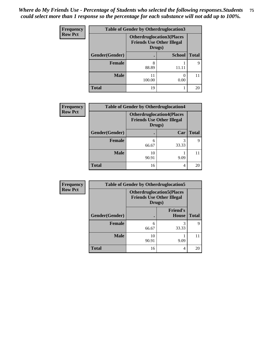| Frequency      | <b>Table of Gender by Otherdruglocation3</b> |              |                                                                      |              |
|----------------|----------------------------------------------|--------------|----------------------------------------------------------------------|--------------|
| <b>Row Pct</b> |                                              | Drugs)       | <b>Otherdruglocation3(Places</b><br><b>Friends Use Other Illegal</b> |              |
|                | Gender(Gender)                               |              | <b>School</b>                                                        | <b>Total</b> |
|                | <b>Female</b>                                | 8<br>88.89   | 11.11                                                                | 9            |
|                | <b>Male</b>                                  | 11<br>100.00 | 0.00                                                                 |              |
|                | <b>Total</b>                                 | 19           |                                                                      | 20           |

| Frequency      | <b>Table of Gender by Otherdruglocation4</b> |             |                                                                                |              |
|----------------|----------------------------------------------|-------------|--------------------------------------------------------------------------------|--------------|
| <b>Row Pct</b> |                                              |             | <b>Otherdruglocation4(Places</b><br><b>Friends Use Other Illegal</b><br>Drugs) |              |
|                | Gender(Gender)                               |             | Car                                                                            | <b>Total</b> |
|                | Female                                       | 66.67       | 33.33                                                                          | 9            |
|                | <b>Male</b>                                  | 10<br>90.91 | 9.09                                                                           |              |
|                | <b>Total</b>                                 | 16          | 4                                                                              | 20           |

| <b>Frequency</b> | <b>Table of Gender by Otherdruglocation5</b> |                                            |                                  |              |
|------------------|----------------------------------------------|--------------------------------------------|----------------------------------|--------------|
| <b>Row Pct</b>   |                                              | <b>Friends Use Other Illegal</b><br>Drugs) | <b>Otherdruglocation5(Places</b> |              |
|                  | Gender(Gender)                               |                                            | <b>Friend's</b><br>House         | <b>Total</b> |
|                  | <b>Female</b>                                | 6<br>66.67                                 | 33.33                            | Q            |
|                  | <b>Male</b>                                  | 10<br>90.91                                | 9.09                             |              |
|                  | <b>Total</b>                                 | 16                                         | 4                                | 20           |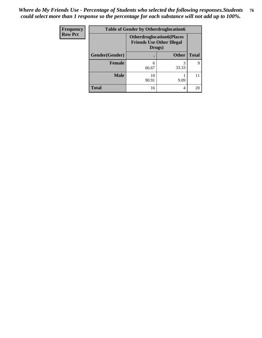| Frequency      | <b>Table of Gender by Otherdruglocation6</b> |                                            |                                  |              |
|----------------|----------------------------------------------|--------------------------------------------|----------------------------------|--------------|
| <b>Row Pct</b> |                                              | <b>Friends Use Other Illegal</b><br>Drugs) | <b>Otherdruglocation6(Places</b> |              |
|                | Gender(Gender)                               |                                            | <b>Other</b>                     | <b>Total</b> |
|                | <b>Female</b>                                | 6<br>66.67                                 | 33.33                            | Q            |
|                | <b>Male</b>                                  | 10<br>90.91                                | 9.09                             | 11           |
|                | <b>Total</b>                                 | 16                                         | 4                                | 20           |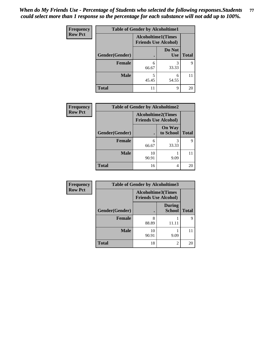| <b>Frequency</b> | <b>Table of Gender by Alcoholtime1</b> |                                                          |                      |              |
|------------------|----------------------------------------|----------------------------------------------------------|----------------------|--------------|
| <b>Row Pct</b>   |                                        | <b>Alcoholtime1(Times</b><br><b>Friends Use Alcohol)</b> |                      |              |
|                  | Gender(Gender)                         | $\bullet$                                                | Do Not<br><b>Use</b> | <b>Total</b> |
|                  | <b>Female</b>                          | 6<br>66.67                                               | 3<br>33.33           | 9            |
|                  | <b>Male</b>                            | 5<br>45.45                                               | 6<br>54.55           | 11           |
|                  | <b>Total</b>                           | 11                                                       | 9                    | 20           |

| <b>Frequency</b> | <b>Table of Gender by Alcoholtime2</b> |                                                          |                            |              |
|------------------|----------------------------------------|----------------------------------------------------------|----------------------------|--------------|
| <b>Row Pct</b>   |                                        | <b>Alcoholtime2(Times</b><br><b>Friends Use Alcohol)</b> |                            |              |
|                  | Gender(Gender)                         |                                                          | <b>On Way</b><br>to School | <b>Total</b> |
|                  | <b>Female</b>                          | 6<br>66.67                                               | 3<br>33.33                 | Q            |
|                  | <b>Male</b>                            | 10<br>90.91                                              | 9.09                       |              |
|                  | <b>Total</b>                           | 16                                                       | 4                          | 20           |

| Frequency      | <b>Table of Gender by Alcoholtime3</b> |                                                          |                                |              |
|----------------|----------------------------------------|----------------------------------------------------------|--------------------------------|--------------|
| <b>Row Pct</b> |                                        | <b>Alcoholtime3(Times</b><br><b>Friends Use Alcohol)</b> |                                |              |
|                | <b>Gender(Gender)</b>                  |                                                          | <b>During</b><br><b>School</b> | <b>Total</b> |
|                | Female                                 | 8<br>88.89                                               | 11.11                          | 9            |
|                | <b>Male</b>                            | 10<br>90.91                                              | 9.09                           |              |
|                | <b>Total</b>                           | 18                                                       | 2                              | 20           |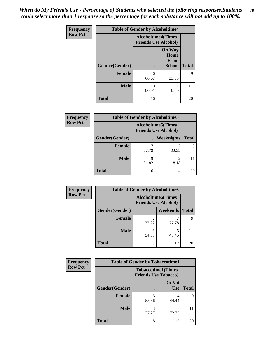*When do My Friends Use - Percentage of Students who selected the following responses.Students could select more than 1 response so the percentage for each substance will not add up to 100%.* **78**

| <b>Frequency</b> | <b>Table of Gender by Alcoholtime4</b> |                                                          |                                                |              |
|------------------|----------------------------------------|----------------------------------------------------------|------------------------------------------------|--------------|
| <b>Row Pct</b>   |                                        | <b>Alcoholtime4(Times</b><br><b>Friends Use Alcohol)</b> |                                                |              |
|                  | Gender(Gender)                         |                                                          | <b>On Way</b><br>Home<br>From<br><b>School</b> | <b>Total</b> |
|                  | <b>Female</b>                          | 6<br>66.67                                               | 3<br>33.33                                     | 9            |
|                  | <b>Male</b>                            | 10<br>90.91                                              | 9.09                                           | 11           |
|                  | <b>Total</b>                           | 16                                                       | 4                                              | 20           |

| <b>Frequency</b> | <b>Table of Gender by Alcoholtime5</b> |                                                   |            |              |
|------------------|----------------------------------------|---------------------------------------------------|------------|--------------|
| <b>Row Pct</b>   |                                        | Alcoholtime5(Times<br><b>Friends Use Alcohol)</b> |            |              |
|                  | Gender(Gender)                         |                                                   | Weeknights | <b>Total</b> |
|                  | <b>Female</b>                          | 77.78                                             | 2<br>22.22 | Q            |
|                  | <b>Male</b>                            | q<br>81.82                                        | 2<br>18.18 | 11           |
|                  | <b>Total</b>                           | 16                                                | 4          | 20           |

| Frequency      | <b>Table of Gender by Alcoholtime6</b> |       |                                                          |              |
|----------------|----------------------------------------|-------|----------------------------------------------------------|--------------|
| <b>Row Pct</b> |                                        |       | <b>Alcoholtime6(Times</b><br><b>Friends Use Alcohol)</b> |              |
|                | Gender(Gender)                         |       | Weekends                                                 | <b>Total</b> |
|                | Female                                 | 22.22 | 77.78                                                    | 9            |
|                | <b>Male</b>                            | 54.55 | 5<br>45.45                                               | 11           |
|                | <b>Total</b>                           | 8     | 12                                                       | 20           |

| Frequency      | <b>Table of Gender by Tobaccotime1</b> |                                                          |                      |              |
|----------------|----------------------------------------|----------------------------------------------------------|----------------------|--------------|
| <b>Row Pct</b> |                                        | <b>Tobaccotime1(Times</b><br><b>Friends Use Tobacco)</b> |                      |              |
|                | Gender(Gender)                         |                                                          | Do Not<br><b>Use</b> | <b>Total</b> |
|                | <b>Female</b>                          | 55.56                                                    | 4<br>44.44           | Q            |
|                | <b>Male</b>                            | 3<br>27.27                                               | 8<br>72.73           | 11           |
|                | <b>Total</b>                           | 8                                                        | 12                   | 20           |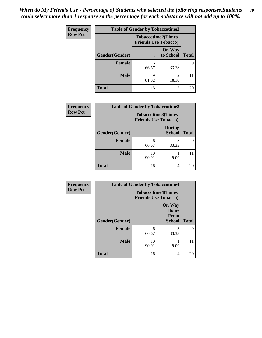| <b>Frequency</b> |                | <b>Table of Gender by Tobaccotime2</b> |                                                          |              |
|------------------|----------------|----------------------------------------|----------------------------------------------------------|--------------|
| <b>Row Pct</b>   |                |                                        | <b>Tobaccotime2(Times</b><br><b>Friends Use Tobacco)</b> |              |
|                  | Gender(Gender) |                                        | <b>On Way</b><br>to School                               | <b>Total</b> |
|                  | <b>Female</b>  | 6<br>66.67                             | 33.33                                                    | 9            |
|                  | <b>Male</b>    | 9<br>81.82                             | $\mathfrak{D}$<br>18.18                                  |              |
|                  | <b>Total</b>   | 15                                     | 5                                                        | 20           |

| Frequency      | <b>Table of Gender by Tobaccotime3</b> |                                                          |                                |              |
|----------------|----------------------------------------|----------------------------------------------------------|--------------------------------|--------------|
| <b>Row Pct</b> |                                        | <b>Tobaccotime3(Times</b><br><b>Friends Use Tobacco)</b> |                                |              |
|                | Gender(Gender)                         |                                                          | <b>During</b><br><b>School</b> | <b>Total</b> |
|                | <b>Female</b>                          | 6<br>66.67                                               | 3<br>33.33                     | 9            |
|                | <b>Male</b>                            | 10<br>90.91                                              | 9.09                           |              |
|                | <b>Total</b>                           | 16                                                       | 4                              | 20           |

| <b>Frequency</b> | <b>Table of Gender by Tobaccotime4</b> |                                                          |                                                |              |
|------------------|----------------------------------------|----------------------------------------------------------|------------------------------------------------|--------------|
| <b>Row Pct</b>   |                                        | <b>Tobaccotime4(Times</b><br><b>Friends Use Tobacco)</b> |                                                |              |
|                  | <b>Gender</b> (Gender)                 |                                                          | <b>On Way</b><br>Home<br>From<br><b>School</b> | <b>Total</b> |
|                  | <b>Female</b>                          | 6<br>66.67                                               | 3<br>33.33                                     | 9            |
|                  | <b>Male</b>                            | 10<br>90.91                                              | 9.09                                           | 11           |
|                  | <b>Total</b>                           | 16                                                       | 4                                              | 20           |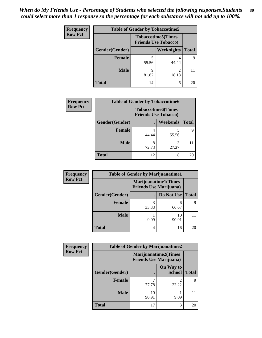| <b>Frequency</b> | <b>Table of Gender by Tobaccotime5</b> |                                                           |            |              |  |
|------------------|----------------------------------------|-----------------------------------------------------------|------------|--------------|--|
| <b>Row Pct</b>   |                                        | <b>Tobaccotime5</b> (Times<br><b>Friends Use Tobacco)</b> |            |              |  |
|                  | Gender(Gender)                         |                                                           | Weeknights | <b>Total</b> |  |
|                  | <b>Female</b>                          | 55.56                                                     | 4<br>44.44 | 9            |  |
|                  | <b>Male</b>                            | Q<br>81.82                                                | 2<br>18.18 | 11           |  |
|                  | Total                                  | 14                                                        | 6          | 20           |  |

| <b>Frequency</b> | <b>Table of Gender by Tobaccotime6</b> |                             |                           |              |
|------------------|----------------------------------------|-----------------------------|---------------------------|--------------|
| <b>Row Pct</b>   |                                        | <b>Friends Use Tobacco)</b> | <b>Tobaccotime6(Times</b> |              |
|                  | Gender(Gender)                         |                             | <b>Weekends</b>           | <b>Total</b> |
|                  | Female                                 | 44.44                       | 55.56                     | q            |
|                  | <b>Male</b>                            | 8<br>72.73                  | 3<br>27.27                |              |
|                  | <b>Total</b>                           | 12                          | 8                         | 20           |

| Frequency      | <b>Table of Gender by Marijuanatime1</b> |       |                                                               |              |
|----------------|------------------------------------------|-------|---------------------------------------------------------------|--------------|
| <b>Row Pct</b> |                                          |       | <b>Marijuanatime1(Times</b><br><b>Friends Use Marijuana</b> ) |              |
|                | Gender(Gender)                           |       | Do Not Use                                                    | <b>Total</b> |
|                | Female                                   | 33.33 | 6<br>66.67                                                    | 9            |
|                | <b>Male</b>                              | 9.09  | 10<br>90.91                                                   |              |
|                | <b>Total</b>                             | 4     | 16                                                            | 20           |

| Frequency      | <b>Table of Gender by Marijuanatime2</b> |                                                        |                            |              |  |
|----------------|------------------------------------------|--------------------------------------------------------|----------------------------|--------------|--|
| <b>Row Pct</b> |                                          | Marijuanatime2(Times<br><b>Friends Use Marijuana</b> ) |                            |              |  |
|                | Gender(Gender)                           |                                                        | On Way to<br><b>School</b> | <b>Total</b> |  |
|                | <b>Female</b>                            | 77.78                                                  | 22.22                      | 9            |  |
|                | <b>Male</b>                              | 10<br>90.91                                            | 9.09                       | 11           |  |
|                | <b>Total</b>                             | 17                                                     | 3                          | 20           |  |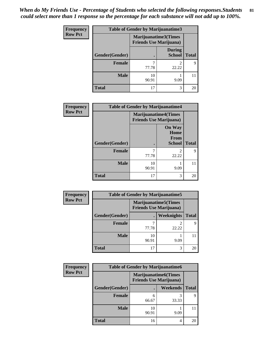*When do My Friends Use - Percentage of Students who selected the following responses.Students could select more than 1 response so the percentage for each substance will not add up to 100%.* **81**

| <b>Frequency</b> | Table of Gender by Marijuanatime3 |                                                        |                                |              |
|------------------|-----------------------------------|--------------------------------------------------------|--------------------------------|--------------|
| <b>Row Pct</b>   |                                   | Marijuanatime3(Times<br><b>Friends Use Marijuana</b> ) |                                |              |
|                  | Gender(Gender)                    |                                                        | <b>During</b><br><b>School</b> | <b>Total</b> |
|                  | <b>Female</b>                     | 77.78                                                  | 22.22                          | 9            |
|                  | <b>Male</b>                       | 10<br>90.91                                            | 9.09                           |              |
|                  | <b>Total</b>                      | 17                                                     | 3                              | 20           |

| Frequency      | <b>Table of Gender by Marijuanatime4</b> |             |                                                               |              |
|----------------|------------------------------------------|-------------|---------------------------------------------------------------|--------------|
| <b>Row Pct</b> |                                          |             | <b>Marijuanatime4(Times</b><br><b>Friends Use Marijuana</b> ) |              |
|                | Gender(Gender)                           |             | <b>On Way</b><br>Home<br><b>From</b><br><b>School</b>         | <b>Total</b> |
|                | <b>Female</b>                            | 77.78       | $\mathfrak{D}$<br>22.22                                       | 9            |
|                | <b>Male</b>                              | 10<br>90.91 | 9.09                                                          |              |
|                | <b>Total</b>                             | 17          | 3                                                             | 20           |

| <b>Frequency</b> | <b>Table of Gender by Marijuanatime5</b> |             |                                                                |              |
|------------------|------------------------------------------|-------------|----------------------------------------------------------------|--------------|
| <b>Row Pct</b>   |                                          |             | <b>Marijuanatime5</b> (Times<br><b>Friends Use Marijuana</b> ) |              |
|                  | Gender(Gender)                           |             | Weeknights                                                     | <b>Total</b> |
|                  | <b>Female</b>                            | 77.78       | 22.22                                                          | Q            |
|                  | <b>Male</b>                              | 10<br>90.91 | 9.09                                                           |              |
|                  | <b>Total</b>                             | 17          | 3                                                              | 20           |

| <b>Frequency</b> | <b>Table of Gender by Marijuanatime6</b> |                                                               |                 |              |
|------------------|------------------------------------------|---------------------------------------------------------------|-----------------|--------------|
| <b>Row Pct</b>   |                                          | <b>Marijuanatime6(Times</b><br><b>Friends Use Marijuana</b> ) |                 |              |
|                  | Gender(Gender)                           |                                                               | <b>Weekends</b> | <b>Total</b> |
|                  | Female                                   | h<br>66.67                                                    | 33.33           | Q            |
|                  | <b>Male</b>                              | 10<br>90.91                                                   | 9.09            |              |
|                  | <b>Total</b>                             | 16                                                            | 4               | 20           |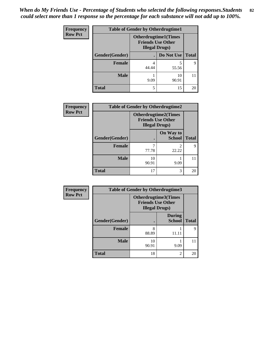| <b>Frequency</b> | <b>Table of Gender by Otherdrugtime1</b> |                                                    |                              |              |  |
|------------------|------------------------------------------|----------------------------------------------------|------------------------------|--------------|--|
| <b>Row Pct</b>   |                                          | <b>Friends Use Other</b><br><b>Illegal Drugs</b> ) | <b>Otherdrugtime1</b> (Times |              |  |
|                  | Gender(Gender)                           |                                                    | Do Not Use                   | <b>Total</b> |  |
|                  | <b>Female</b>                            | 4<br>44.44                                         | 55.56                        | Q            |  |
|                  | Male                                     | 9.09                                               | 10<br>90.91                  |              |  |
|                  | <b>Total</b>                             | 5                                                  | 15                           | 20           |  |

| Frequency      | <b>Table of Gender by Otherdrugtime2</b> |                                                                                   |                            |              |  |
|----------------|------------------------------------------|-----------------------------------------------------------------------------------|----------------------------|--------------|--|
| <b>Row Pct</b> |                                          | <b>Otherdrugtime2(Times</b><br><b>Friends Use Other</b><br><b>Illegal Drugs</b> ) |                            |              |  |
|                | Gender(Gender)                           |                                                                                   | On Way to<br><b>School</b> | <b>Total</b> |  |
|                | <b>Female</b>                            | 77.78                                                                             | $\mathfrak{D}$<br>22.22    | 9            |  |
|                | <b>Male</b>                              | 10<br>90.91                                                                       | 9.09                       |              |  |
|                | <b>Total</b>                             | 17                                                                                | 3                          | 20           |  |

| Frequency      | <b>Table of Gender by Otherdrugtime3</b> |             |                                                                           |              |
|----------------|------------------------------------------|-------------|---------------------------------------------------------------------------|--------------|
| <b>Row Pct</b> |                                          |             | Otherdrugtime3(Times<br><b>Friends Use Other</b><br><b>Illegal Drugs)</b> |              |
|                | Gender(Gender)                           |             | <b>During</b><br><b>School</b>                                            | <b>Total</b> |
|                | <b>Female</b>                            | 8<br>88.89  | 11.11                                                                     | 9            |
|                | <b>Male</b>                              | 10<br>90.91 | 9.09                                                                      | 11           |
|                | <b>Total</b>                             | 18          | $\mathfrak{D}$                                                            | 20           |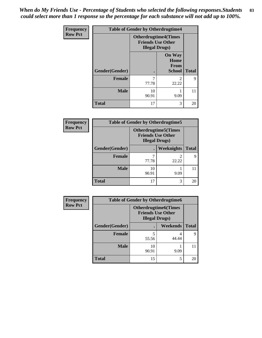*When do My Friends Use - Percentage of Students who selected the following responses.Students could select more than 1 response so the percentage for each substance will not add up to 100%.* **83**

| <b>Frequency</b> | <b>Table of Gender by Otherdrugtime4</b> |                                                    |                                                |              |
|------------------|------------------------------------------|----------------------------------------------------|------------------------------------------------|--------------|
| <b>Row Pct</b>   |                                          | <b>Friends Use Other</b><br><b>Illegal Drugs</b> ) | <b>Otherdrugtime4(Times</b>                    |              |
|                  | Gender(Gender)                           |                                                    | <b>On Way</b><br>Home<br>From<br><b>School</b> | <b>Total</b> |
|                  | Female                                   | 7<br>77.78                                         | $\mathcal{D}_{\mathcal{A}}$<br>22.22           | 9            |
|                  | <b>Male</b>                              | 10<br>90.91                                        | 9.09                                           | 11           |
|                  | <b>Total</b>                             | 17                                                 | 3                                              | 20           |

| Frequency      | <b>Table of Gender by Otherdrugtime5</b> |                                                                                   |                   |              |
|----------------|------------------------------------------|-----------------------------------------------------------------------------------|-------------------|--------------|
| <b>Row Pct</b> |                                          | <b>Otherdrugtime5(Times</b><br><b>Friends Use Other</b><br><b>Illegal Drugs</b> ) |                   |              |
|                | Gender(Gender)                           |                                                                                   | <b>Weeknights</b> | <b>Total</b> |
|                | Female                                   | 77.78                                                                             | 22.22             | Q            |
|                | <b>Male</b>                              | 10<br>90.91                                                                       | 9.09              |              |
|                | <b>Total</b>                             | 17                                                                                | 3                 | 20           |

| <b>Frequency</b> | <b>Table of Gender by Otherdrugtime6</b> |                                                                                   |          |              |
|------------------|------------------------------------------|-----------------------------------------------------------------------------------|----------|--------------|
| <b>Row Pct</b>   |                                          | <b>Otherdrugtime6(Times</b><br><b>Friends Use Other</b><br><b>Illegal Drugs</b> ) |          |              |
|                  | Gender(Gender)                           |                                                                                   | Weekends | <b>Total</b> |
|                  | <b>Female</b>                            | 5<br>55.56                                                                        | 44.44    | Q            |
|                  | <b>Male</b>                              | 10<br>90.91                                                                       | 9.09     | 11           |
|                  | <b>Total</b>                             | 15                                                                                | 5        | 20           |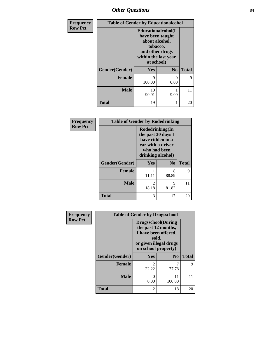## *Other Questions* **84**

| Frequency      | <b>Table of Gender by Educationalcohol</b> |                                                                                                                                       |                |              |
|----------------|--------------------------------------------|---------------------------------------------------------------------------------------------------------------------------------------|----------------|--------------|
| <b>Row Pct</b> |                                            | <b>Educationalcohol</b> (I<br>have been taught<br>about alcohol,<br>tobacco,<br>and other drugs<br>within the last year<br>at school) |                |              |
|                | Gender(Gender)                             | Yes                                                                                                                                   | N <sub>0</sub> | <b>Total</b> |
|                | <b>Female</b>                              | 9<br>100.00                                                                                                                           | $_{0}$<br>0.00 | $\mathbf Q$  |
|                | <b>Male</b>                                | 10<br>90.91                                                                                                                           | 9.09           | 11           |
|                | <b>Total</b>                               | 19                                                                                                                                    |                | 20           |

| Frequency      | <b>Table of Gender by Rodedrinking</b> |                                                                                                                     |                |              |
|----------------|----------------------------------------|---------------------------------------------------------------------------------------------------------------------|----------------|--------------|
| <b>Row Pct</b> |                                        | Rodedrinking(In<br>the past 30 days I<br>have ridden in a<br>car with a driver<br>who had been<br>drinking alcohol) |                |              |
|                | Gender(Gender)                         | Yes                                                                                                                 | N <sub>o</sub> | <b>Total</b> |
|                | <b>Female</b>                          | 11.11                                                                                                               | 8<br>88.89     | 9            |
|                | <b>Male</b>                            | 2<br>18.18                                                                                                          | 9<br>81.82     | 11           |
|                | <b>Total</b>                           | 3                                                                                                                   | 17             | 20           |

| <b>Frequency</b> | <b>Table of Gender by Drugsschool</b> |                                                                                                                                     |                        |              |
|------------------|---------------------------------------|-------------------------------------------------------------------------------------------------------------------------------------|------------------------|--------------|
| <b>Row Pct</b>   |                                       | <b>Drugsschool</b> (During<br>the past 12 months,<br>I have been offered,<br>sold,<br>or given illegal drugs<br>on school property) |                        |              |
|                  | Gender(Gender)                        | Yes                                                                                                                                 | $\mathbf{N}\mathbf{0}$ | <b>Total</b> |
|                  | <b>Female</b>                         | っ<br>22.22                                                                                                                          | 7<br>77.78             | 9            |
|                  | <b>Male</b>                           | 0.00                                                                                                                                | 11<br>100.00           | 11           |
|                  | <b>Total</b>                          | $\mathfrak{D}$                                                                                                                      | 18                     | 20           |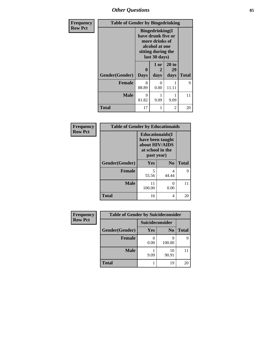# *Other Questions* **85**

| Frequency      | <b>Table of Gender by Bingedrinking</b> |                                                                                                                          |                       |                     |              |
|----------------|-----------------------------------------|--------------------------------------------------------------------------------------------------------------------------|-----------------------|---------------------|--------------|
| <b>Row Pct</b> |                                         | <b>Bingedrinking</b> (I<br>have drunk five or<br>more drinks of<br>alcohol at one<br>sitting during the<br>last 30 days) |                       |                     |              |
|                | Gender(Gender)                          | 0<br><b>Days</b>                                                                                                         | 1 or<br>2<br>days     | 20 to<br>29<br>days | <b>Total</b> |
|                | <b>Female</b>                           | 8<br>88.89                                                                                                               | $\mathcal{L}$<br>0.00 | 11.11               | 9            |
|                | <b>Male</b>                             | 9<br>81.82                                                                                                               | 9.09                  | 9.09                | 11           |
|                | <b>Total</b>                            | 17                                                                                                                       |                       | 2                   | 20           |

| Frequency<br><b>Row Pct</b> | <b>Table of Gender by Educationaids</b> |                                                                                                 |                |              |
|-----------------------------|-----------------------------------------|-------------------------------------------------------------------------------------------------|----------------|--------------|
|                             |                                         | <b>Educationaids</b> (I<br>have been taught<br>about HIV/AIDS<br>at school in the<br>past year) |                |              |
|                             | Gender(Gender)                          | Yes                                                                                             | N <sub>0</sub> | <b>Total</b> |
|                             | <b>Female</b>                           | 5<br>55.56                                                                                      | 4<br>44.44     | 9            |
|                             | <b>Male</b>                             | 11<br>100.00                                                                                    | 0<br>0.00      | 11           |
|                             | <b>Total</b>                            | 16                                                                                              | 4              | 20           |

| <b>Frequency</b> | <b>Table of Gender by Suicideconsider</b> |                 |                |              |
|------------------|-------------------------------------------|-----------------|----------------|--------------|
| <b>Row Pct</b>   |                                           | Suicideconsider |                |              |
|                  | Gender(Gender)                            | Yes             | N <sub>0</sub> | <b>Total</b> |
|                  | <b>Female</b>                             | 0.00            | q<br>100.00    | 9            |
|                  | <b>Male</b>                               | 9.09            | 10<br>90.91    |              |
|                  | <b>Total</b>                              |                 | 19             | 20           |